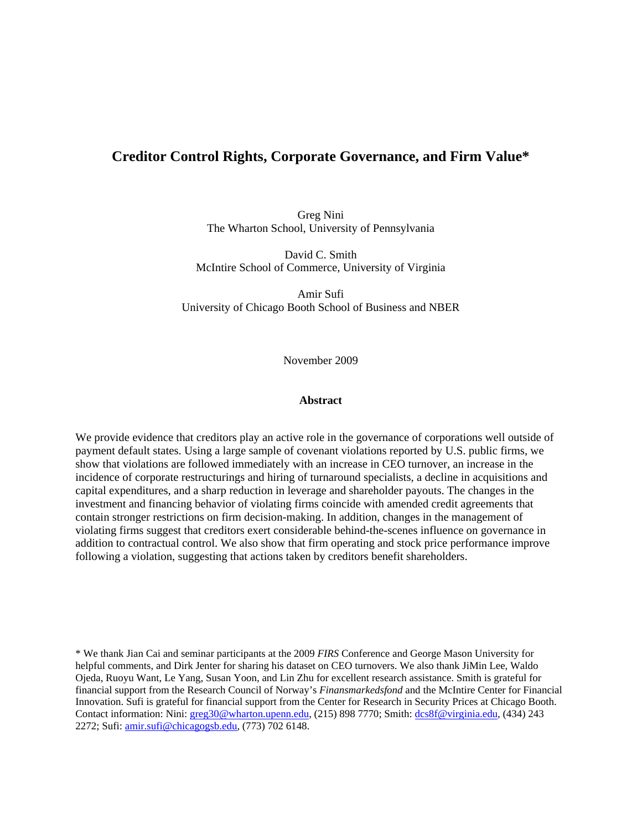# **Creditor Control Rights, Corporate Governance, and Firm Value\***

Greg Nini The Wharton School, University of Pennsylvania

David C. Smith McIntire School of Commerce, University of Virginia

Amir Sufi University of Chicago Booth School of Business and NBER

November 2009

#### **Abstract**

We provide evidence that creditors play an active role in the governance of corporations well outside of payment default states. Using a large sample of covenant violations reported by U.S. public firms, we show that violations are followed immediately with an increase in CEO turnover, an increase in the incidence of corporate restructurings and hiring of turnaround specialists, a decline in acquisitions and capital expenditures, and a sharp reduction in leverage and shareholder payouts. The changes in the investment and financing behavior of violating firms coincide with amended credit agreements that contain stronger restrictions on firm decision-making. In addition, changes in the management of violating firms suggest that creditors exert considerable behind-the-scenes influence on governance in addition to contractual control. We also show that firm operating and stock price performance improve following a violation, suggesting that actions taken by creditors benefit shareholders.

\* We thank Jian Cai and seminar participants at the 2009 *FIRS* Conference and George Mason University for helpful comments, and Dirk Jenter for sharing his dataset on CEO turnovers. We also thank JiMin Lee, Waldo Ojeda, Ruoyu Want, Le Yang, Susan Yoon, and Lin Zhu for excellent research assistance. Smith is grateful for financial support from the Research Council of Norway's *Finansmarkedsfond* and the McIntire Center for Financial Innovation. Sufi is grateful for financial support from the Center for Research in Security Prices at Chicago Booth. Contact information: Nini: greg30@wharton.upenn.edu, (215) 898 7770; Smith: dcs8f@virginia.edu, (434) 243 2272; Sufi: amir.sufi@chicagogsb.edu, (773) 702 6148.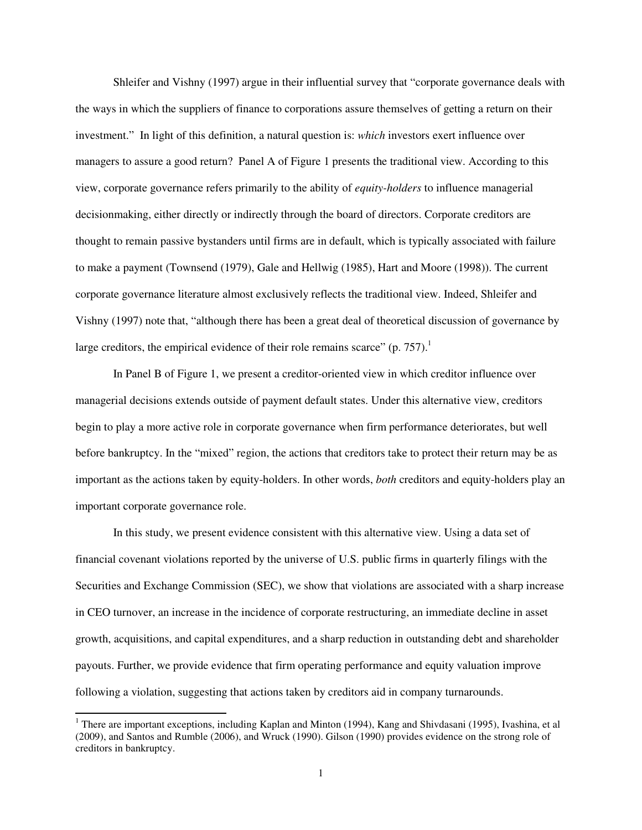Shleifer and Vishny (1997) argue in their influential survey that "corporate governance deals with the ways in which the suppliers of finance to corporations assure themselves of getting a return on their investment." In light of this definition, a natural question is: *which* investors exert influence over managers to assure a good return? Panel A of Figure 1 presents the traditional view. According to this view, corporate governance refers primarily to the ability of *equity-holders* to influence managerial decisionmaking, either directly or indirectly through the board of directors. Corporate creditors are thought to remain passive bystanders until firms are in default, which is typically associated with failure to make a payment (Townsend (1979), Gale and Hellwig (1985), Hart and Moore (1998)). The current corporate governance literature almost exclusively reflects the traditional view. Indeed, Shleifer and Vishny (1997) note that, "although there has been a great deal of theoretical discussion of governance by large creditors, the empirical evidence of their role remains scarce"  $(p. 757)$ .<sup>1</sup>

In Panel B of Figure 1, we present a creditor-oriented view in which creditor influence over managerial decisions extends outside of payment default states. Under this alternative view, creditors begin to play a more active role in corporate governance when firm performance deteriorates, but well before bankruptcy. In the "mixed" region, the actions that creditors take to protect their return may be as important as the actions taken by equity-holders. In other words, *both* creditors and equity-holders play an important corporate governance role.

 In this study, we present evidence consistent with this alternative view. Using a data set of financial covenant violations reported by the universe of U.S. public firms in quarterly filings with the Securities and Exchange Commission (SEC), we show that violations are associated with a sharp increase in CEO turnover, an increase in the incidence of corporate restructuring, an immediate decline in asset growth, acquisitions, and capital expenditures, and a sharp reduction in outstanding debt and shareholder payouts. Further, we provide evidence that firm operating performance and equity valuation improve following a violation, suggesting that actions taken by creditors aid in company turnarounds.

 $\overline{a}$ 

<sup>&</sup>lt;sup>1</sup> There are important exceptions, including Kaplan and Minton (1994), Kang and Shivdasani (1995), Ivashina, et al (2009), and Santos and Rumble (2006), and Wruck (1990). Gilson (1990) provides evidence on the strong role of creditors in bankruptcy.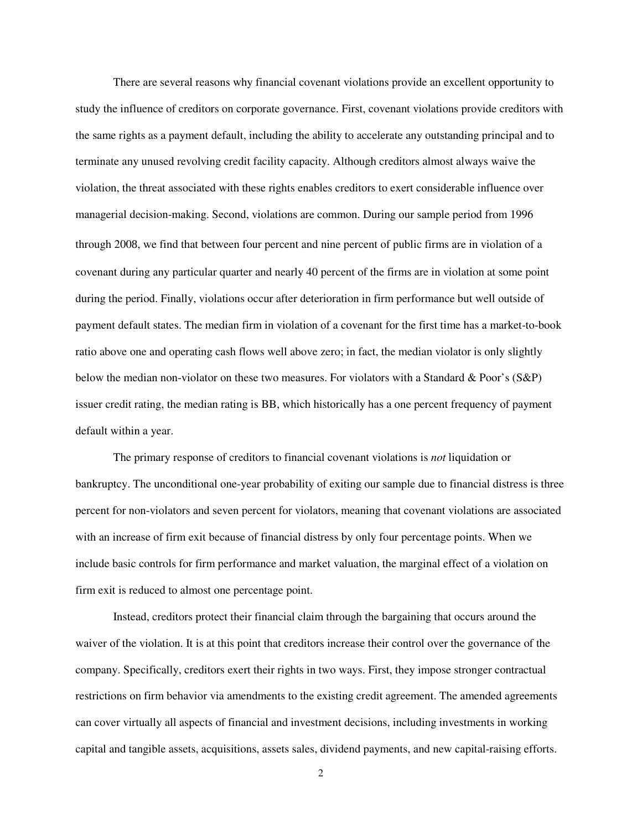There are several reasons why financial covenant violations provide an excellent opportunity to study the influence of creditors on corporate governance. First, covenant violations provide creditors with the same rights as a payment default, including the ability to accelerate any outstanding principal and to terminate any unused revolving credit facility capacity. Although creditors almost always waive the violation, the threat associated with these rights enables creditors to exert considerable influence over managerial decision-making. Second, violations are common. During our sample period from 1996 through 2008, we find that between four percent and nine percent of public firms are in violation of a covenant during any particular quarter and nearly 40 percent of the firms are in violation at some point during the period. Finally, violations occur after deterioration in firm performance but well outside of payment default states. The median firm in violation of a covenant for the first time has a market-to-book ratio above one and operating cash flows well above zero; in fact, the median violator is only slightly below the median non-violator on these two measures. For violators with a Standard & Poor's (S&P) issuer credit rating, the median rating is BB, which historically has a one percent frequency of payment default within a year.

 The primary response of creditors to financial covenant violations is *not* liquidation or bankruptcy. The unconditional one-year probability of exiting our sample due to financial distress is three percent for non-violators and seven percent for violators, meaning that covenant violations are associated with an increase of firm exit because of financial distress by only four percentage points. When we include basic controls for firm performance and market valuation, the marginal effect of a violation on firm exit is reduced to almost one percentage point.

 Instead, creditors protect their financial claim through the bargaining that occurs around the waiver of the violation. It is at this point that creditors increase their control over the governance of the company. Specifically, creditors exert their rights in two ways. First, they impose stronger contractual restrictions on firm behavior via amendments to the existing credit agreement. The amended agreements can cover virtually all aspects of financial and investment decisions, including investments in working capital and tangible assets, acquisitions, assets sales, dividend payments, and new capital-raising efforts.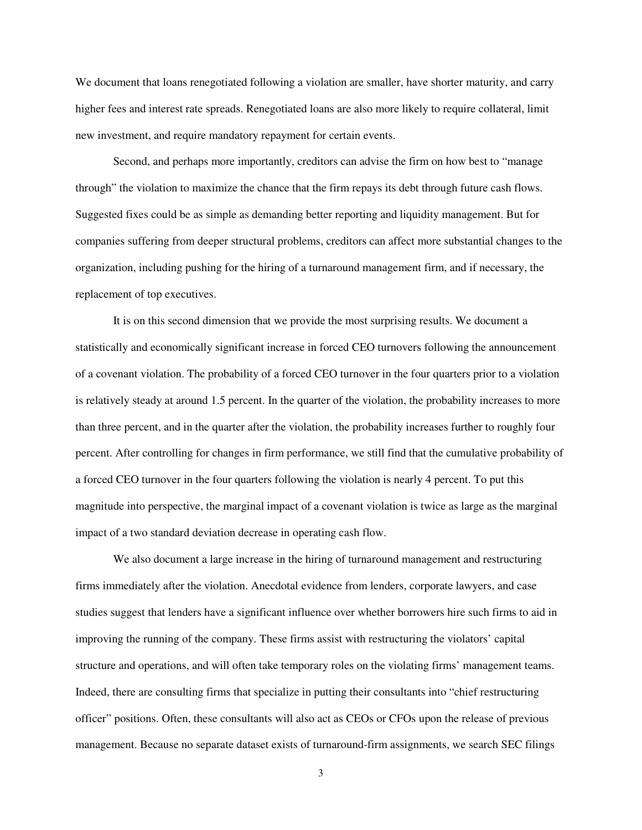We document that loans renegotiated following a violation are smaller, have shorter maturity, and carry higher fees and interest rate spreads. Renegotiated loans are also more likely to require collateral, limit new investment, and require mandatory repayment for certain events.

Second, and perhaps more importantly, creditors can advise the firm on how best to "manage through" the violation to maximize the chance that the firm repays its debt through future cash flows. Suggested fixes could be as simple as demanding better reporting and liquidity management. But for companies suffering from deeper structural problems, creditors can affect more substantial changes to the organization, including pushing for the hiring of a turnaround management firm, and if necessary, the replacement of top executives.

It is on this second dimension that we provide the most surprising results. We document a statistically and economically significant increase in forced CEO turnovers following the announcement of a covenant violation. The probability of a forced CEO turnover in the four quarters prior to a violation is relatively steady at around 1.5 percent. In the quarter of the violation, the probability increases to more than three percent, and in the quarter after the violation, the probability increases further to roughly four percent. After controlling for changes in firm performance, we still find that the cumulative probability of a forced CEO turnover in the four quarters following the violation is nearly 4 percent. To put this magnitude into perspective, the marginal impact of a covenant violation is twice as large as the marginal impact of a two standard deviation decrease in operating cash flow.

We also document a large increase in the hiring of turnaround management and restructuring firms immediately after the violation. Anecdotal evidence from lenders, corporate lawyers, and case studies suggest that lenders have a significant influence over whether borrowers hire such firms to aid in improving the running of the company. These firms assist with restructuring the violators' capital structure and operations, and will often take temporary roles on the violating firms' management teams. Indeed, there are consulting firms that specialize in putting their consultants into "chief restructuring officer" positions. Often, these consultants will also act as CEOs or CFOs upon the release of previous management. Because no separate dataset exists of turnaround-firm assignments, we search SEC filings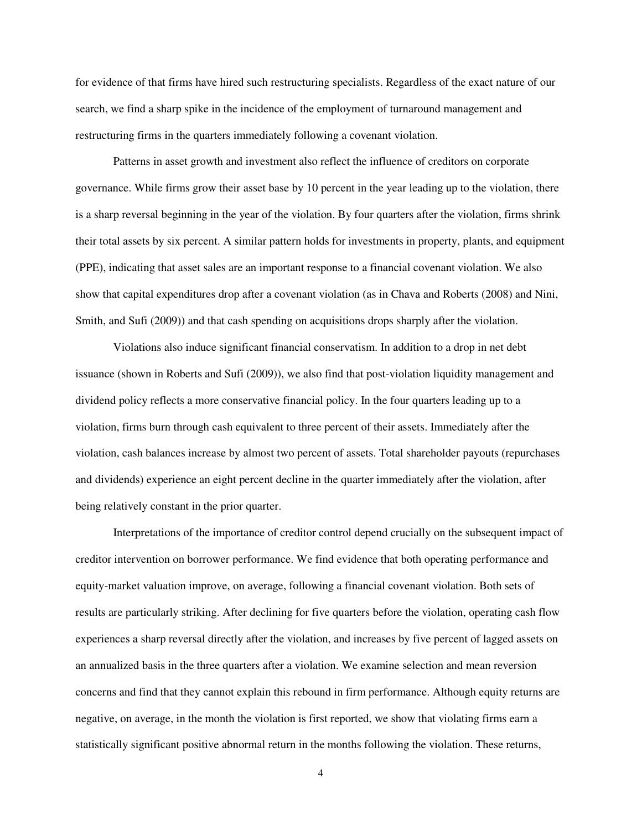for evidence of that firms have hired such restructuring specialists. Regardless of the exact nature of our search, we find a sharp spike in the incidence of the employment of turnaround management and restructuring firms in the quarters immediately following a covenant violation.

 Patterns in asset growth and investment also reflect the influence of creditors on corporate governance. While firms grow their asset base by 10 percent in the year leading up to the violation, there is a sharp reversal beginning in the year of the violation. By four quarters after the violation, firms shrink their total assets by six percent. A similar pattern holds for investments in property, plants, and equipment (PPE), indicating that asset sales are an important response to a financial covenant violation. We also show that capital expenditures drop after a covenant violation (as in Chava and Roberts (2008) and Nini, Smith, and Sufi (2009)) and that cash spending on acquisitions drops sharply after the violation.

 Violations also induce significant financial conservatism. In addition to a drop in net debt issuance (shown in Roberts and Sufi (2009)), we also find that post-violation liquidity management and dividend policy reflects a more conservative financial policy. In the four quarters leading up to a violation, firms burn through cash equivalent to three percent of their assets. Immediately after the violation, cash balances increase by almost two percent of assets. Total shareholder payouts (repurchases and dividends) experience an eight percent decline in the quarter immediately after the violation, after being relatively constant in the prior quarter.

 Interpretations of the importance of creditor control depend crucially on the subsequent impact of creditor intervention on borrower performance. We find evidence that both operating performance and equity-market valuation improve, on average, following a financial covenant violation. Both sets of results are particularly striking. After declining for five quarters before the violation, operating cash flow experiences a sharp reversal directly after the violation, and increases by five percent of lagged assets on an annualized basis in the three quarters after a violation. We examine selection and mean reversion concerns and find that they cannot explain this rebound in firm performance. Although equity returns are negative, on average, in the month the violation is first reported, we show that violating firms earn a statistically significant positive abnormal return in the months following the violation. These returns,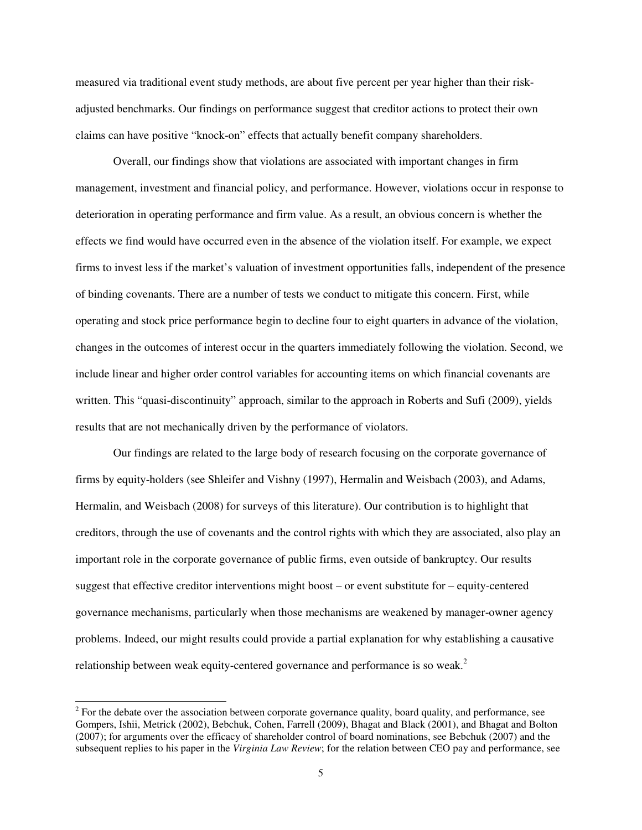measured via traditional event study methods, are about five percent per year higher than their riskadjusted benchmarks. Our findings on performance suggest that creditor actions to protect their own claims can have positive "knock-on" effects that actually benefit company shareholders.

 Overall, our findings show that violations are associated with important changes in firm management, investment and financial policy, and performance. However, violations occur in response to deterioration in operating performance and firm value. As a result, an obvious concern is whether the effects we find would have occurred even in the absence of the violation itself. For example, we expect firms to invest less if the market's valuation of investment opportunities falls, independent of the presence of binding covenants. There are a number of tests we conduct to mitigate this concern. First, while operating and stock price performance begin to decline four to eight quarters in advance of the violation, changes in the outcomes of interest occur in the quarters immediately following the violation. Second, we include linear and higher order control variables for accounting items on which financial covenants are written. This "quasi-discontinuity" approach, similar to the approach in Roberts and Sufi (2009), yields results that are not mechanically driven by the performance of violators.

Our findings are related to the large body of research focusing on the corporate governance of firms by equity-holders (see Shleifer and Vishny (1997), Hermalin and Weisbach (2003), and Adams, Hermalin, and Weisbach (2008) for surveys of this literature). Our contribution is to highlight that creditors, through the use of covenants and the control rights with which they are associated, also play an important role in the corporate governance of public firms, even outside of bankruptcy. Our results suggest that effective creditor interventions might boost – or event substitute for – equity-centered governance mechanisms, particularly when those mechanisms are weakened by manager-owner agency problems. Indeed, our might results could provide a partial explanation for why establishing a causative relationship between weak equity-centered governance and performance is so weak.<sup>2</sup>

l

 $2^2$  For the debate over the association between corporate governance quality, board quality, and performance, see Gompers, Ishii, Metrick (2002), Bebchuk, Cohen, Farrell (2009), Bhagat and Black (2001), and Bhagat and Bolton (2007); for arguments over the efficacy of shareholder control of board nominations, see Bebchuk (2007) and the subsequent replies to his paper in the *Virginia Law Review*; for the relation between CEO pay and performance, see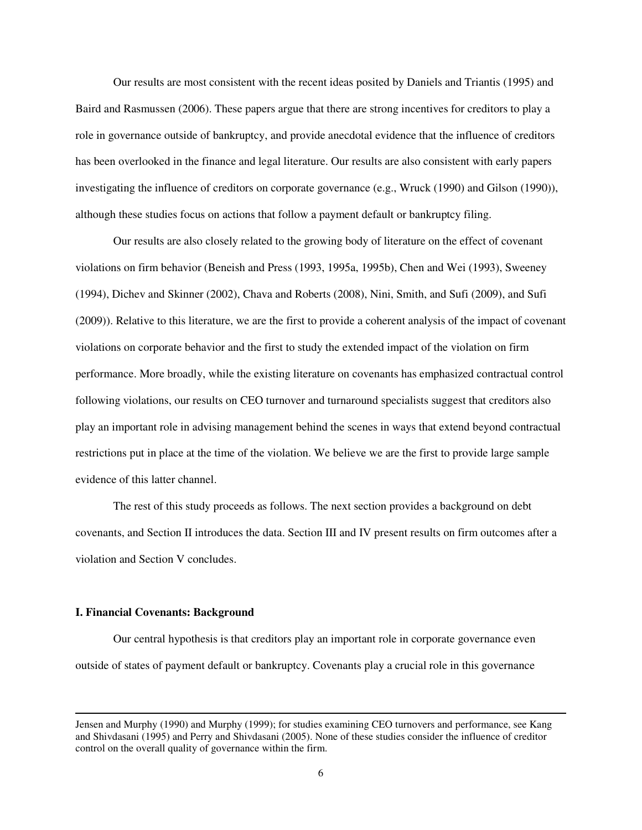Our results are most consistent with the recent ideas posited by Daniels and Triantis (1995) and Baird and Rasmussen (2006). These papers argue that there are strong incentives for creditors to play a role in governance outside of bankruptcy, and provide anecdotal evidence that the influence of creditors has been overlooked in the finance and legal literature. Our results are also consistent with early papers investigating the influence of creditors on corporate governance (e.g., Wruck (1990) and Gilson (1990)), although these studies focus on actions that follow a payment default or bankruptcy filing.

Our results are also closely related to the growing body of literature on the effect of covenant violations on firm behavior (Beneish and Press (1993, 1995a, 1995b), Chen and Wei (1993), Sweeney (1994), Dichev and Skinner (2002), Chava and Roberts (2008), Nini, Smith, and Sufi (2009), and Sufi (2009)). Relative to this literature, we are the first to provide a coherent analysis of the impact of covenant violations on corporate behavior and the first to study the extended impact of the violation on firm performance. More broadly, while the existing literature on covenants has emphasized contractual control following violations, our results on CEO turnover and turnaround specialists suggest that creditors also play an important role in advising management behind the scenes in ways that extend beyond contractual restrictions put in place at the time of the violation. We believe we are the first to provide large sample evidence of this latter channel.

The rest of this study proceeds as follows. The next section provides a background on debt covenants, and Section II introduces the data. Section III and IV present results on firm outcomes after a violation and Section V concludes.

#### **I. Financial Covenants: Background**

 $\overline{a}$ 

Our central hypothesis is that creditors play an important role in corporate governance even outside of states of payment default or bankruptcy. Covenants play a crucial role in this governance

Jensen and Murphy (1990) and Murphy (1999); for studies examining CEO turnovers and performance, see Kang and Shivdasani (1995) and Perry and Shivdasani (2005). None of these studies consider the influence of creditor control on the overall quality of governance within the firm.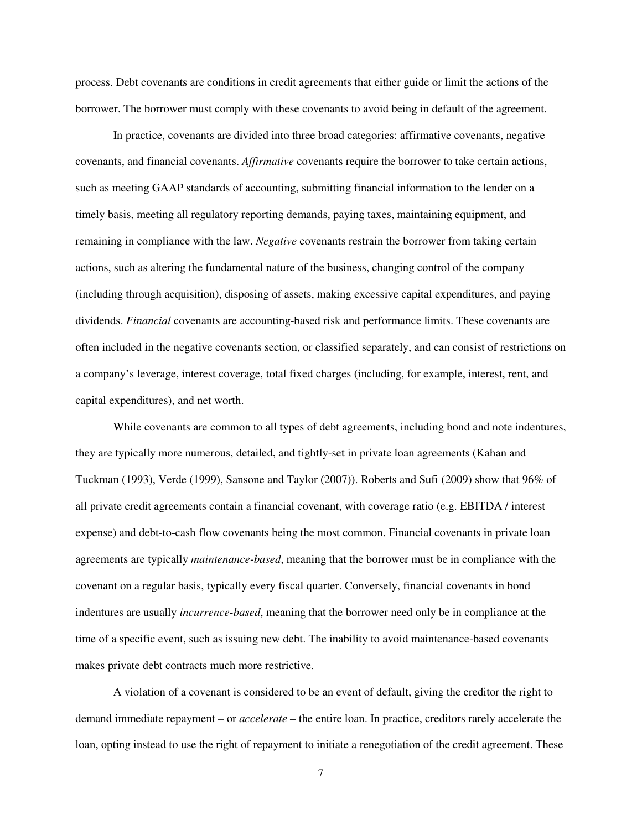process. Debt covenants are conditions in credit agreements that either guide or limit the actions of the borrower. The borrower must comply with these covenants to avoid being in default of the agreement.

In practice, covenants are divided into three broad categories: affirmative covenants, negative covenants, and financial covenants. *Affirmative* covenants require the borrower to take certain actions, such as meeting GAAP standards of accounting, submitting financial information to the lender on a timely basis, meeting all regulatory reporting demands, paying taxes, maintaining equipment, and remaining in compliance with the law. *Negative* covenants restrain the borrower from taking certain actions, such as altering the fundamental nature of the business, changing control of the company (including through acquisition), disposing of assets, making excessive capital expenditures, and paying dividends. *Financial* covenants are accounting-based risk and performance limits. These covenants are often included in the negative covenants section, or classified separately, and can consist of restrictions on a company's leverage, interest coverage, total fixed charges (including, for example, interest, rent, and capital expenditures), and net worth.

While covenants are common to all types of debt agreements, including bond and note indentures, they are typically more numerous, detailed, and tightly-set in private loan agreements (Kahan and Tuckman (1993), Verde (1999), Sansone and Taylor (2007)). Roberts and Sufi (2009) show that 96% of all private credit agreements contain a financial covenant, with coverage ratio (e.g. EBITDA / interest expense) and debt-to-cash flow covenants being the most common. Financial covenants in private loan agreements are typically *maintenance-based*, meaning that the borrower must be in compliance with the covenant on a regular basis, typically every fiscal quarter. Conversely, financial covenants in bond indentures are usually *incurrence-based*, meaning that the borrower need only be in compliance at the time of a specific event, such as issuing new debt. The inability to avoid maintenance-based covenants makes private debt contracts much more restrictive.

A violation of a covenant is considered to be an event of default, giving the creditor the right to demand immediate repayment – or *accelerate –* the entire loan. In practice, creditors rarely accelerate the loan, opting instead to use the right of repayment to initiate a renegotiation of the credit agreement. These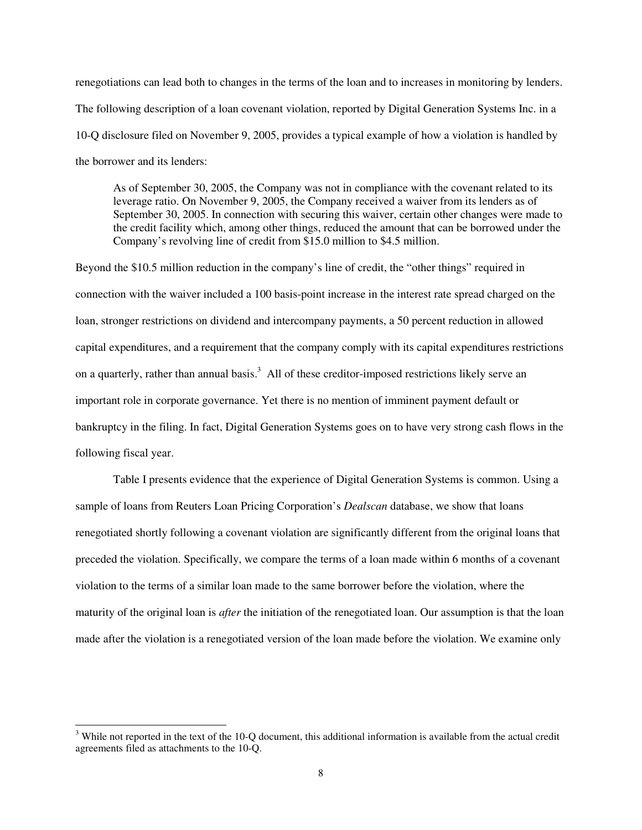renegotiations can lead both to changes in the terms of the loan and to increases in monitoring by lenders. The following description of a loan covenant violation, reported by Digital Generation Systems Inc. in a 10-Q disclosure filed on November 9, 2005, provides a typical example of how a violation is handled by the borrower and its lenders:

As of September 30, 2005, the Company was not in compliance with the covenant related to its leverage ratio. On November 9, 2005, the Company received a waiver from its lenders as of September 30, 2005. In connection with securing this waiver, certain other changes were made to the credit facility which, among other things, reduced the amount that can be borrowed under the Company's revolving line of credit from \$15.0 million to \$4.5 million.

Beyond the \$10.5 million reduction in the company's line of credit, the "other things" required in connection with the waiver included a 100 basis-point increase in the interest rate spread charged on the loan, stronger restrictions on dividend and intercompany payments, a 50 percent reduction in allowed capital expenditures, and a requirement that the company comply with its capital expenditures restrictions on a quarterly, rather than annual basis.<sup>3</sup> All of these creditor-imposed restrictions likely serve an important role in corporate governance. Yet there is no mention of imminent payment default or bankruptcy in the filing. In fact, Digital Generation Systems goes on to have very strong cash flows in the following fiscal year.

 Table I presents evidence that the experience of Digital Generation Systems is common. Using a sample of loans from Reuters Loan Pricing Corporation's *Dealscan* database, we show that loans renegotiated shortly following a covenant violation are significantly different from the original loans that preceded the violation. Specifically, we compare the terms of a loan made within 6 months of a covenant violation to the terms of a similar loan made to the same borrower before the violation, where the maturity of the original loan is *after* the initiation of the renegotiated loan. Our assumption is that the loan made after the violation is a renegotiated version of the loan made before the violation. We examine only

 $\overline{a}$ 

 $3$  While not reported in the text of the 10-Q document, this additional information is available from the actual credit agreements filed as attachments to the 10-Q.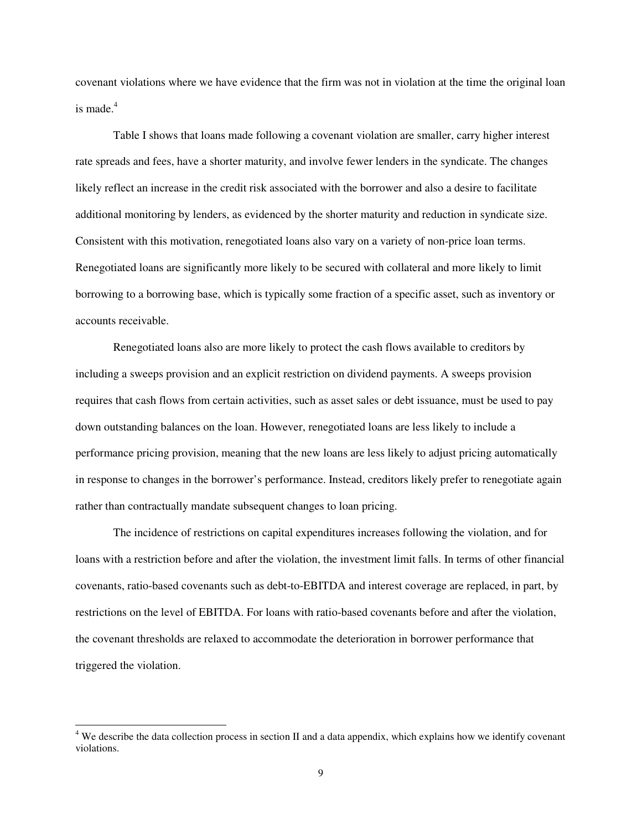covenant violations where we have evidence that the firm was not in violation at the time the original loan is made. $4$ 

 Table I shows that loans made following a covenant violation are smaller, carry higher interest rate spreads and fees, have a shorter maturity, and involve fewer lenders in the syndicate. The changes likely reflect an increase in the credit risk associated with the borrower and also a desire to facilitate additional monitoring by lenders, as evidenced by the shorter maturity and reduction in syndicate size. Consistent with this motivation, renegotiated loans also vary on a variety of non-price loan terms. Renegotiated loans are significantly more likely to be secured with collateral and more likely to limit borrowing to a borrowing base, which is typically some fraction of a specific asset, such as inventory or accounts receivable.

Renegotiated loans also are more likely to protect the cash flows available to creditors by including a sweeps provision and an explicit restriction on dividend payments. A sweeps provision requires that cash flows from certain activities, such as asset sales or debt issuance, must be used to pay down outstanding balances on the loan. However, renegotiated loans are less likely to include a performance pricing provision, meaning that the new loans are less likely to adjust pricing automatically in response to changes in the borrower's performance. Instead, creditors likely prefer to renegotiate again rather than contractually mandate subsequent changes to loan pricing.

 The incidence of restrictions on capital expenditures increases following the violation, and for loans with a restriction before and after the violation, the investment limit falls. In terms of other financial covenants, ratio-based covenants such as debt-to-EBITDA and interest coverage are replaced, in part, by restrictions on the level of EBITDA. For loans with ratio-based covenants before and after the violation, the covenant thresholds are relaxed to accommodate the deterioration in borrower performance that triggered the violation.

 $\overline{a}$ 

 $4$  We describe the data collection process in section II and a data appendix, which explains how we identify covenant violations.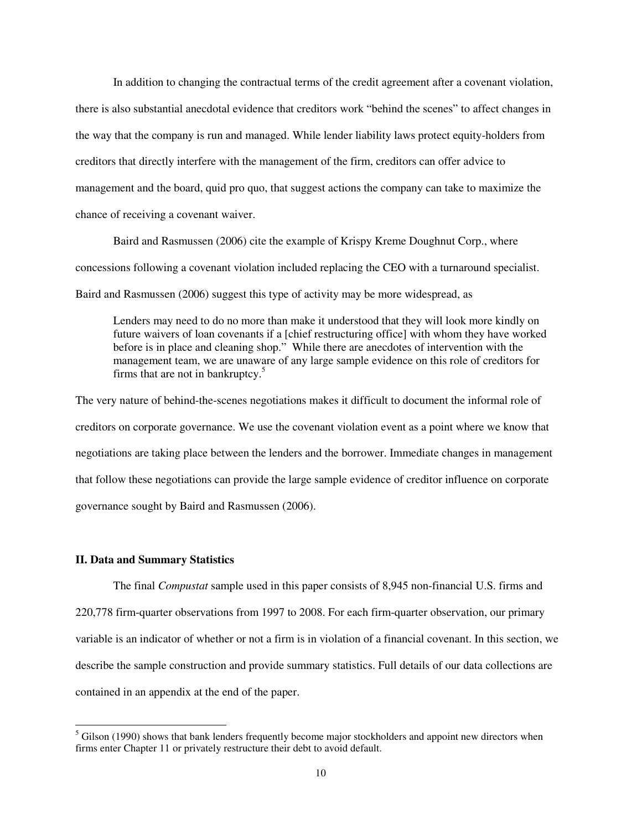In addition to changing the contractual terms of the credit agreement after a covenant violation, there is also substantial anecdotal evidence that creditors work "behind the scenes" to affect changes in the way that the company is run and managed. While lender liability laws protect equity-holders from creditors that directly interfere with the management of the firm, creditors can offer advice to management and the board, quid pro quo, that suggest actions the company can take to maximize the chance of receiving a covenant waiver.

Baird and Rasmussen (2006) cite the example of Krispy Kreme Doughnut Corp., where concessions following a covenant violation included replacing the CEO with a turnaround specialist. Baird and Rasmussen (2006) suggest this type of activity may be more widespread, as

Lenders may need to do no more than make it understood that they will look more kindly on future waivers of loan covenants if a [chief restructuring office] with whom they have worked before is in place and cleaning shop." While there are anecdotes of intervention with the management team, we are unaware of any large sample evidence on this role of creditors for firms that are not in bankruptcy. $5$ 

The very nature of behind-the-scenes negotiations makes it difficult to document the informal role of creditors on corporate governance. We use the covenant violation event as a point where we know that negotiations are taking place between the lenders and the borrower. Immediate changes in management that follow these negotiations can provide the large sample evidence of creditor influence on corporate governance sought by Baird and Rasmussen (2006).

### **II. Data and Summary Statistics**

 $\overline{a}$ 

The final *Compustat* sample used in this paper consists of 8,945 non-financial U.S. firms and 220,778 firm-quarter observations from 1997 to 2008. For each firm-quarter observation, our primary variable is an indicator of whether or not a firm is in violation of a financial covenant. In this section, we describe the sample construction and provide summary statistics. Full details of our data collections are contained in an appendix at the end of the paper.

 $<sup>5</sup>$  Gilson (1990) shows that bank lenders frequently become major stockholders and appoint new directors when</sup> firms enter Chapter 11 or privately restructure their debt to avoid default.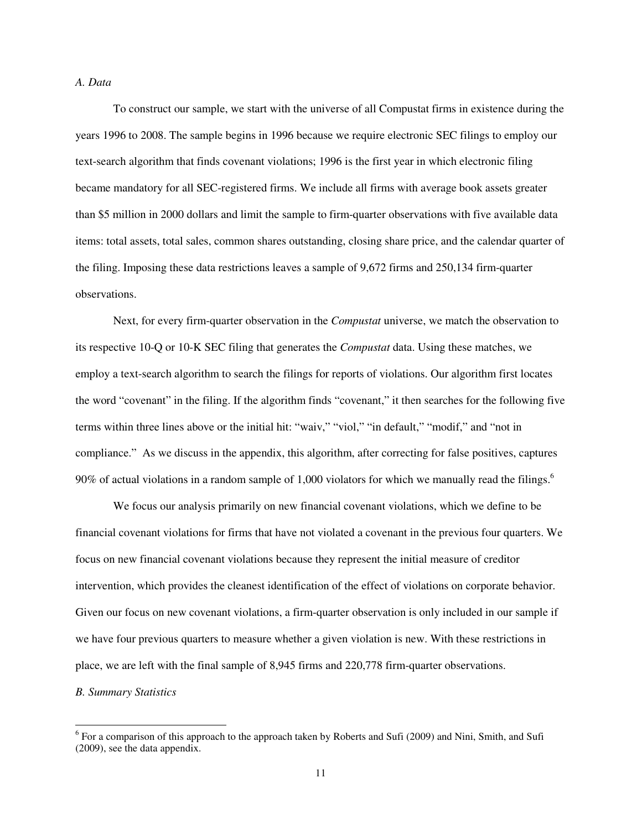### *A. Data*

 To construct our sample, we start with the universe of all Compustat firms in existence during the years 1996 to 2008. The sample begins in 1996 because we require electronic SEC filings to employ our text-search algorithm that finds covenant violations; 1996 is the first year in which electronic filing became mandatory for all SEC-registered firms. We include all firms with average book assets greater than \$5 million in 2000 dollars and limit the sample to firm-quarter observations with five available data items: total assets, total sales, common shares outstanding, closing share price, and the calendar quarter of the filing. Imposing these data restrictions leaves a sample of 9,672 firms and 250,134 firm-quarter observations.

 Next, for every firm-quarter observation in the *Compustat* universe, we match the observation to its respective 10-Q or 10-K SEC filing that generates the *Compustat* data. Using these matches, we employ a text-search algorithm to search the filings for reports of violations. Our algorithm first locates the word "covenant" in the filing. If the algorithm finds "covenant," it then searches for the following five terms within three lines above or the initial hit: "waiv," "viol," "in default," "modif," and "not in compliance." As we discuss in the appendix, this algorithm, after correcting for false positives, captures 90% of actual violations in a random sample of 1,000 violators for which we manually read the filings.<sup>6</sup>

 We focus our analysis primarily on new financial covenant violations, which we define to be financial covenant violations for firms that have not violated a covenant in the previous four quarters. We focus on new financial covenant violations because they represent the initial measure of creditor intervention, which provides the cleanest identification of the effect of violations on corporate behavior. Given our focus on new covenant violations, a firm-quarter observation is only included in our sample if we have four previous quarters to measure whether a given violation is new. With these restrictions in place, we are left with the final sample of 8,945 firms and 220,778 firm-quarter observations. *B. Summary Statistics* 

 $\overline{a}$ 

 $6$  For a comparison of this approach to the approach taken by Roberts and Sufi (2009) and Nini, Smith, and Sufi (2009), see the data appendix.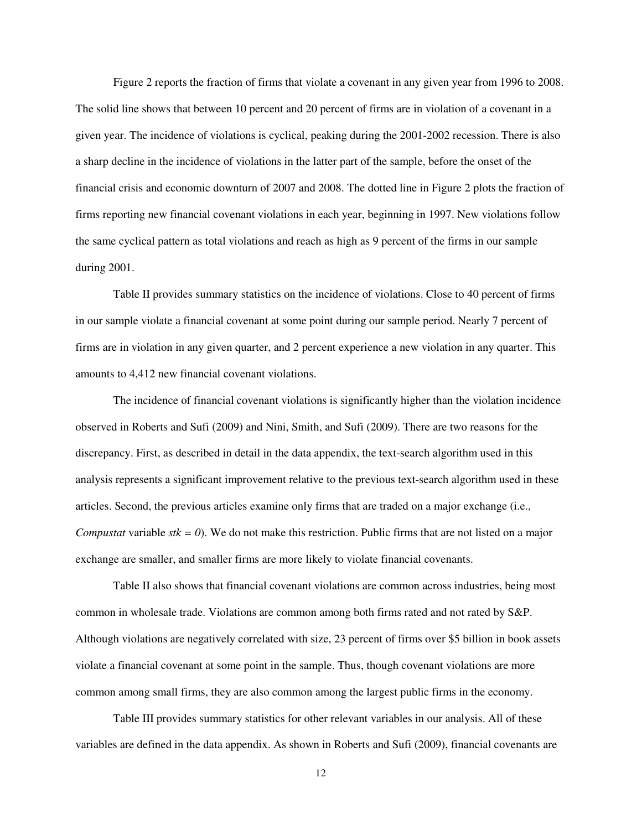Figure 2 reports the fraction of firms that violate a covenant in any given year from 1996 to 2008. The solid line shows that between 10 percent and 20 percent of firms are in violation of a covenant in a given year. The incidence of violations is cyclical, peaking during the 2001-2002 recession. There is also a sharp decline in the incidence of violations in the latter part of the sample, before the onset of the financial crisis and economic downturn of 2007 and 2008. The dotted line in Figure 2 plots the fraction of firms reporting new financial covenant violations in each year, beginning in 1997. New violations follow the same cyclical pattern as total violations and reach as high as 9 percent of the firms in our sample during 2001.

 Table II provides summary statistics on the incidence of violations. Close to 40 percent of firms in our sample violate a financial covenant at some point during our sample period. Nearly 7 percent of firms are in violation in any given quarter, and 2 percent experience a new violation in any quarter. This amounts to 4,412 new financial covenant violations.

 The incidence of financial covenant violations is significantly higher than the violation incidence observed in Roberts and Sufi (2009) and Nini, Smith, and Sufi (2009). There are two reasons for the discrepancy. First, as described in detail in the data appendix, the text-search algorithm used in this analysis represents a significant improvement relative to the previous text-search algorithm used in these articles. Second, the previous articles examine only firms that are traded on a major exchange (i.e., *Compustat* variable *stk = 0*). We do not make this restriction. Public firms that are not listed on a major exchange are smaller, and smaller firms are more likely to violate financial covenants.

 Table II also shows that financial covenant violations are common across industries, being most common in wholesale trade. Violations are common among both firms rated and not rated by S&P. Although violations are negatively correlated with size, 23 percent of firms over \$5 billion in book assets violate a financial covenant at some point in the sample. Thus, though covenant violations are more common among small firms, they are also common among the largest public firms in the economy.

Table III provides summary statistics for other relevant variables in our analysis. All of these variables are defined in the data appendix. As shown in Roberts and Sufi (2009), financial covenants are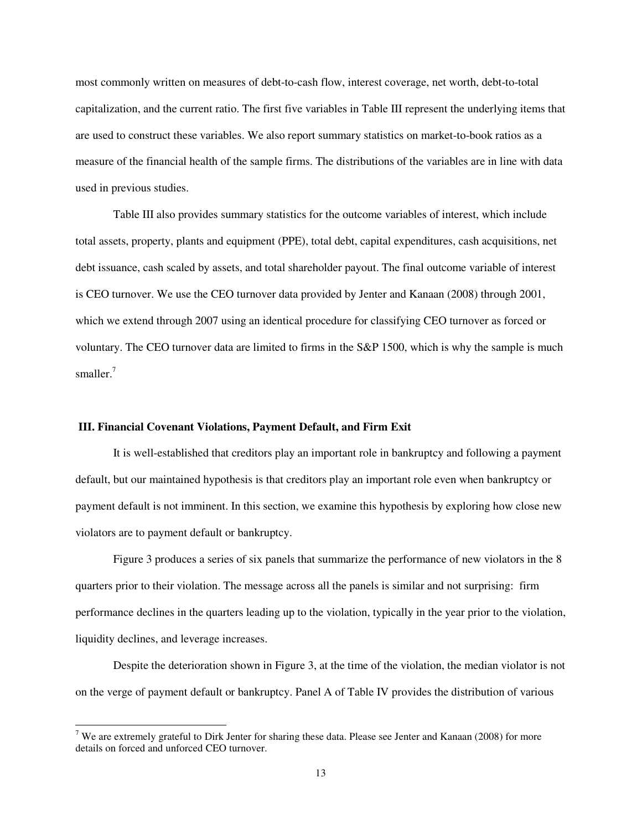most commonly written on measures of debt-to-cash flow, interest coverage, net worth, debt-to-total capitalization, and the current ratio. The first five variables in Table III represent the underlying items that are used to construct these variables. We also report summary statistics on market-to-book ratios as a measure of the financial health of the sample firms. The distributions of the variables are in line with data used in previous studies.

Table III also provides summary statistics for the outcome variables of interest, which include total assets, property, plants and equipment (PPE), total debt, capital expenditures, cash acquisitions, net debt issuance, cash scaled by assets, and total shareholder payout. The final outcome variable of interest is CEO turnover. We use the CEO turnover data provided by Jenter and Kanaan (2008) through 2001, which we extend through 2007 using an identical procedure for classifying CEO turnover as forced or voluntary. The CEO turnover data are limited to firms in the S&P 1500, which is why the sample is much smaller. $<sup>7</sup>$ </sup>

### **III. Financial Covenant Violations, Payment Default, and Firm Exit**

 $\overline{a}$ 

 It is well-established that creditors play an important role in bankruptcy and following a payment default, but our maintained hypothesis is that creditors play an important role even when bankruptcy or payment default is not imminent. In this section, we examine this hypothesis by exploring how close new violators are to payment default or bankruptcy.

 Figure 3 produces a series of six panels that summarize the performance of new violators in the 8 quarters prior to their violation. The message across all the panels is similar and not surprising: firm performance declines in the quarters leading up to the violation, typically in the year prior to the violation, liquidity declines, and leverage increases.

Despite the deterioration shown in Figure 3, at the time of the violation, the median violator is not on the verge of payment default or bankruptcy. Panel A of Table IV provides the distribution of various

<sup>&</sup>lt;sup>7</sup> We are extremely grateful to Dirk Jenter for sharing these data. Please see Jenter and Kanaan (2008) for more details on forced and unforced CEO turnover.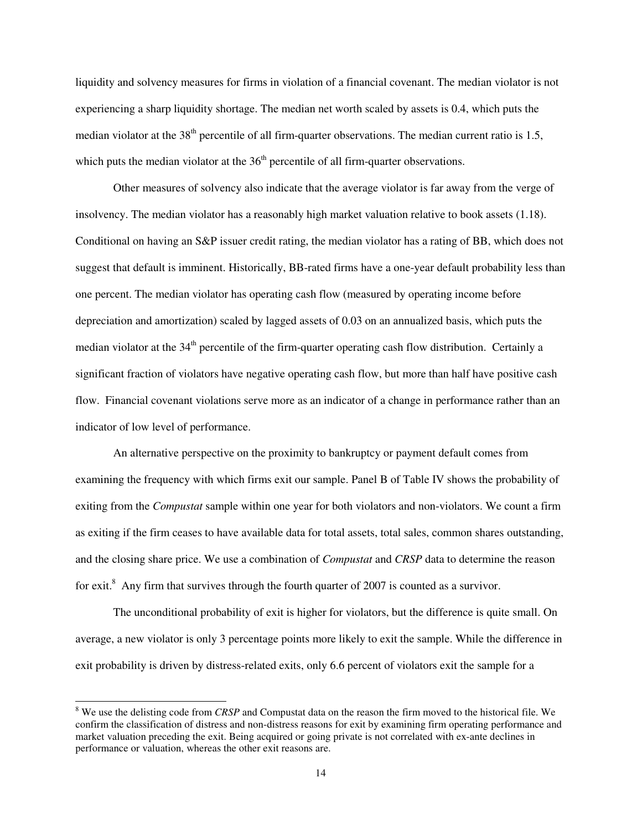liquidity and solvency measures for firms in violation of a financial covenant. The median violator is not experiencing a sharp liquidity shortage. The median net worth scaled by assets is 0.4, which puts the median violator at the  $38<sup>th</sup>$  percentile of all firm-quarter observations. The median current ratio is 1.5, which puts the median violator at the  $36<sup>th</sup>$  percentile of all firm-quarter observations.

 Other measures of solvency also indicate that the average violator is far away from the verge of insolvency. The median violator has a reasonably high market valuation relative to book assets (1.18). Conditional on having an S&P issuer credit rating, the median violator has a rating of BB, which does not suggest that default is imminent. Historically, BB-rated firms have a one-year default probability less than one percent. The median violator has operating cash flow (measured by operating income before depreciation and amortization) scaled by lagged assets of 0.03 on an annualized basis, which puts the median violator at the  $34<sup>th</sup>$  percentile of the firm-quarter operating cash flow distribution. Certainly a significant fraction of violators have negative operating cash flow, but more than half have positive cash flow. Financial covenant violations serve more as an indicator of a change in performance rather than an indicator of low level of performance.

 An alternative perspective on the proximity to bankruptcy or payment default comes from examining the frequency with which firms exit our sample. Panel B of Table IV shows the probability of exiting from the *Compustat* sample within one year for both violators and non-violators. We count a firm as exiting if the firm ceases to have available data for total assets, total sales, common shares outstanding, and the closing share price. We use a combination of *Compustat* and *CRSP* data to determine the reason for exit.<sup>8</sup> Any firm that survives through the fourth quarter of 2007 is counted as a survivor.

 The unconditional probability of exit is higher for violators, but the difference is quite small. On average, a new violator is only 3 percentage points more likely to exit the sample. While the difference in exit probability is driven by distress-related exits, only 6.6 percent of violators exit the sample for a

 $\overline{\phantom{0}}$ 

<sup>&</sup>lt;sup>8</sup> We use the delisting code from *CRSP* and Compustat data on the reason the firm moved to the historical file. We confirm the classification of distress and non-distress reasons for exit by examining firm operating performance and market valuation preceding the exit. Being acquired or going private is not correlated with ex-ante declines in performance or valuation, whereas the other exit reasons are.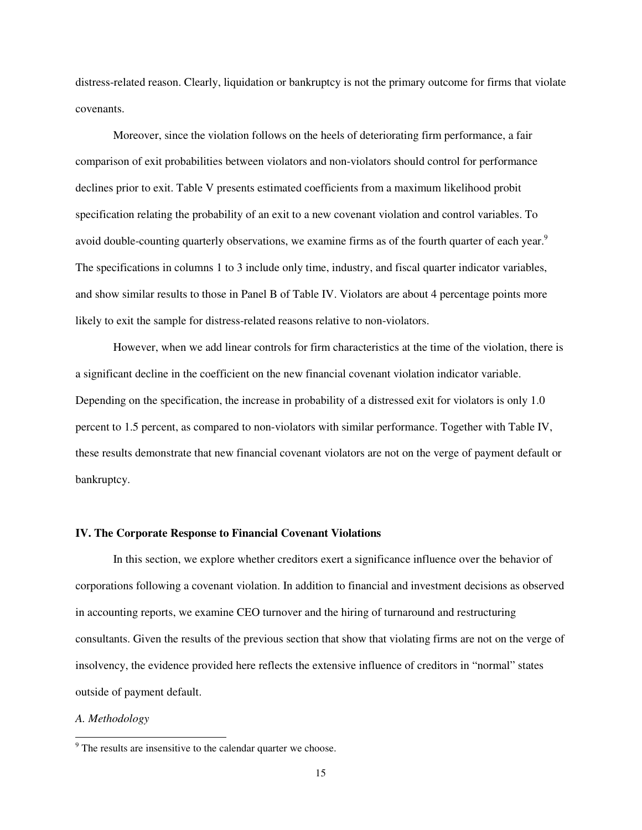distress-related reason. Clearly, liquidation or bankruptcy is not the primary outcome for firms that violate covenants.

Moreover, since the violation follows on the heels of deteriorating firm performance, a fair comparison of exit probabilities between violators and non-violators should control for performance declines prior to exit. Table V presents estimated coefficients from a maximum likelihood probit specification relating the probability of an exit to a new covenant violation and control variables. To avoid double-counting quarterly observations, we examine firms as of the fourth quarter of each year.<sup>9</sup> The specifications in columns 1 to 3 include only time, industry, and fiscal quarter indicator variables, and show similar results to those in Panel B of Table IV. Violators are about 4 percentage points more likely to exit the sample for distress-related reasons relative to non-violators.

However, when we add linear controls for firm characteristics at the time of the violation, there is a significant decline in the coefficient on the new financial covenant violation indicator variable. Depending on the specification, the increase in probability of a distressed exit for violators is only 1.0 percent to 1.5 percent, as compared to non-violators with similar performance. Together with Table IV, these results demonstrate that new financial covenant violators are not on the verge of payment default or bankruptcy.

#### **IV. The Corporate Response to Financial Covenant Violations**

 In this section, we explore whether creditors exert a significance influence over the behavior of corporations following a covenant violation. In addition to financial and investment decisions as observed in accounting reports, we examine CEO turnover and the hiring of turnaround and restructuring consultants. Given the results of the previous section that show that violating firms are not on the verge of insolvency, the evidence provided here reflects the extensive influence of creditors in "normal" states outside of payment default.

#### *A. Methodology*

 $\overline{a}$ 

<sup>&</sup>lt;sup>9</sup> The results are insensitive to the calendar quarter we choose.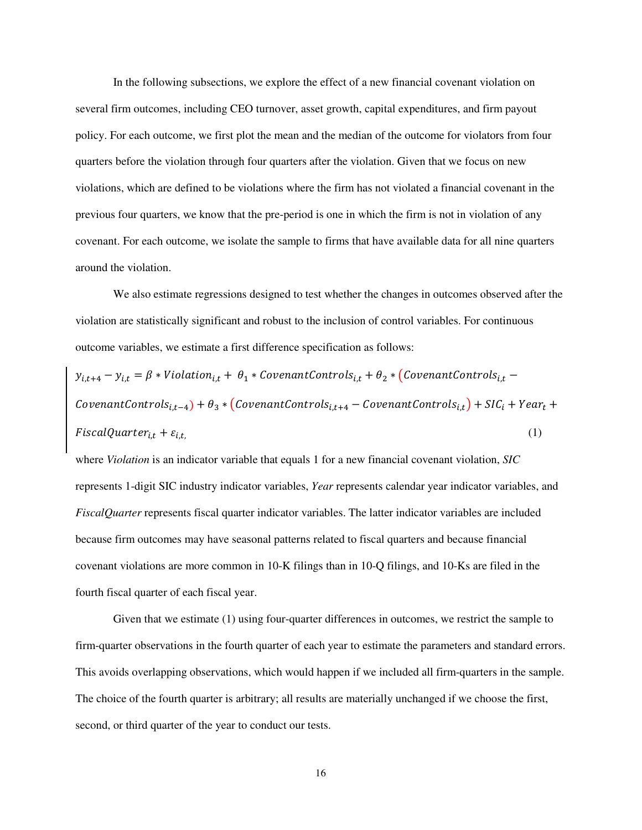In the following subsections, we explore the effect of a new financial covenant violation on several firm outcomes, including CEO turnover, asset growth, capital expenditures, and firm payout policy. For each outcome, we first plot the mean and the median of the outcome for violators from four quarters before the violation through four quarters after the violation. Given that we focus on new violations, which are defined to be violations where the firm has not violated a financial covenant in the previous four quarters, we know that the pre-period is one in which the firm is not in violation of any covenant. For each outcome, we isolate the sample to firms that have available data for all nine quarters around the violation.

We also estimate regressions designed to test whether the changes in outcomes observed after the violation are statistically significant and robust to the inclusion of control variables. For continuous outcome variables, we estimate a first difference specification as follows:

 $y_{i,t+4}-y_{i,t}=\beta * Violation_{i,t} +\ \theta_{1}*CovenantControls_{i,t} +\theta_{2}*\ (CovenantControls_{i,t}-$ CovenantControls<sub>i,t-4</sub>) +  $\theta_3$  \* (CovenantControls<sub>i,t+4</sub> – CovenantControls<sub>i,t</sub>) + SIC<sub>i</sub> + Year<sub>t</sub> + FiscalQuarte $r_{i,t}+\varepsilon_i$  $, t,$  (1)

where *Violation* is an indicator variable that equals 1 for a new financial covenant violation, *SIC* represents 1-digit SIC industry indicator variables, *Year* represents calendar year indicator variables, and *FiscalQuarter* represents fiscal quarter indicator variables. The latter indicator variables are included because firm outcomes may have seasonal patterns related to fiscal quarters and because financial covenant violations are more common in 10-K filings than in 10-Q filings, and 10-Ks are filed in the fourth fiscal quarter of each fiscal year.

Given that we estimate (1) using four-quarter differences in outcomes, we restrict the sample to firm-quarter observations in the fourth quarter of each year to estimate the parameters and standard errors. This avoids overlapping observations, which would happen if we included all firm-quarters in the sample. The choice of the fourth quarter is arbitrary; all results are materially unchanged if we choose the first, second, or third quarter of the year to conduct our tests.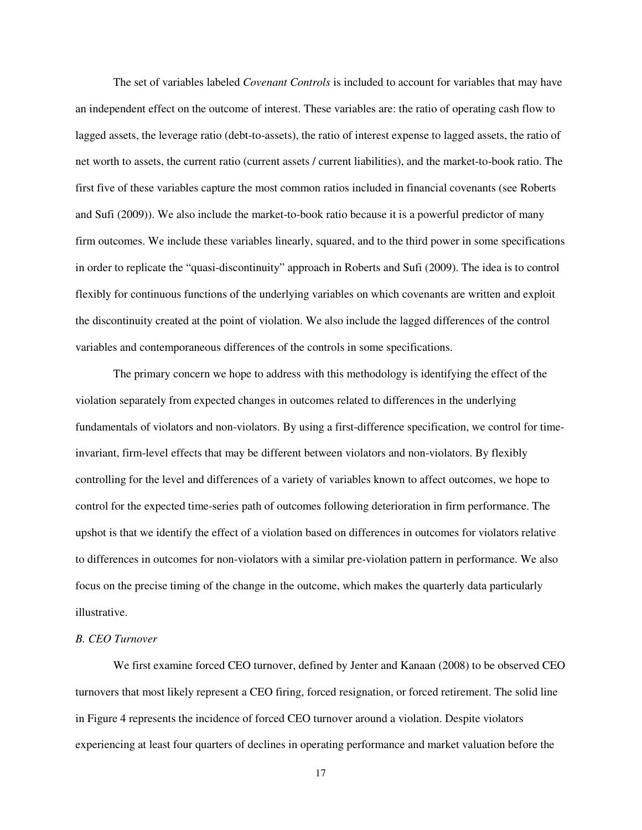The set of variables labeled *Covenant Controls* is included to account for variables that may have an independent effect on the outcome of interest. These variables are: the ratio of operating cash flow to lagged assets, the leverage ratio (debt-to-assets), the ratio of interest expense to lagged assets, the ratio of net worth to assets, the current ratio (current assets / current liabilities), and the market-to-book ratio. The first five of these variables capture the most common ratios included in financial covenants (see Roberts and Sufi (2009)). We also include the market-to-book ratio because it is a powerful predictor of many firm outcomes. We include these variables linearly, squared, and to the third power in some specifications in order to replicate the "quasi-discontinuity" approach in Roberts and Sufi (2009). The idea is to control flexibly for continuous functions of the underlying variables on which covenants are written and exploit the discontinuity created at the point of violation. We also include the lagged differences of the control variables and contemporaneous differences of the controls in some specifications.

The primary concern we hope to address with this methodology is identifying the effect of the violation separately from expected changes in outcomes related to differences in the underlying fundamentals of violators and non-violators. By using a first-difference specification, we control for timeinvariant, firm-level effects that may be different between violators and non-violators. By flexibly controlling for the level and differences of a variety of variables known to affect outcomes, we hope to control for the expected time-series path of outcomes following deterioration in firm performance. The upshot is that we identify the effect of a violation based on differences in outcomes for violators relative to differences in outcomes for non-violators with a similar pre-violation pattern in performance. We also focus on the precise timing of the change in the outcome, which makes the quarterly data particularly illustrative.

### *B. CEO Turnover*

 We first examine forced CEO turnover, defined by Jenter and Kanaan (2008) to be observed CEO turnovers that most likely represent a CEO firing, forced resignation, or forced retirement. The solid line in Figure 4 represents the incidence of forced CEO turnover around a violation. Despite violators experiencing at least four quarters of declines in operating performance and market valuation before the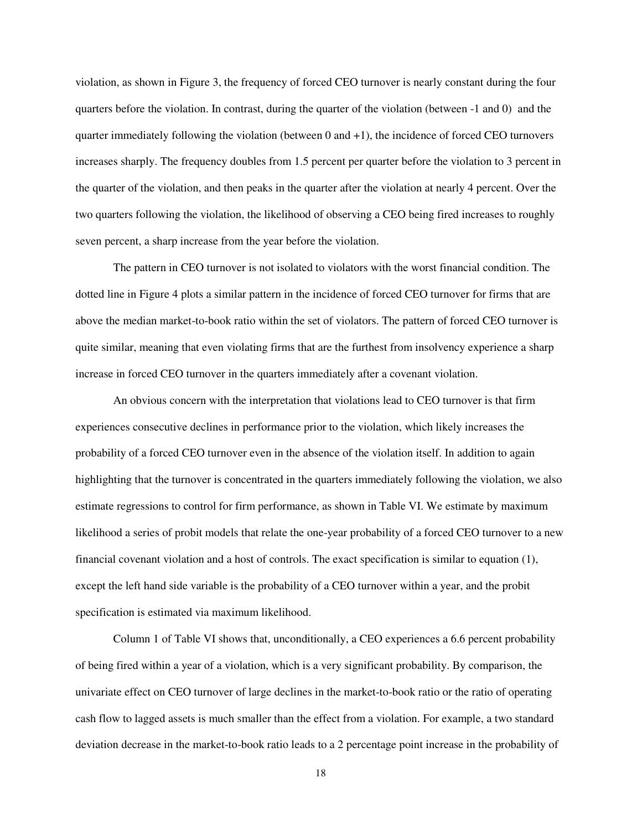violation, as shown in Figure 3, the frequency of forced CEO turnover is nearly constant during the four quarters before the violation. In contrast, during the quarter of the violation (between -1 and 0) and the quarter immediately following the violation (between  $0$  and  $+1$ ), the incidence of forced CEO turnovers increases sharply. The frequency doubles from 1.5 percent per quarter before the violation to 3 percent in the quarter of the violation, and then peaks in the quarter after the violation at nearly 4 percent. Over the two quarters following the violation, the likelihood of observing a CEO being fired increases to roughly seven percent, a sharp increase from the year before the violation.

The pattern in CEO turnover is not isolated to violators with the worst financial condition. The dotted line in Figure 4 plots a similar pattern in the incidence of forced CEO turnover for firms that are above the median market-to-book ratio within the set of violators. The pattern of forced CEO turnover is quite similar, meaning that even violating firms that are the furthest from insolvency experience a sharp increase in forced CEO turnover in the quarters immediately after a covenant violation.

An obvious concern with the interpretation that violations lead to CEO turnover is that firm experiences consecutive declines in performance prior to the violation, which likely increases the probability of a forced CEO turnover even in the absence of the violation itself. In addition to again highlighting that the turnover is concentrated in the quarters immediately following the violation, we also estimate regressions to control for firm performance, as shown in Table VI. We estimate by maximum likelihood a series of probit models that relate the one-year probability of a forced CEO turnover to a new financial covenant violation and a host of controls. The exact specification is similar to equation (1), except the left hand side variable is the probability of a CEO turnover within a year, and the probit specification is estimated via maximum likelihood.

Column 1 of Table VI shows that, unconditionally, a CEO experiences a 6.6 percent probability of being fired within a year of a violation, which is a very significant probability. By comparison, the univariate effect on CEO turnover of large declines in the market-to-book ratio or the ratio of operating cash flow to lagged assets is much smaller than the effect from a violation. For example, a two standard deviation decrease in the market-to-book ratio leads to a 2 percentage point increase in the probability of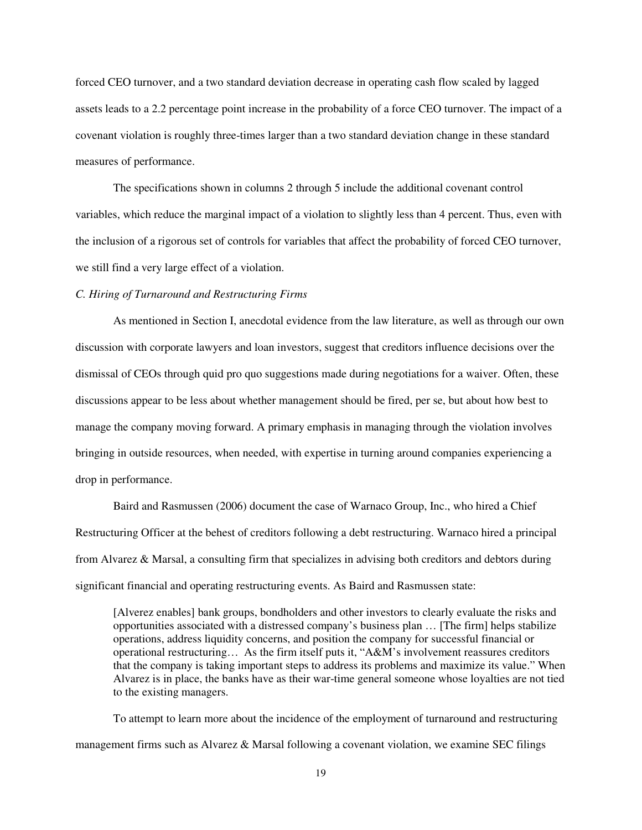forced CEO turnover, and a two standard deviation decrease in operating cash flow scaled by lagged assets leads to a 2.2 percentage point increase in the probability of a force CEO turnover. The impact of a covenant violation is roughly three-times larger than a two standard deviation change in these standard measures of performance.

The specifications shown in columns 2 through 5 include the additional covenant control variables, which reduce the marginal impact of a violation to slightly less than 4 percent. Thus, even with the inclusion of a rigorous set of controls for variables that affect the probability of forced CEO turnover, we still find a very large effect of a violation.

#### *C. Hiring of Turnaround and Restructuring Firms*

As mentioned in Section I, anecdotal evidence from the law literature, as well as through our own discussion with corporate lawyers and loan investors, suggest that creditors influence decisions over the dismissal of CEOs through quid pro quo suggestions made during negotiations for a waiver. Often, these discussions appear to be less about whether management should be fired, per se, but about how best to manage the company moving forward. A primary emphasis in managing through the violation involves bringing in outside resources, when needed, with expertise in turning around companies experiencing a drop in performance.

Baird and Rasmussen (2006) document the case of Warnaco Group, Inc., who hired a Chief Restructuring Officer at the behest of creditors following a debt restructuring. Warnaco hired a principal from Alvarez & Marsal, a consulting firm that specializes in advising both creditors and debtors during significant financial and operating restructuring events. As Baird and Rasmussen state:

[Alverez enables] bank groups, bondholders and other investors to clearly evaluate the risks and opportunities associated with a distressed company's business plan … [The firm] helps stabilize operations, address liquidity concerns, and position the company for successful financial or operational restructuring… As the firm itself puts it, "A&M's involvement reassures creditors that the company is taking important steps to address its problems and maximize its value." When Alvarez is in place, the banks have as their war-time general someone whose loyalties are not tied to the existing managers.

To attempt to learn more about the incidence of the employment of turnaround and restructuring management firms such as Alvarez & Marsal following a covenant violation, we examine SEC filings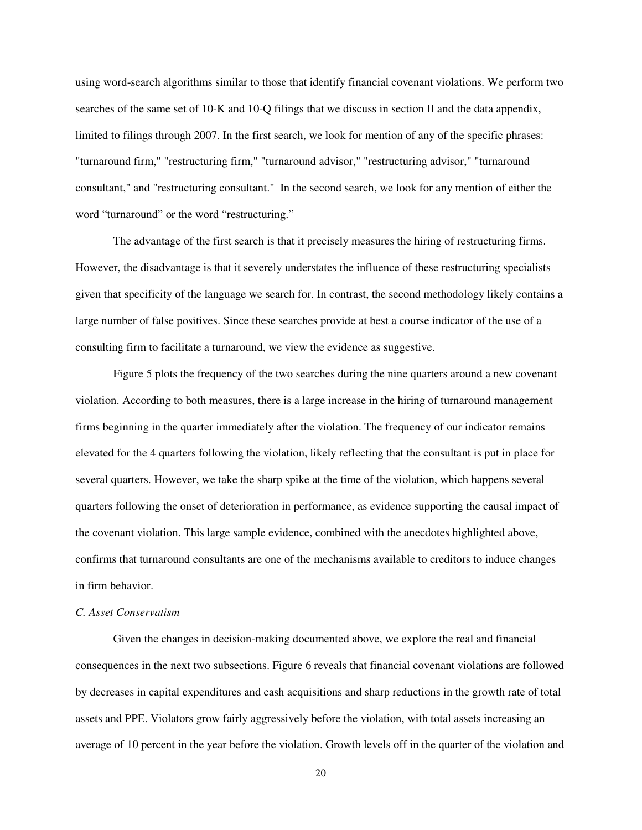using word-search algorithms similar to those that identify financial covenant violations. We perform two searches of the same set of 10-K and 10-Q filings that we discuss in section II and the data appendix, limited to filings through 2007. In the first search, we look for mention of any of the specific phrases: "turnaround firm," "restructuring firm," "turnaround advisor," "restructuring advisor," "turnaround consultant," and "restructuring consultant." In the second search, we look for any mention of either the word "turnaround" or the word "restructuring."

The advantage of the first search is that it precisely measures the hiring of restructuring firms. However, the disadvantage is that it severely understates the influence of these restructuring specialists given that specificity of the language we search for. In contrast, the second methodology likely contains a large number of false positives. Since these searches provide at best a course indicator of the use of a consulting firm to facilitate a turnaround, we view the evidence as suggestive.

Figure 5 plots the frequency of the two searches during the nine quarters around a new covenant violation. According to both measures, there is a large increase in the hiring of turnaround management firms beginning in the quarter immediately after the violation. The frequency of our indicator remains elevated for the 4 quarters following the violation, likely reflecting that the consultant is put in place for several quarters. However, we take the sharp spike at the time of the violation, which happens several quarters following the onset of deterioration in performance, as evidence supporting the causal impact of the covenant violation. This large sample evidence, combined with the anecdotes highlighted above, confirms that turnaround consultants are one of the mechanisms available to creditors to induce changes in firm behavior.

### *C. Asset Conservatism*

Given the changes in decision-making documented above, we explore the real and financial consequences in the next two subsections. Figure 6 reveals that financial covenant violations are followed by decreases in capital expenditures and cash acquisitions and sharp reductions in the growth rate of total assets and PPE. Violators grow fairly aggressively before the violation, with total assets increasing an average of 10 percent in the year before the violation. Growth levels off in the quarter of the violation and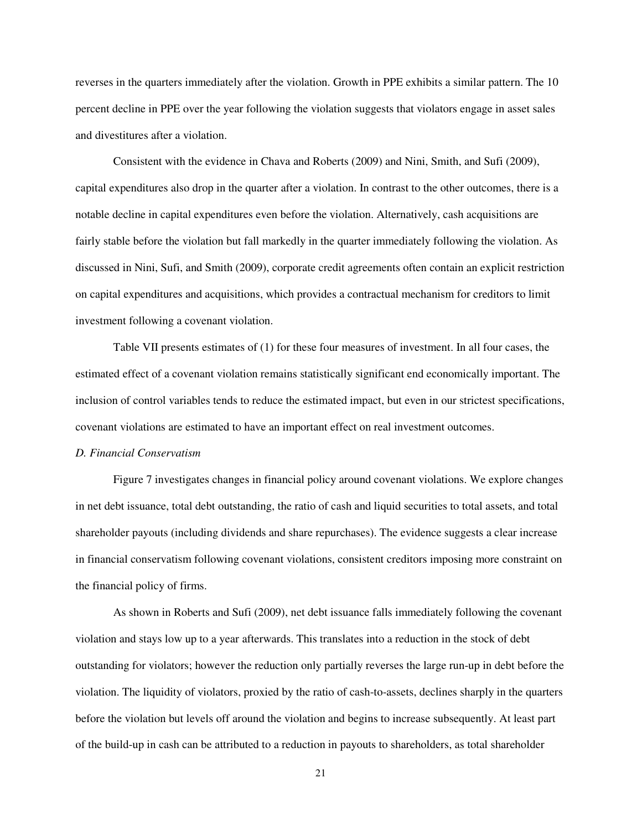reverses in the quarters immediately after the violation. Growth in PPE exhibits a similar pattern. The 10 percent decline in PPE over the year following the violation suggests that violators engage in asset sales and divestitures after a violation.

 Consistent with the evidence in Chava and Roberts (2009) and Nini, Smith, and Sufi (2009), capital expenditures also drop in the quarter after a violation. In contrast to the other outcomes, there is a notable decline in capital expenditures even before the violation. Alternatively, cash acquisitions are fairly stable before the violation but fall markedly in the quarter immediately following the violation. As discussed in Nini, Sufi, and Smith (2009), corporate credit agreements often contain an explicit restriction on capital expenditures and acquisitions, which provides a contractual mechanism for creditors to limit investment following a covenant violation.

 Table VII presents estimates of (1) for these four measures of investment. In all four cases, the estimated effect of a covenant violation remains statistically significant end economically important. The inclusion of control variables tends to reduce the estimated impact, but even in our strictest specifications, covenant violations are estimated to have an important effect on real investment outcomes.

### *D. Financial Conservatism*

Figure 7 investigates changes in financial policy around covenant violations. We explore changes in net debt issuance, total debt outstanding, the ratio of cash and liquid securities to total assets, and total shareholder payouts (including dividends and share repurchases). The evidence suggests a clear increase in financial conservatism following covenant violations, consistent creditors imposing more constraint on the financial policy of firms.

As shown in Roberts and Sufi (2009), net debt issuance falls immediately following the covenant violation and stays low up to a year afterwards. This translates into a reduction in the stock of debt outstanding for violators; however the reduction only partially reverses the large run-up in debt before the violation. The liquidity of violators, proxied by the ratio of cash-to-assets, declines sharply in the quarters before the violation but levels off around the violation and begins to increase subsequently. At least part of the build-up in cash can be attributed to a reduction in payouts to shareholders, as total shareholder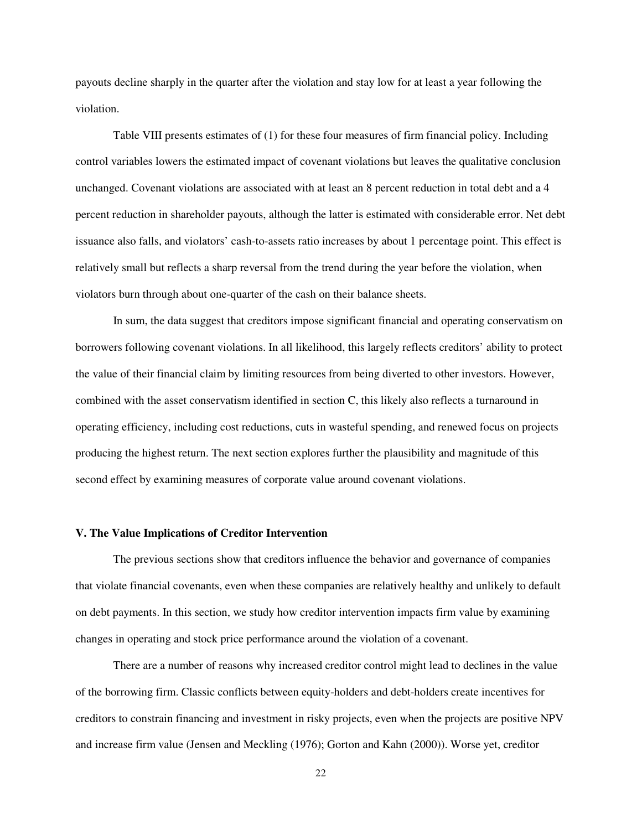payouts decline sharply in the quarter after the violation and stay low for at least a year following the violation.

Table VIII presents estimates of (1) for these four measures of firm financial policy. Including control variables lowers the estimated impact of covenant violations but leaves the qualitative conclusion unchanged. Covenant violations are associated with at least an 8 percent reduction in total debt and a 4 percent reduction in shareholder payouts, although the latter is estimated with considerable error. Net debt issuance also falls, and violators' cash-to-assets ratio increases by about 1 percentage point. This effect is relatively small but reflects a sharp reversal from the trend during the year before the violation, when violators burn through about one-quarter of the cash on their balance sheets.

In sum, the data suggest that creditors impose significant financial and operating conservatism on borrowers following covenant violations. In all likelihood, this largely reflects creditors' ability to protect the value of their financial claim by limiting resources from being diverted to other investors. However, combined with the asset conservatism identified in section C, this likely also reflects a turnaround in operating efficiency, including cost reductions, cuts in wasteful spending, and renewed focus on projects producing the highest return. The next section explores further the plausibility and magnitude of this second effect by examining measures of corporate value around covenant violations.

#### **V. The Value Implications of Creditor Intervention**

The previous sections show that creditors influence the behavior and governance of companies that violate financial covenants, even when these companies are relatively healthy and unlikely to default on debt payments. In this section, we study how creditor intervention impacts firm value by examining changes in operating and stock price performance around the violation of a covenant.

There are a number of reasons why increased creditor control might lead to declines in the value of the borrowing firm. Classic conflicts between equity-holders and debt-holders create incentives for creditors to constrain financing and investment in risky projects, even when the projects are positive NPV and increase firm value (Jensen and Meckling (1976); Gorton and Kahn (2000)). Worse yet, creditor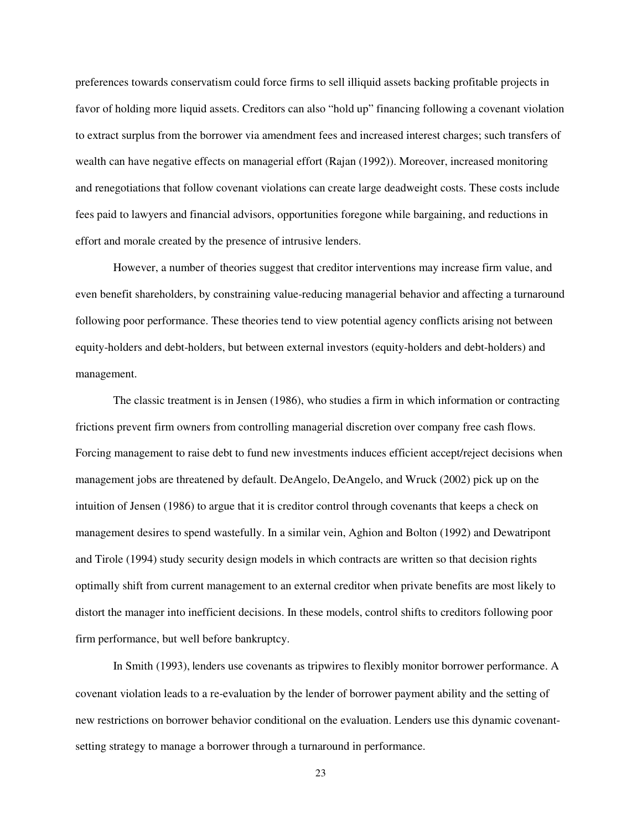preferences towards conservatism could force firms to sell illiquid assets backing profitable projects in favor of holding more liquid assets. Creditors can also "hold up" financing following a covenant violation to extract surplus from the borrower via amendment fees and increased interest charges; such transfers of wealth can have negative effects on managerial effort (Rajan (1992)). Moreover, increased monitoring and renegotiations that follow covenant violations can create large deadweight costs. These costs include fees paid to lawyers and financial advisors, opportunities foregone while bargaining, and reductions in effort and morale created by the presence of intrusive lenders.

However, a number of theories suggest that creditor interventions may increase firm value, and even benefit shareholders, by constraining value-reducing managerial behavior and affecting a turnaround following poor performance. These theories tend to view potential agency conflicts arising not between equity-holders and debt-holders, but between external investors (equity-holders and debt-holders) and management.

The classic treatment is in Jensen (1986), who studies a firm in which information or contracting frictions prevent firm owners from controlling managerial discretion over company free cash flows. Forcing management to raise debt to fund new investments induces efficient accept/reject decisions when management jobs are threatened by default. DeAngelo, DeAngelo, and Wruck (2002) pick up on the intuition of Jensen (1986) to argue that it is creditor control through covenants that keeps a check on management desires to spend wastefully. In a similar vein, Aghion and Bolton (1992) and Dewatripont and Tirole (1994) study security design models in which contracts are written so that decision rights optimally shift from current management to an external creditor when private benefits are most likely to distort the manager into inefficient decisions. In these models, control shifts to creditors following poor firm performance, but well before bankruptcy.

In Smith (1993), lenders use covenants as tripwires to flexibly monitor borrower performance. A covenant violation leads to a re-evaluation by the lender of borrower payment ability and the setting of new restrictions on borrower behavior conditional on the evaluation. Lenders use this dynamic covenantsetting strategy to manage a borrower through a turnaround in performance.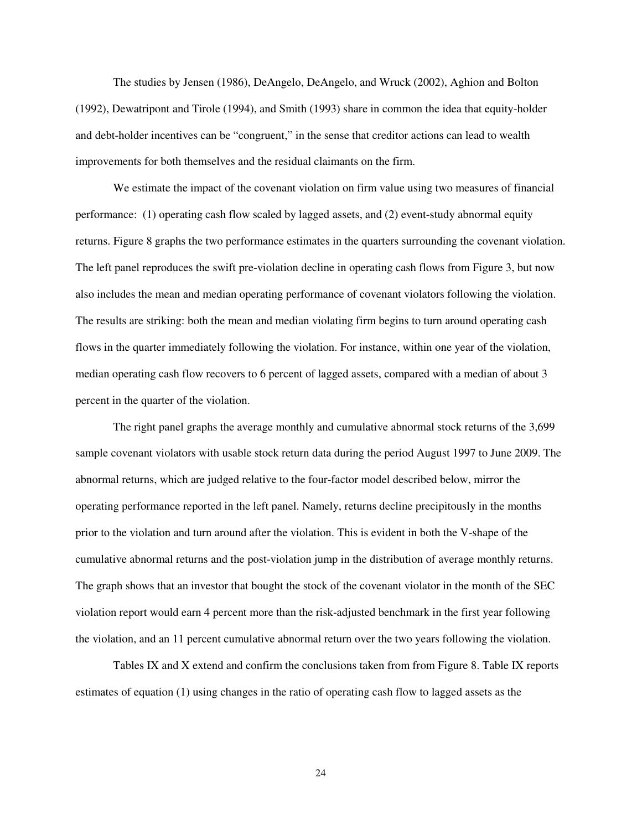The studies by Jensen (1986), DeAngelo, DeAngelo, and Wruck (2002), Aghion and Bolton (1992), Dewatripont and Tirole (1994), and Smith (1993) share in common the idea that equity-holder and debt-holder incentives can be "congruent," in the sense that creditor actions can lead to wealth improvements for both themselves and the residual claimants on the firm.

We estimate the impact of the covenant violation on firm value using two measures of financial performance: (1) operating cash flow scaled by lagged assets, and (2) event-study abnormal equity returns. Figure 8 graphs the two performance estimates in the quarters surrounding the covenant violation. The left panel reproduces the swift pre-violation decline in operating cash flows from Figure 3, but now also includes the mean and median operating performance of covenant violators following the violation. The results are striking: both the mean and median violating firm begins to turn around operating cash flows in the quarter immediately following the violation. For instance, within one year of the violation, median operating cash flow recovers to 6 percent of lagged assets, compared with a median of about 3 percent in the quarter of the violation.

The right panel graphs the average monthly and cumulative abnormal stock returns of the 3,699 sample covenant violators with usable stock return data during the period August 1997 to June 2009. The abnormal returns, which are judged relative to the four-factor model described below, mirror the operating performance reported in the left panel. Namely, returns decline precipitously in the months prior to the violation and turn around after the violation. This is evident in both the V-shape of the cumulative abnormal returns and the post-violation jump in the distribution of average monthly returns. The graph shows that an investor that bought the stock of the covenant violator in the month of the SEC violation report would earn 4 percent more than the risk-adjusted benchmark in the first year following the violation, and an 11 percent cumulative abnormal return over the two years following the violation.

Tables IX and X extend and confirm the conclusions taken from from Figure 8. Table IX reports estimates of equation (1) using changes in the ratio of operating cash flow to lagged assets as the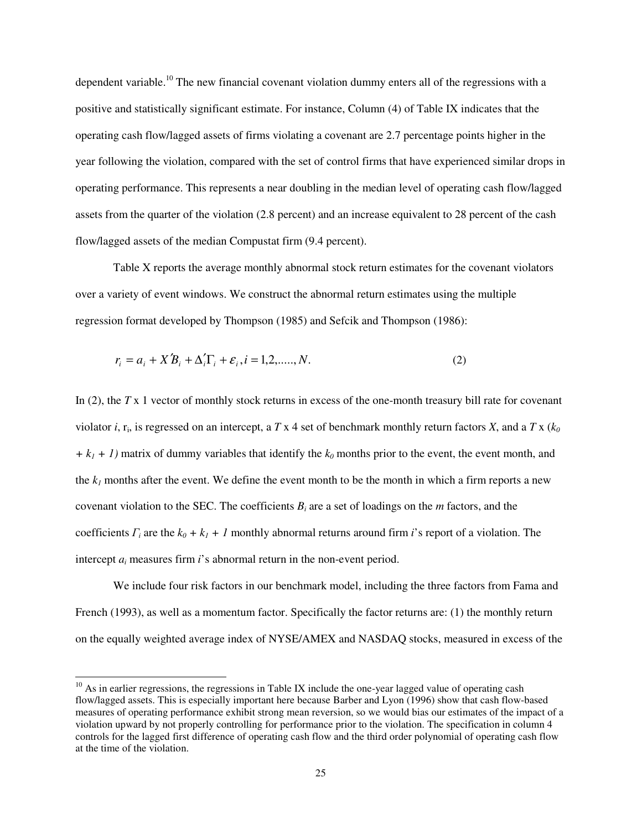dependent variable.<sup>10</sup> The new financial covenant violation dummy enters all of the regressions with a positive and statistically significant estimate. For instance, Column (4) of Table IX indicates that the operating cash flow/lagged assets of firms violating a covenant are 2.7 percentage points higher in the year following the violation, compared with the set of control firms that have experienced similar drops in operating performance. This represents a near doubling in the median level of operating cash flow/lagged assets from the quarter of the violation (2.8 percent) and an increase equivalent to 28 percent of the cash flow/lagged assets of the median Compustat firm (9.4 percent).

Table X reports the average monthly abnormal stock return estimates for the covenant violators over a variety of event windows. We construct the abnormal return estimates using the multiple regression format developed by Thompson (1985) and Sefcik and Thompson (1986):

$$
r_i = a_i + X' B_i + \Delta'_i \Gamma_i + \varepsilon_i, i = 1, 2, \dots, N. \tag{2}
$$

In (2), the *T* x 1 vector of monthly stock returns in excess of the one-month treasury bill rate for covenant violator *i*,  $r_i$ , is regressed on an intercept, a T x 4 set of benchmark monthly return factors X, and a T x ( $k_0$ ) *+ k1 + 1)* matrix of dummy variables that identify the *k<sup>0</sup>* months prior to the event, the event month, and the  $k_I$  months after the event. We define the event month to be the month in which a firm reports a new covenant violation to the SEC. The coefficients  $B_i$  are a set of loadings on the *m* factors, and the coefficients  $\Gamma_i$  are the  $k_0 + k_1 + 1$  monthly abnormal returns around firm *i*'s report of a violation. The intercept  $a_i$  measures firm  $i$ 's abnormal return in the non-event period.

We include four risk factors in our benchmark model, including the three factors from Fama and French (1993), as well as a momentum factor. Specifically the factor returns are: (1) the monthly return on the equally weighted average index of NYSE/AMEX and NASDAQ stocks, measured in excess of the

 $\overline{a}$ 

<sup>&</sup>lt;sup>10</sup> As in earlier regressions, the regressions in Table IX include the one-year lagged value of operating cash flow/lagged assets. This is especially important here because Barber and Lyon (1996) show that cash flow-based measures of operating performance exhibit strong mean reversion, so we would bias our estimates of the impact of a violation upward by not properly controlling for performance prior to the violation. The specification in column 4 controls for the lagged first difference of operating cash flow and the third order polynomial of operating cash flow at the time of the violation.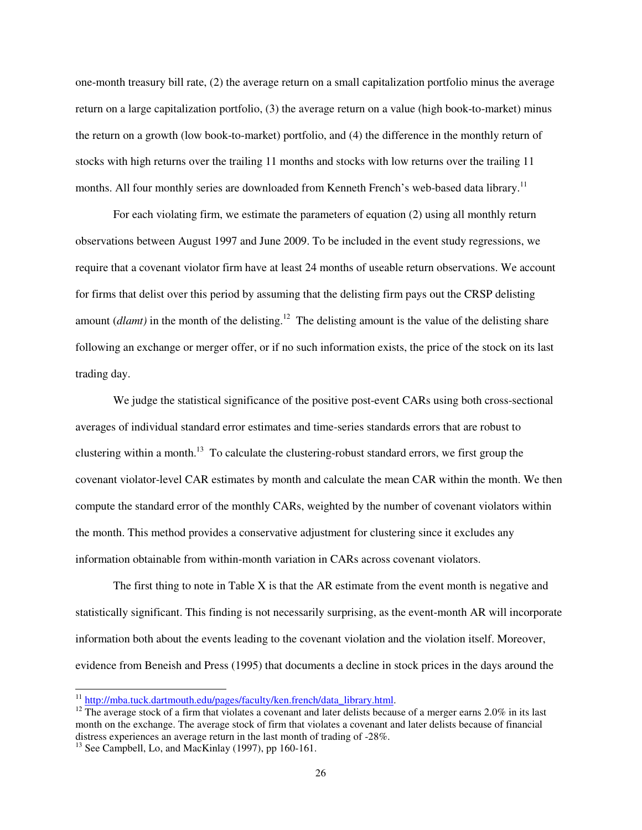one-month treasury bill rate, (2) the average return on a small capitalization portfolio minus the average return on a large capitalization portfolio, (3) the average return on a value (high book-to-market) minus the return on a growth (low book-to-market) portfolio, and (4) the difference in the monthly return of stocks with high returns over the trailing 11 months and stocks with low returns over the trailing 11 months. All four monthly series are downloaded from Kenneth French's web-based data library.<sup>11</sup>

For each violating firm, we estimate the parameters of equation (2) using all monthly return observations between August 1997 and June 2009. To be included in the event study regressions, we require that a covenant violator firm have at least 24 months of useable return observations. We account for firms that delist over this period by assuming that the delisting firm pays out the CRSP delisting amount *(dlamt)* in the month of the delisting.<sup>12</sup> The delisting amount is the value of the delisting share following an exchange or merger offer, or if no such information exists, the price of the stock on its last trading day.

We judge the statistical significance of the positive post-event CARs using both cross-sectional averages of individual standard error estimates and time-series standards errors that are robust to clustering within a month.<sup>13</sup> To calculate the clustering-robust standard errors, we first group the covenant violator-level CAR estimates by month and calculate the mean CAR within the month. We then compute the standard error of the monthly CARs, weighted by the number of covenant violators within the month. This method provides a conservative adjustment for clustering since it excludes any information obtainable from within-month variation in CARs across covenant violators.

The first thing to note in Table X is that the AR estimate from the event month is negative and statistically significant. This finding is not necessarily surprising, as the event-month AR will incorporate information both about the events leading to the covenant violation and the violation itself. Moreover, evidence from Beneish and Press (1995) that documents a decline in stock prices in the days around the

 $\overline{\phantom{0}}$ 

<sup>&</sup>lt;sup>11</sup> http://mba.tuck.dartmouth.edu/pages/faculty/ken.french/data\_library.html.

<sup>&</sup>lt;sup>12</sup> The average stock of a firm that violates a covenant and later delists because of a merger earns 2.0% in its last month on the exchange. The average stock of firm that violates a covenant and later delists because of financial distress experiences an average return in the last month of trading of -28%.

 $13$  See Campbell, Lo, and MacKinlay (1997), pp 160-161.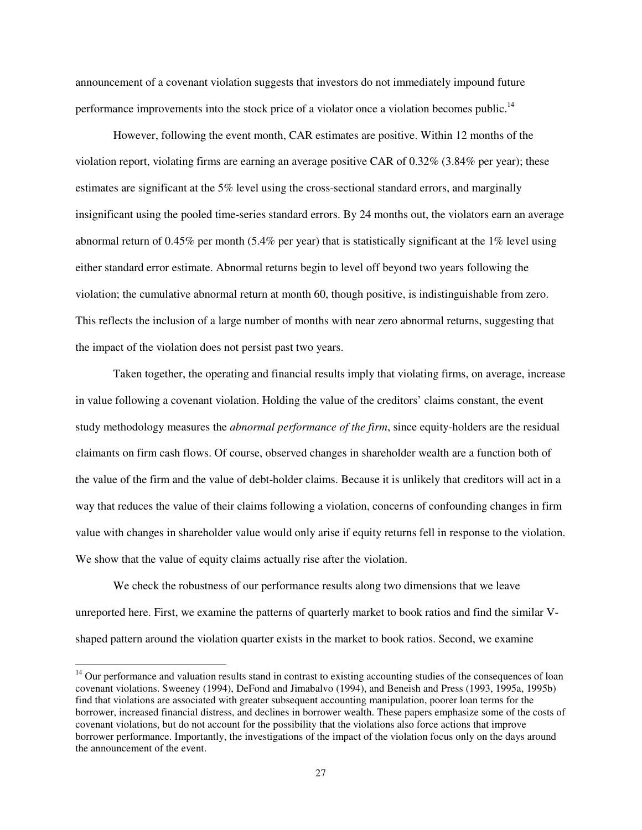announcement of a covenant violation suggests that investors do not immediately impound future performance improvements into the stock price of a violator once a violation becomes public.<sup>14</sup>

However, following the event month, CAR estimates are positive. Within 12 months of the violation report, violating firms are earning an average positive CAR of 0.32% (3.84% per year); these estimates are significant at the 5% level using the cross-sectional standard errors, and marginally insignificant using the pooled time-series standard errors. By 24 months out, the violators earn an average abnormal return of 0.45% per month (5.4% per year) that is statistically significant at the 1% level using either standard error estimate. Abnormal returns begin to level off beyond two years following the violation; the cumulative abnormal return at month 60, though positive, is indistinguishable from zero. This reflects the inclusion of a large number of months with near zero abnormal returns, suggesting that the impact of the violation does not persist past two years.

Taken together, the operating and financial results imply that violating firms, on average, increase in value following a covenant violation. Holding the value of the creditors' claims constant, the event study methodology measures the *abnormal performance of the firm*, since equity-holders are the residual claimants on firm cash flows. Of course, observed changes in shareholder wealth are a function both of the value of the firm and the value of debt-holder claims. Because it is unlikely that creditors will act in a way that reduces the value of their claims following a violation, concerns of confounding changes in firm value with changes in shareholder value would only arise if equity returns fell in response to the violation. We show that the value of equity claims actually rise after the violation.

We check the robustness of our performance results along two dimensions that we leave unreported here. First, we examine the patterns of quarterly market to book ratios and find the similar Vshaped pattern around the violation quarter exists in the market to book ratios. Second, we examine

 $\overline{a}$ 

<sup>&</sup>lt;sup>14</sup> Our performance and valuation results stand in contrast to existing accounting studies of the consequences of loan covenant violations. Sweeney (1994), DeFond and Jimabalvo (1994), and Beneish and Press (1993, 1995a, 1995b) find that violations are associated with greater subsequent accounting manipulation, poorer loan terms for the borrower, increased financial distress, and declines in borrower wealth. These papers emphasize some of the costs of covenant violations, but do not account for the possibility that the violations also force actions that improve borrower performance. Importantly, the investigations of the impact of the violation focus only on the days around the announcement of the event.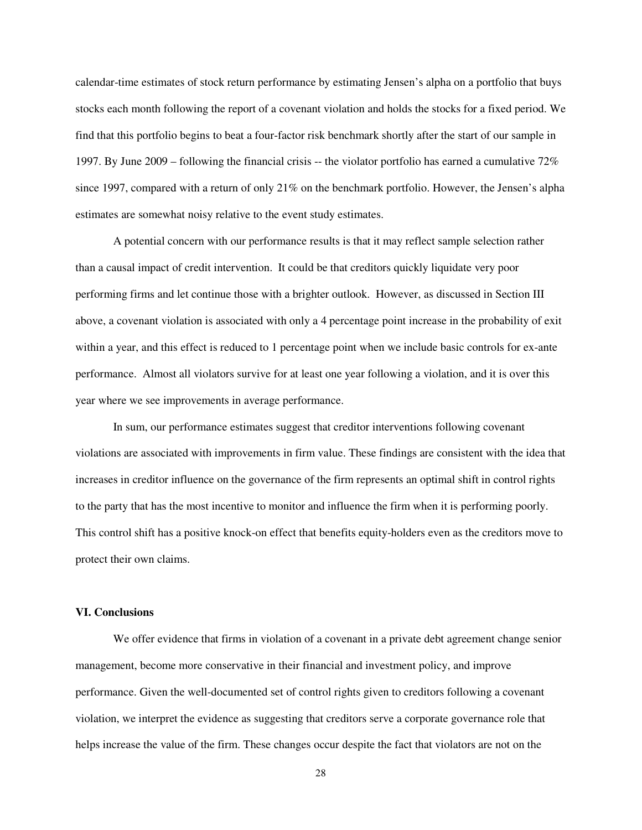calendar-time estimates of stock return performance by estimating Jensen's alpha on a portfolio that buys stocks each month following the report of a covenant violation and holds the stocks for a fixed period. We find that this portfolio begins to beat a four-factor risk benchmark shortly after the start of our sample in 1997. By June 2009 – following the financial crisis -- the violator portfolio has earned a cumulative 72% since 1997, compared with a return of only 21% on the benchmark portfolio. However, the Jensen's alpha estimates are somewhat noisy relative to the event study estimates.

A potential concern with our performance results is that it may reflect sample selection rather than a causal impact of credit intervention. It could be that creditors quickly liquidate very poor performing firms and let continue those with a brighter outlook. However, as discussed in Section III above, a covenant violation is associated with only a 4 percentage point increase in the probability of exit within a year, and this effect is reduced to 1 percentage point when we include basic controls for ex-ante performance. Almost all violators survive for at least one year following a violation, and it is over this year where we see improvements in average performance.

In sum, our performance estimates suggest that creditor interventions following covenant violations are associated with improvements in firm value. These findings are consistent with the idea that increases in creditor influence on the governance of the firm represents an optimal shift in control rights to the party that has the most incentive to monitor and influence the firm when it is performing poorly. This control shift has a positive knock-on effect that benefits equity-holders even as the creditors move to protect their own claims.

### **VI. Conclusions**

We offer evidence that firms in violation of a covenant in a private debt agreement change senior management, become more conservative in their financial and investment policy, and improve performance. Given the well-documented set of control rights given to creditors following a covenant violation, we interpret the evidence as suggesting that creditors serve a corporate governance role that helps increase the value of the firm. These changes occur despite the fact that violators are not on the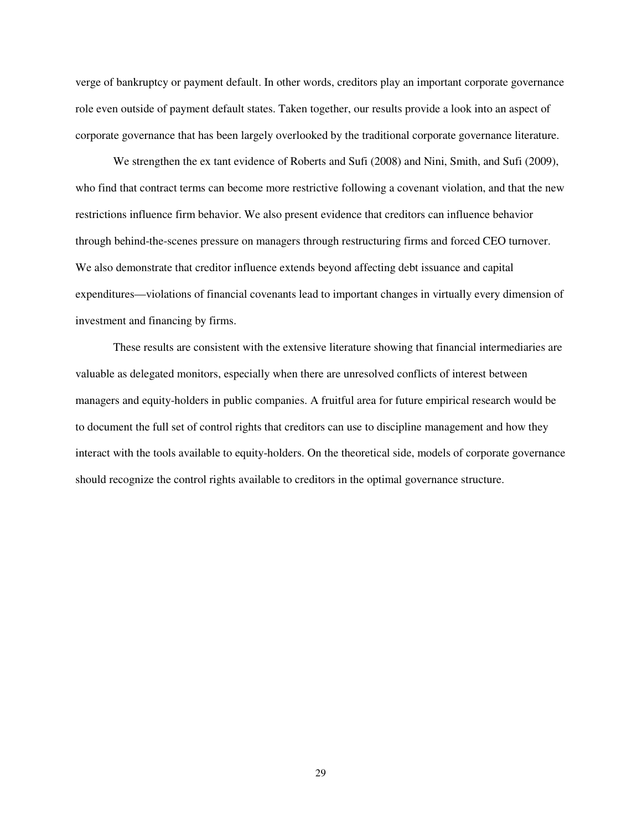verge of bankruptcy or payment default. In other words, creditors play an important corporate governance role even outside of payment default states. Taken together, our results provide a look into an aspect of corporate governance that has been largely overlooked by the traditional corporate governance literature.

We strengthen the ex tant evidence of Roberts and Sufi (2008) and Nini, Smith, and Sufi (2009), who find that contract terms can become more restrictive following a covenant violation, and that the new restrictions influence firm behavior. We also present evidence that creditors can influence behavior through behind-the-scenes pressure on managers through restructuring firms and forced CEO turnover. We also demonstrate that creditor influence extends beyond affecting debt issuance and capital expenditures—violations of financial covenants lead to important changes in virtually every dimension of investment and financing by firms.

These results are consistent with the extensive literature showing that financial intermediaries are valuable as delegated monitors, especially when there are unresolved conflicts of interest between managers and equity-holders in public companies. A fruitful area for future empirical research would be to document the full set of control rights that creditors can use to discipline management and how they interact with the tools available to equity-holders. On the theoretical side, models of corporate governance should recognize the control rights available to creditors in the optimal governance structure.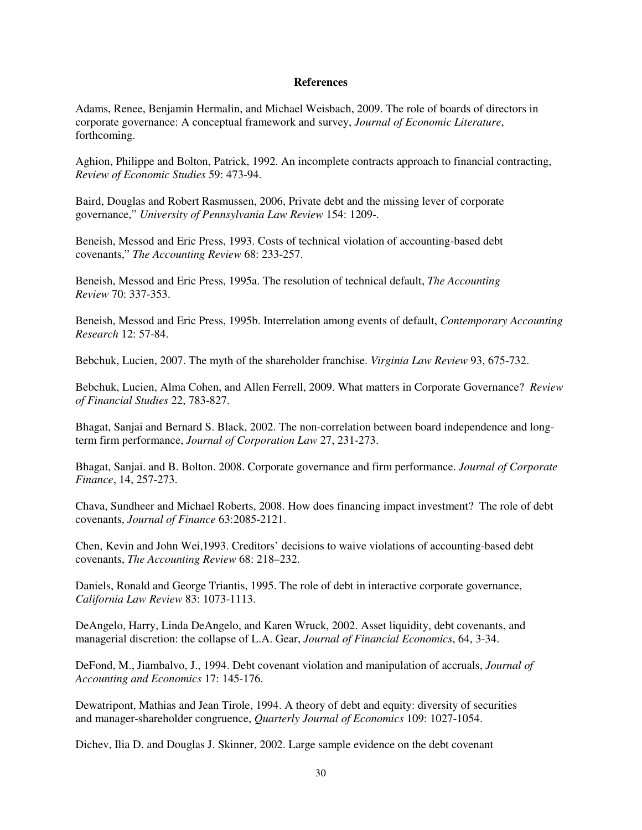#### **References**

Adams, Renee, Benjamin Hermalin, and Michael Weisbach, 2009. The role of boards of directors in corporate governance: A conceptual framework and survey, *Journal of Economic Literature*, forthcoming.

Aghion, Philippe and Bolton, Patrick, 1992. An incomplete contracts approach to financial contracting, *Review of Economic Studies* 59: 473-94.

Baird, Douglas and Robert Rasmussen, 2006, Private debt and the missing lever of corporate governance," *University of Pennsylvania Law Review* 154: 1209-.

Beneish, Messod and Eric Press, 1993. Costs of technical violation of accounting-based debt covenants," *The Accounting Review* 68: 233-257.

Beneish, Messod and Eric Press, 1995a. The resolution of technical default, *The Accounting Review* 70: 337-353.

Beneish, Messod and Eric Press, 1995b. Interrelation among events of default, *Contemporary Accounting Research* 12: 57-84.

Bebchuk, Lucien, 2007. The myth of the shareholder franchise. *Virginia Law Review* 93, 675-732.

Bebchuk, Lucien, Alma Cohen, and Allen Ferrell, 2009. What matters in Corporate Governance? *Review of Financial Studies* 22, 783-827.

Bhagat, Sanjai and Bernard S. Black, 2002. The non-correlation between board independence and longterm firm performance, *Journal of Corporation Law* 27, 231-273.

Bhagat, Sanjai. and B. Bolton. 2008. Corporate governance and firm performance. *Journal of Corporate Finance*, 14, 257-273.

Chava, Sundheer and Michael Roberts, 2008. How does financing impact investment? The role of debt covenants, *Journal of Finance* 63:2085-2121.

Chen, Kevin and John Wei,1993. Creditors' decisions to waive violations of accounting-based debt covenants, *The Accounting Review* 68: 218–232.

Daniels, Ronald and George Triantis, 1995. The role of debt in interactive corporate governance, *California Law Review* 83: 1073-1113.

DeAngelo, Harry, Linda DeAngelo, and Karen Wruck, 2002. Asset liquidity, debt covenants, and managerial discretion: the collapse of L.A. Gear, *Journal of Financial Economics*, 64, 3-34.

DeFond, M., Jiambalvo, J., 1994. Debt covenant violation and manipulation of accruals, *Journal of Accounting and Economics* 17: 145-176.

Dewatripont, Mathias and Jean Tirole, 1994. A theory of debt and equity: diversity of securities and manager-shareholder congruence, *Quarterly Journal of Economics* 109: 1027-1054.

Dichev, Ilia D. and Douglas J. Skinner, 2002. Large sample evidence on the debt covenant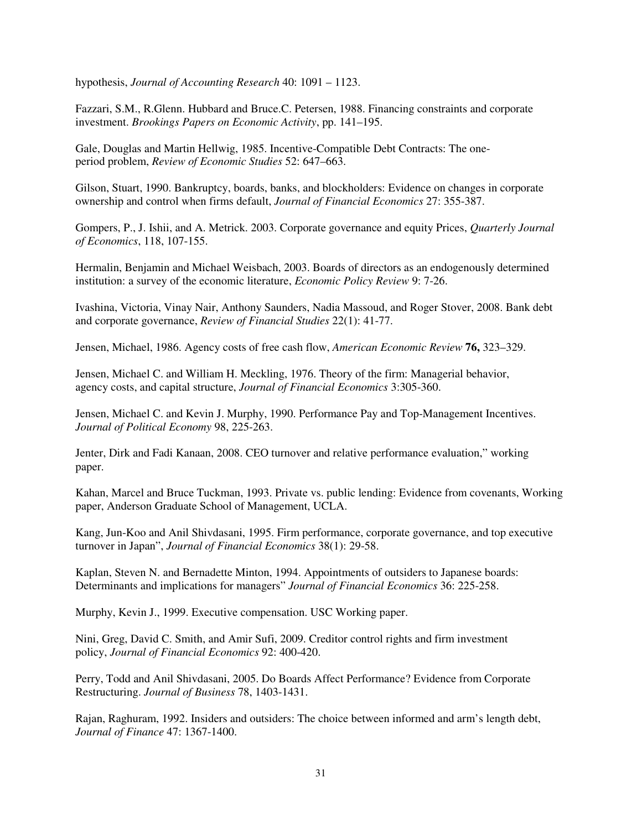hypothesis, *Journal of Accounting Research* 40: 1091 – 1123.

Fazzari, S.M., R.Glenn. Hubbard and Bruce.C. Petersen, 1988. Financing constraints and corporate investment. *Brookings Papers on Economic Activity*, pp. 141–195.

Gale, Douglas and Martin Hellwig, 1985. Incentive-Compatible Debt Contracts: The oneperiod problem, *Review of Economic Studies* 52: 647–663.

Gilson, Stuart, 1990. Bankruptcy, boards, banks, and blockholders: Evidence on changes in corporate ownership and control when firms default, *Journal of Financial Economics* 27: 355-387.

Gompers, P., J. Ishii, and A. Metrick. 2003. Corporate governance and equity Prices, *Quarterly Journal of Economics*, 118, 107-155.

Hermalin, Benjamin and Michael Weisbach, 2003. Boards of directors as an endogenously determined institution: a survey of the economic literature, *Economic Policy Review* 9: 7-26.

Ivashina, Victoria, Vinay Nair, Anthony Saunders, Nadia Massoud, and Roger Stover, 2008. Bank debt and corporate governance, *Review of Financial Studies* 22(1): 41-77.

Jensen, Michael, 1986. Agency costs of free cash flow, *American Economic Review* **76,** 323–329.

Jensen, Michael C. and William H. Meckling, 1976. Theory of the firm: Managerial behavior, agency costs, and capital structure, *Journal of Financial Economics* 3:305-360.

Jensen, Michael C. and Kevin J. Murphy, 1990. Performance Pay and Top-Management Incentives. *Journal of Political Economy* 98, 225-263.

Jenter, Dirk and Fadi Kanaan, 2008. CEO turnover and relative performance evaluation," working paper.

Kahan, Marcel and Bruce Tuckman, 1993. Private vs. public lending: Evidence from covenants, Working paper, Anderson Graduate School of Management, UCLA.

Kang, Jun-Koo and Anil Shivdasani, 1995. Firm performance, corporate governance, and top executive turnover in Japan", *Journal of Financial Economics* 38(1): 29-58.

Kaplan, Steven N. and Bernadette Minton, 1994. Appointments of outsiders to Japanese boards: Determinants and implications for managers" *Journal of Financial Economics* 36: 225-258.

Murphy, Kevin J., 1999. Executive compensation. USC Working paper.

Nini, Greg, David C. Smith, and Amir Sufi, 2009. Creditor control rights and firm investment policy, *Journal of Financial Economics* 92: 400-420.

Perry, Todd and Anil Shivdasani, 2005. Do Boards Affect Performance? Evidence from Corporate Restructuring. *Journal of Business* 78, 1403-1431.

Rajan, Raghuram, 1992. Insiders and outsiders: The choice between informed and arm's length debt, *Journal of Finance* 47: 1367-1400.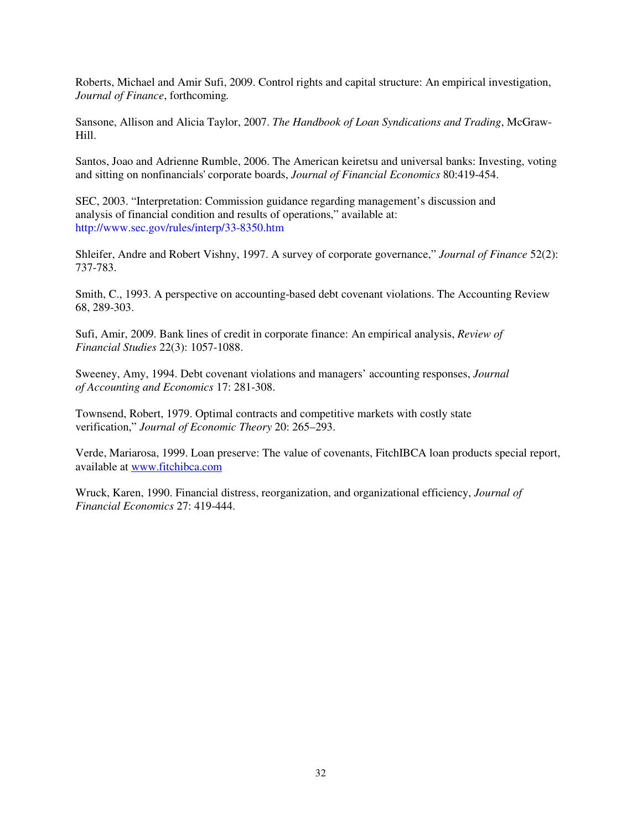Roberts, Michael and Amir Sufi, 2009. Control rights and capital structure: An empirical investigation, *Journal of Finance*, forthcoming*.* 

Sansone, Allison and Alicia Taylor, 2007. *The Handbook of Loan Syndications and Trading*, McGraw-Hill.

Santos, Joao and Adrienne Rumble, 2006. The American keiretsu and universal banks: Investing, voting and sitting on nonfinancials' corporate boards, *Journal of Financial Economics* 80:419-454.

SEC, 2003. "Interpretation: Commission guidance regarding management's discussion and analysis of financial condition and results of operations," available at: http://www.sec.gov/rules/interp/33-8350.htm

Shleifer, Andre and Robert Vishny, 1997. A survey of corporate governance," *Journal of Finance* 52(2): 737-783.

Smith, C., 1993. A perspective on accounting-based debt covenant violations. The Accounting Review 68, 289-303.

Sufi, Amir, 2009. Bank lines of credit in corporate finance: An empirical analysis, *Review of Financial Studies* 22(3): 1057-1088.

Sweeney, Amy, 1994. Debt covenant violations and managers' accounting responses, *Journal of Accounting and Economics* 17: 281-308.

Townsend, Robert, 1979. Optimal contracts and competitive markets with costly state verification," *Journal of Economic Theory* 20: 265–293.

Verde, Mariarosa, 1999. Loan preserve: The value of covenants, FitchIBCA loan products special report, available at www.fitchibca.com

Wruck, Karen, 1990. Financial distress, reorganization, and organizational efficiency, *Journal of Financial Economics* 27: 419-444.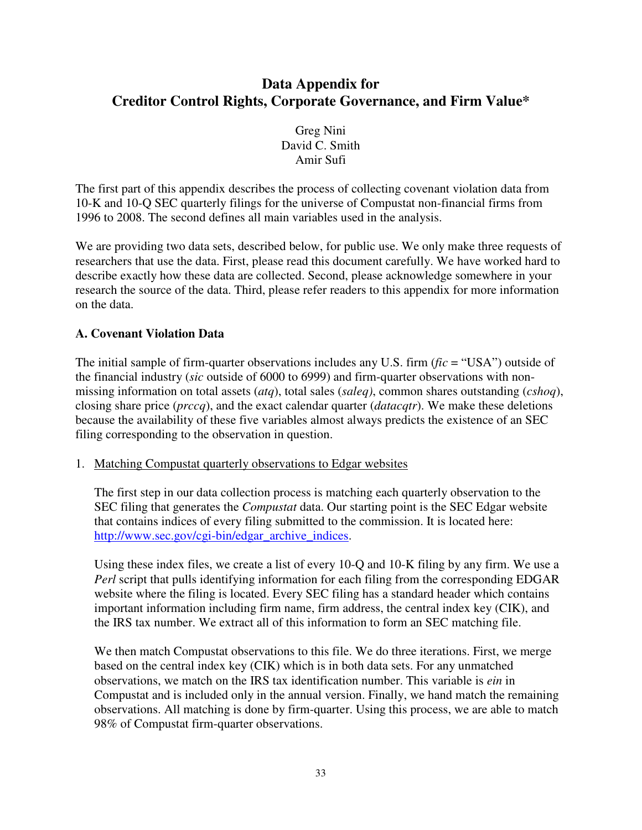# **Data Appendix for Creditor Control Rights, Corporate Governance, and Firm Value\***

Greg Nini David C. Smith Amir Sufi

The first part of this appendix describes the process of collecting covenant violation data from 10-K and 10-Q SEC quarterly filings for the universe of Compustat non-financial firms from 1996 to 2008. The second defines all main variables used in the analysis.

We are providing two data sets, described below, for public use. We only make three requests of researchers that use the data. First, please read this document carefully. We have worked hard to describe exactly how these data are collected. Second, please acknowledge somewhere in your research the source of the data. Third, please refer readers to this appendix for more information on the data.

# **A. Covenant Violation Data**

The initial sample of firm-quarter observations includes any U.S. firm (*fic* = "USA") outside of the financial industry (*sic* outside of 6000 to 6999) and firm-quarter observations with nonmissing information on total assets (*atq*), total sales (*saleq)*, common shares outstanding (*cshoq*), closing share price (*prccq*), and the exact calendar quarter (*datacqtr*). We make these deletions because the availability of these five variables almost always predicts the existence of an SEC filing corresponding to the observation in question.

1. Matching Compustat quarterly observations to Edgar websites

The first step in our data collection process is matching each quarterly observation to the SEC filing that generates the *Compustat* data. Our starting point is the SEC Edgar website that contains indices of every filing submitted to the commission. It is located here: http://www.sec.gov/cgi-bin/edgar\_archive\_indices.

Using these index files, we create a list of every 10-Q and 10-K filing by any firm. We use a *Perl* script that pulls identifying information for each filing from the corresponding EDGAR website where the filing is located. Every SEC filing has a standard header which contains important information including firm name, firm address, the central index key (CIK), and the IRS tax number. We extract all of this information to form an SEC matching file.

We then match Compustat observations to this file. We do three iterations. First, we merge based on the central index key (CIK) which is in both data sets. For any unmatched observations, we match on the IRS tax identification number. This variable is *ein* in Compustat and is included only in the annual version. Finally, we hand match the remaining observations. All matching is done by firm-quarter. Using this process, we are able to match 98% of Compustat firm-quarter observations.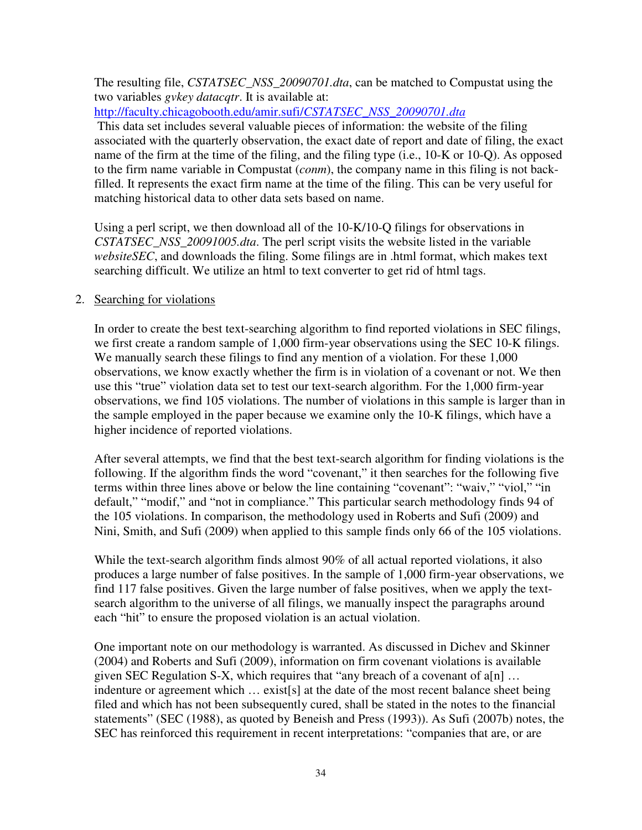The resulting file, *CSTATSEC\_NSS\_20090701.dta*, can be matched to Compustat using the two variables *gvkey datacqtr*. It is available at:

http://faculty.chicagobooth.edu/amir.sufi/*CSTATSEC\_NSS\_20090701.dta*

 This data set includes several valuable pieces of information: the website of the filing associated with the quarterly observation, the exact date of report and date of filing, the exact name of the firm at the time of the filing, and the filing type (i.e., 10-K or 10-Q). As opposed to the firm name variable in Compustat (*conm*), the company name in this filing is not backfilled. It represents the exact firm name at the time of the filing. This can be very useful for matching historical data to other data sets based on name.

Using a perl script, we then download all of the 10-K/10-Q filings for observations in *CSTATSEC\_NSS\_20091005.dta*. The perl script visits the website listed in the variable *websiteSEC*, and downloads the filing. Some filings are in .html format, which makes text searching difficult. We utilize an html to text converter to get rid of html tags.

# 2. Searching for violations

In order to create the best text-searching algorithm to find reported violations in SEC filings, we first create a random sample of 1,000 firm-year observations using the SEC 10-K filings. We manually search these filings to find any mention of a violation. For these 1,000 observations, we know exactly whether the firm is in violation of a covenant or not. We then use this "true" violation data set to test our text-search algorithm. For the 1,000 firm-year observations, we find 105 violations. The number of violations in this sample is larger than in the sample employed in the paper because we examine only the 10-K filings, which have a higher incidence of reported violations.

After several attempts, we find that the best text-search algorithm for finding violations is the following. If the algorithm finds the word "covenant," it then searches for the following five terms within three lines above or below the line containing "covenant": "waiv," "viol," "in default," "modif," and "not in compliance." This particular search methodology finds 94 of the 105 violations. In comparison, the methodology used in Roberts and Sufi (2009) and Nini, Smith, and Sufi (2009) when applied to this sample finds only 66 of the 105 violations.

While the text-search algorithm finds almost 90% of all actual reported violations, it also produces a large number of false positives. In the sample of 1,000 firm-year observations, we find 117 false positives. Given the large number of false positives, when we apply the textsearch algorithm to the universe of all filings, we manually inspect the paragraphs around each "hit" to ensure the proposed violation is an actual violation.

One important note on our methodology is warranted. As discussed in Dichev and Skinner (2004) and Roberts and Sufi (2009), information on firm covenant violations is available given SEC Regulation S-X, which requires that "any breach of a covenant of  $a[n]$  ... indenture or agreement which … exist[s] at the date of the most recent balance sheet being filed and which has not been subsequently cured, shall be stated in the notes to the financial statements" (SEC (1988), as quoted by Beneish and Press (1993)). As Sufi (2007b) notes, the SEC has reinforced this requirement in recent interpretations: "companies that are, or are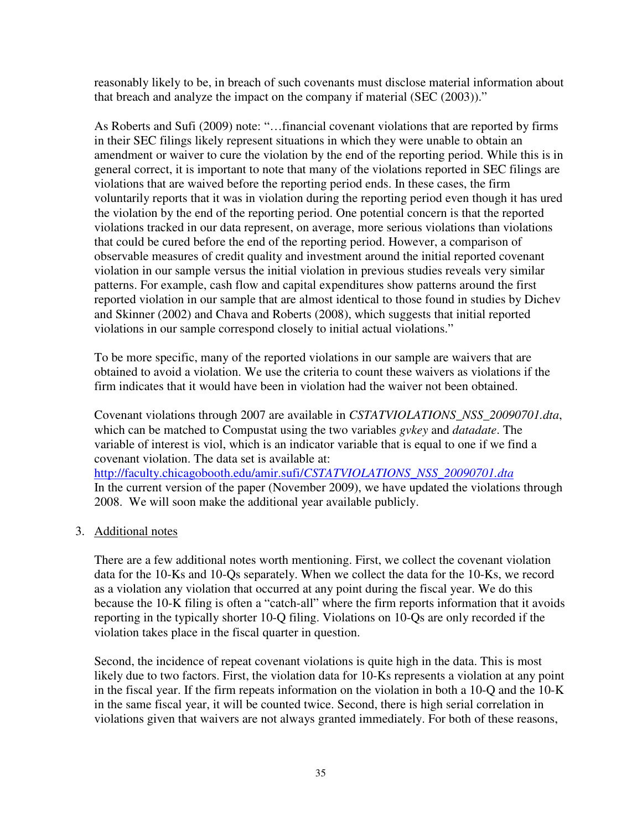reasonably likely to be, in breach of such covenants must disclose material information about that breach and analyze the impact on the company if material (SEC (2003))."

As Roberts and Sufi (2009) note: "…financial covenant violations that are reported by firms in their SEC filings likely represent situations in which they were unable to obtain an amendment or waiver to cure the violation by the end of the reporting period. While this is in general correct, it is important to note that many of the violations reported in SEC filings are violations that are waived before the reporting period ends. In these cases, the firm voluntarily reports that it was in violation during the reporting period even though it has ured the violation by the end of the reporting period. One potential concern is that the reported violations tracked in our data represent, on average, more serious violations than violations that could be cured before the end of the reporting period. However, a comparison of observable measures of credit quality and investment around the initial reported covenant violation in our sample versus the initial violation in previous studies reveals very similar patterns. For example, cash flow and capital expenditures show patterns around the first reported violation in our sample that are almost identical to those found in studies by Dichev and Skinner (2002) and Chava and Roberts (2008), which suggests that initial reported violations in our sample correspond closely to initial actual violations."

To be more specific, many of the reported violations in our sample are waivers that are obtained to avoid a violation. We use the criteria to count these waivers as violations if the firm indicates that it would have been in violation had the waiver not been obtained.

Covenant violations through 2007 are available in *CSTATVIOLATIONS\_NSS\_20090701.dta*, which can be matched to Compustat using the two variables *gvkey* and *datadate*. The variable of interest is viol, which is an indicator variable that is equal to one if we find a covenant violation. The data set is available at: http://faculty.chicagobooth.edu/amir.sufi/*CSTATVIOLATIONS\_NSS\_20090701.dta* In the current version of the paper (November 2009), we have updated the violations through 2008. We will soon make the additional year available publicly.

3. Additional notes

There are a few additional notes worth mentioning. First, we collect the covenant violation data for the 10-Ks and 10-Qs separately. When we collect the data for the 10-Ks, we record as a violation any violation that occurred at any point during the fiscal year. We do this because the 10-K filing is often a "catch-all" where the firm reports information that it avoids reporting in the typically shorter 10-Q filing. Violations on 10-Qs are only recorded if the violation takes place in the fiscal quarter in question.

Second, the incidence of repeat covenant violations is quite high in the data. This is most likely due to two factors. First, the violation data for 10-Ks represents a violation at any point in the fiscal year. If the firm repeats information on the violation in both a 10-Q and the 10-K in the same fiscal year, it will be counted twice. Second, there is high serial correlation in violations given that waivers are not always granted immediately. For both of these reasons,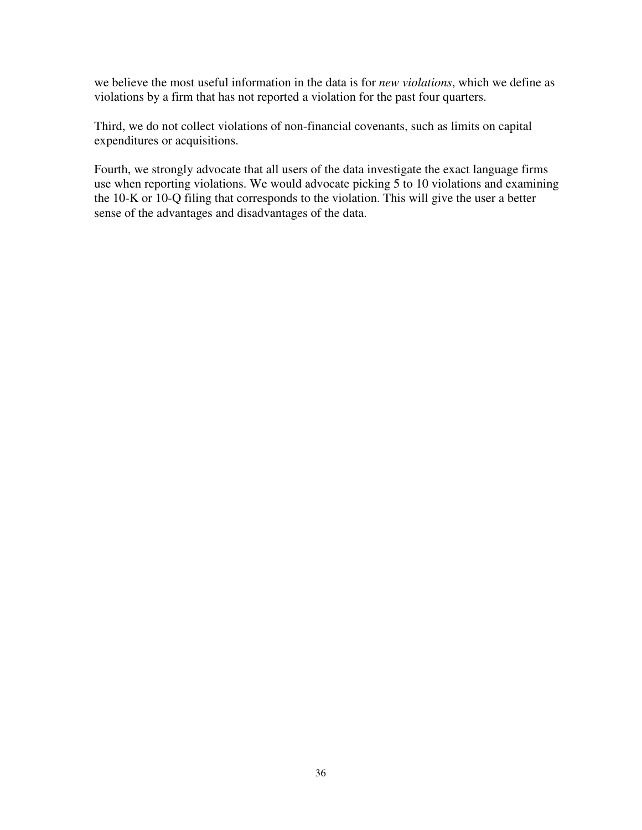we believe the most useful information in the data is for *new violations*, which we define as violations by a firm that has not reported a violation for the past four quarters.

Third, we do not collect violations of non-financial covenants, such as limits on capital expenditures or acquisitions.

Fourth, we strongly advocate that all users of the data investigate the exact language firms use when reporting violations. We would advocate picking 5 to 10 violations and examining the 10-K or 10-Q filing that corresponds to the violation. This will give the user a better sense of the advantages and disadvantages of the data.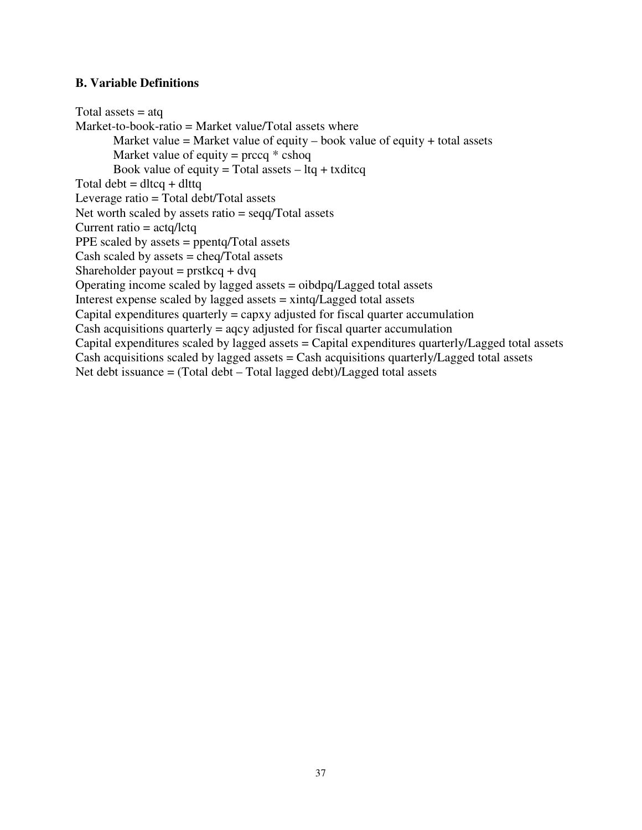### **B. Variable Definitions**

Total assets  $=$  atq Market-to-book-ratio = Market value/Total assets where Market value = Market value of equity – book value of equity + total assets Market value of equity =  $\text{prccq} * \text{cshoq}$ Book value of equity = Total assets  $-$  ltq + txditcq Total debt  $=$  dltcq  $+$  dlttq Leverage ratio = Total debt/Total assets Net worth scaled by assets ratio = seqq/Total assets Current ratio = actq/lctq PPE scaled by assets = ppentq/Total assets Cash scaled by assets  $=$  cheq/Total assets Shareholder payout =  $prstkcq + d\nuq$ Operating income scaled by lagged assets = oibdpq/Lagged total assets Interest expense scaled by lagged assets = xintq/Lagged total assets Capital expenditures quarterly  $=$  capxy adjusted for fiscal quarter accumulation Cash acquisitions quarterly  $=$  aqcy adjusted for fiscal quarter accumulation Capital expenditures scaled by lagged assets = Capital expenditures quarterly/Lagged total assets Cash acquisitions scaled by lagged assets  $=$  Cash acquisitions quarterly/Lagged total assets Net debt issuance = (Total debt – Total lagged debt)/Lagged total assets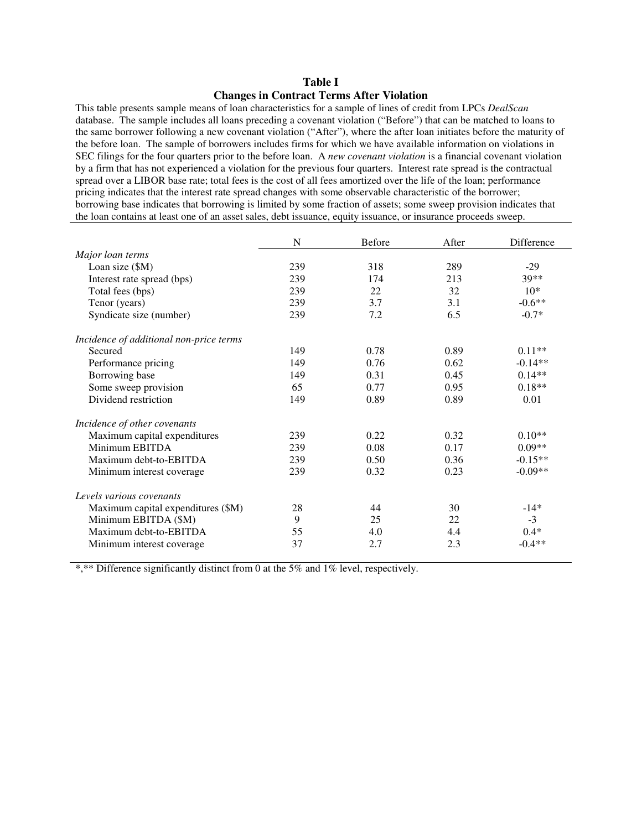### **Table I Changes in Contract Terms After Violation**

This table presents sample means of loan characteristics for a sample of lines of credit from LPCs *DealScan* database. The sample includes all loans preceding a covenant violation ("Before") that can be matched to loans to the same borrower following a new covenant violation ("After"), where the after loan initiates before the maturity of the before loan. The sample of borrowers includes firms for which we have available information on violations in SEC filings for the four quarters prior to the before loan. A *new covenant violation* is a financial covenant violation by a firm that has not experienced a violation for the previous four quarters. Interest rate spread is the contractual spread over a LIBOR base rate; total fees is the cost of all fees amortized over the life of the loan; performance pricing indicates that the interest rate spread changes with some observable characteristic of the borrower; borrowing base indicates that borrowing is limited by some fraction of assets; some sweep provision indicates that the loan contains at least one of an asset sales, debt issuance, equity issuance, or insurance proceeds sweep.

|                                         | N   | <b>Before</b> | After | Difference |
|-----------------------------------------|-----|---------------|-------|------------|
| Major loan terms                        |     |               |       |            |
| Loan size (\$M)                         | 239 | 318           | 289   | $-29$      |
| Interest rate spread (bps)              | 239 | 174           | 213   | $39**$     |
| Total fees (bps)                        | 239 | 22            | 32    | $10*$      |
| Tenor (years)                           | 239 | 3.7           | 3.1   | $-0.6**$   |
| Syndicate size (number)                 | 239 | 7.2           | 6.5   | $-0.7*$    |
| Incidence of additional non-price terms |     |               |       |            |
| Secured                                 | 149 | 0.78          | 0.89  | $0.11**$   |
| Performance pricing                     | 149 | 0.76          | 0.62  | $-0.14**$  |
| Borrowing base                          | 149 | 0.31          | 0.45  | $0.14**$   |
| Some sweep provision                    | 65  | 0.77          | 0.95  | $0.18**$   |
| Dividend restriction                    | 149 | 0.89          | 0.89  | 0.01       |
| Incidence of other covenants            |     |               |       |            |
| Maximum capital expenditures            | 239 | 0.22          | 0.32  | $0.10**$   |
| Minimum EBITDA                          | 239 | 0.08          | 0.17  | $0.09**$   |
| Maximum debt-to-EBITDA                  | 239 | 0.50          | 0.36  | $-0.15**$  |
| Minimum interest coverage               | 239 | 0.32          | 0.23  | $-0.09**$  |
| Levels various covenants                |     |               |       |            |
| Maximum capital expenditures (\$M)      | 28  | 44            | 30    | $-14*$     |
| Minimum EBITDA (\$M)                    | 9   | 25            | 22    | $-3$       |
| Maximum debt-to-EBITDA                  | 55  | 4.0           | 4.4   | $0.4*$     |
| Minimum interest coverage               | 37  | 2.7           | 2.3   | $-0.4**$   |

\*,\*\* Difference significantly distinct from 0 at the 5% and 1% level, respectively.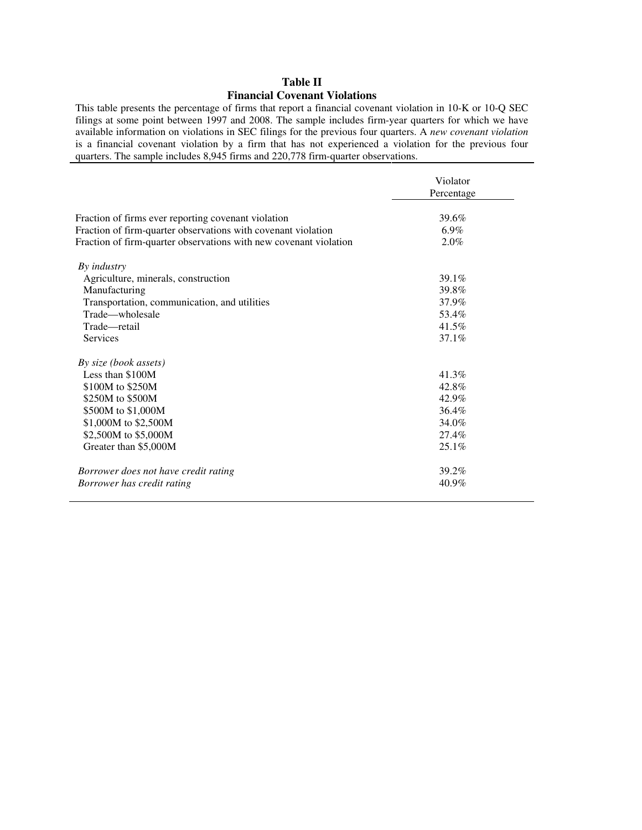### **Table II Financial Covenant Violations**

This table presents the percentage of firms that report a financial covenant violation in 10-K or 10-Q SEC filings at some point between 1997 and 2008. The sample includes firm-year quarters for which we have available information on violations in SEC filings for the previous four quarters. A *new covenant violation* is a financial covenant violation by a firm that has not experienced a violation for the previous four quarters. The sample includes 8,945 firms and 220,778 firm-quarter observations.

|                                                                   | Violator<br>Percentage |
|-------------------------------------------------------------------|------------------------|
| Fraction of firms ever reporting covenant violation               | 39.6%                  |
| Fraction of firm-quarter observations with covenant violation     | $6.9\%$                |
| Fraction of firm-quarter observations with new covenant violation | 2.0%                   |
| By <i>industry</i>                                                |                        |
| Agriculture, minerals, construction                               | 39.1%                  |
| Manufacturing                                                     | 39.8%                  |
| Transportation, communication, and utilities                      | 37.9%                  |
| Trade—wholesale                                                   | 53.4%                  |
| Trade-retail                                                      | 41.5%                  |
| Services                                                          | $37.1\%$               |
| By size (book assets)                                             |                        |
| Less than \$100M                                                  | 41.3%                  |
| \$100M to \$250M                                                  | 42.8%                  |
| \$250M to \$500M                                                  | 42.9%                  |
| \$500M to \$1,000M                                                | 36.4%                  |
| \$1,000M to \$2,500M                                              | 34.0%                  |
| \$2,500M to \$5,000M                                              | 27.4%                  |
| Greater than \$5,000M                                             | $25.1\%$               |
| Borrower does not have credit rating                              | 39.2%                  |
| Borrower has credit rating                                        | 40.9%                  |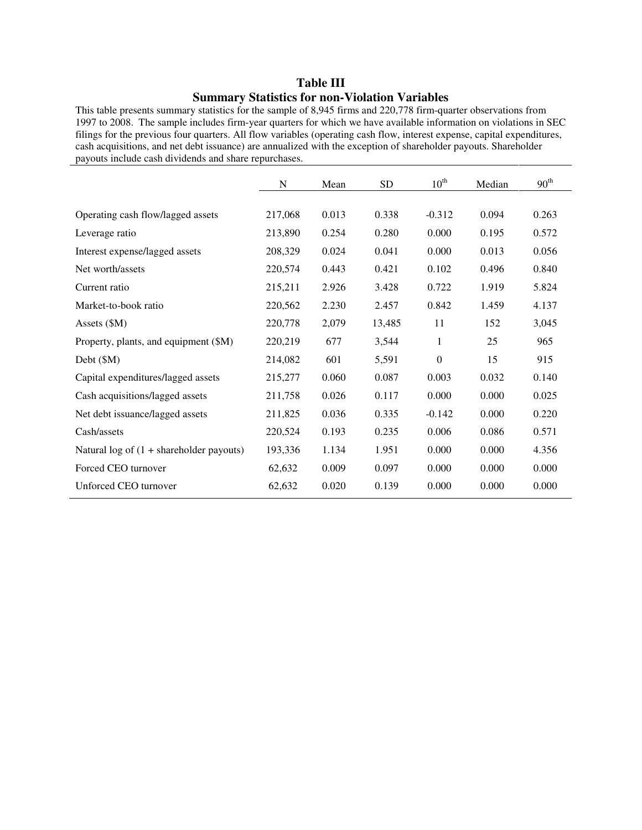# **Table III Summary Statistics for non-Violation Variables**

This table presents summary statistics for the sample of 8,945 firms and 220,778 firm-quarter observations from 1997 to 2008. The sample includes firm-year quarters for which we have available information on violations in SEC filings for the previous four quarters. All flow variables (operating cash flow, interest expense, capital expenditures, cash acquisitions, and net debt issuance) are annualized with the exception of shareholder payouts. Shareholder payouts include cash dividends and share repurchases.

|                                                   | N       | Mean  | <b>SD</b> | $10^{\text{th}}$ | Median | 90 <sup>th</sup> |
|---------------------------------------------------|---------|-------|-----------|------------------|--------|------------------|
|                                                   |         |       |           |                  |        |                  |
| Operating cash flow/lagged assets                 | 217,068 | 0.013 | 0.338     | $-0.312$         | 0.094  | 0.263            |
| Leverage ratio                                    | 213,890 | 0.254 | 0.280     | 0.000            | 0.195  | 0.572            |
| Interest expense/lagged assets                    | 208,329 | 0.024 | 0.041     | 0.000            | 0.013  | 0.056            |
| Net worth/assets                                  | 220,574 | 0.443 | 0.421     | 0.102            | 0.496  | 0.840            |
| Current ratio                                     | 215,211 | 2.926 | 3.428     | 0.722            | 1.919  | 5.824            |
| Market-to-book ratio                              | 220,562 | 2.230 | 2.457     | 0.842            | 1.459  | 4.137            |
| Assets (\$M)                                      | 220,778 | 2,079 | 13,485    | 11               | 152    | 3,045            |
| Property, plants, and equipment (\$M)             | 220,219 | 677   | 3,544     | 1                | 25     | 965              |
| Debt (\$M)                                        | 214,082 | 601   | 5,591     | $\Omega$         | 15     | 915              |
| Capital expenditures/lagged assets                | 215,277 | 0.060 | 0.087     | 0.003            | 0.032  | 0.140            |
| Cash acquisitions/lagged assets                   | 211,758 | 0.026 | 0.117     | 0.000            | 0.000  | 0.025            |
| Net debt issuance/lagged assets                   | 211,825 | 0.036 | 0.335     | $-0.142$         | 0.000  | 0.220            |
| Cash/assets                                       | 220,524 | 0.193 | 0.235     | 0.006            | 0.086  | 0.571            |
| Natural log of $(1 + \text{sharedolder payouts})$ | 193,336 | 1.134 | 1.951     | 0.000            | 0.000  | 4.356            |
| Forced CEO turnover                               | 62,632  | 0.009 | 0.097     | 0.000            | 0.000  | 0.000            |
| Unforced CEO turnover                             | 62,632  | 0.020 | 0.139     | 0.000            | 0.000  | 0.000            |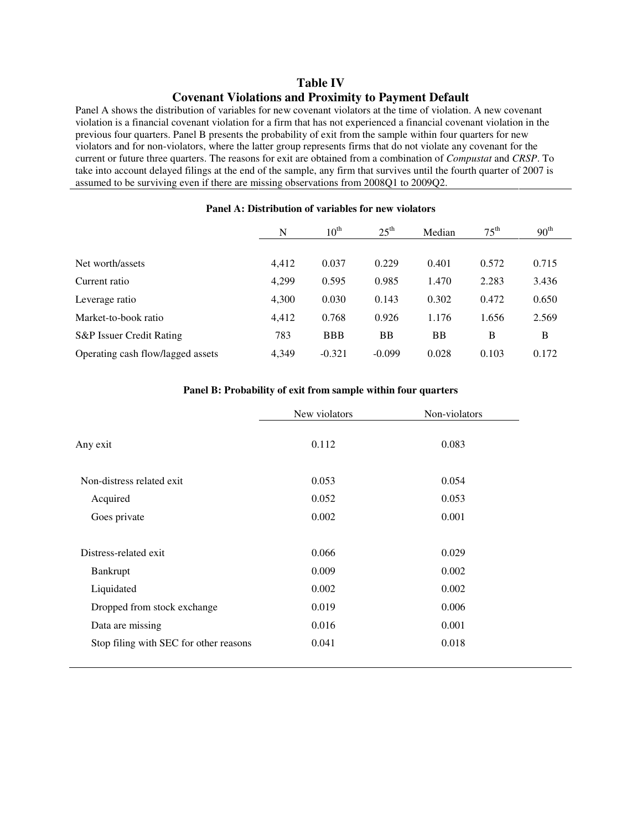### **Table IV Covenant Violations and Proximity to Payment Default**

Panel A shows the distribution of variables for new covenant violators at the time of violation. A new covenant violation is a financial covenant violation for a firm that has not experienced a financial covenant violation in the previous four quarters. Panel B presents the probability of exit from the sample within four quarters for new violators and for non-violators, where the latter group represents firms that do not violate any covenant for the current or future three quarters. The reasons for exit are obtained from a combination of *Compustat* and *CRSP*. To take into account delayed filings at the end of the sample, any firm that survives until the fourth quarter of 2007 is assumed to be surviving even if there are missing observations from 2008Q1 to 2009Q2.

|                                   | N     | $10^{\text{th}}$ | $25^{\text{th}}$ | Median    | $75^{\text{th}}$ | 90 <sup>th</sup> |
|-----------------------------------|-------|------------------|------------------|-----------|------------------|------------------|
| Net worth/assets                  | 4,412 | 0.037            | 0.229            | 0.401     | 0.572            | 0.715            |
| Current ratio                     | 4.299 | 0.595            | 0.985            | 1.470     | 2.283            | 3.436            |
| Leverage ratio                    | 4,300 | 0.030            | 0.143            | 0.302     | 0.472            | 0.650            |
| Market-to-book ratio              | 4,412 | 0.768            | 0.926            | 1.176     | 1.656            | 2.569            |
| S&P Issuer Credit Rating          | 783   | <b>BBB</b>       | <b>BB</b>        | <b>BB</b> | B                | B                |
| Operating cash flow/lagged assets | 4,349 | $-0.321$         | $-0.099$         | 0.028     | 0.103            | 0.172            |

#### **Panel A: Distribution of variables for new violators**

#### **Panel B: Probability of exit from sample within four quarters**

|                                        | New violators | Non-violators |
|----------------------------------------|---------------|---------------|
| Any exit                               | 0.112         | 0.083         |
| Non-distress related exit.             | 0.053         | 0.054         |
| Acquired                               | 0.052         | 0.053         |
| Goes private                           | 0.002         | 0.001         |
| Distress-related exit                  | 0.066         | 0.029         |
| Bankrupt                               | 0.009         | 0.002         |
| Liquidated                             | 0.002         | 0.002         |
| Dropped from stock exchange            | 0.019         | 0.006         |
| Data are missing                       | 0.016         | 0.001         |
| Stop filing with SEC for other reasons | 0.041         | 0.018         |
|                                        |               |               |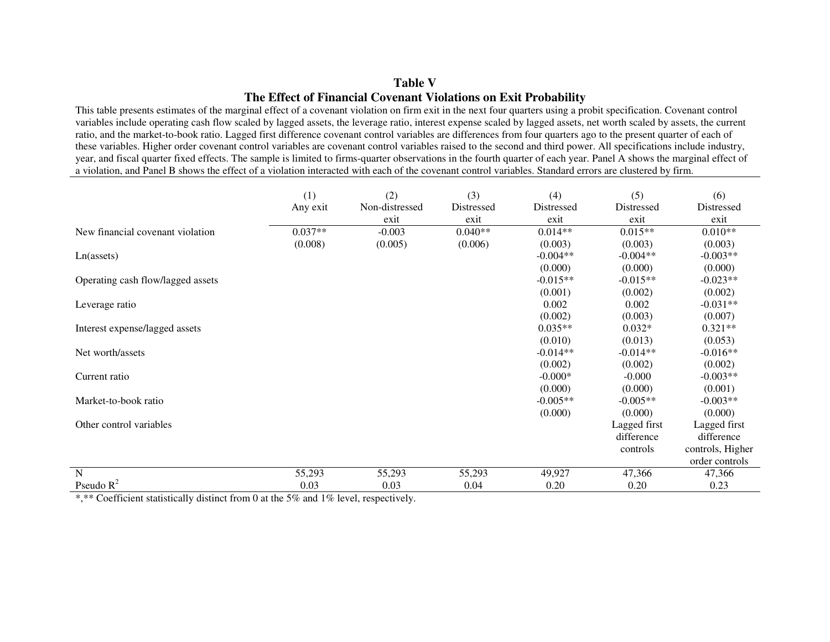### **Table V The Effect of Financial Covenant Violations on Exit Probability**

 This table presents estimates of the marginal effect of a covenant violation on firm exit in the next four quarters using a probit specification. Covenant control variables include operating cash flow scaled by lagged assets, the leverage ratio, interest expense scaled by lagged assets, net worth scaled by assets, the current ratio, and the market-to-book ratio. Lagged first difference covenant control variables are differences from four quarters ago to the present quarter of each of these variables. Higher order covenant control variables are covenant control variables raised to the second and third power. All specifications include industry, year, and fiscal quarter fixed effects. The sample is limited to firms-quarter observations in the fourth quarter of each year. Panel A shows the marginal effect of a violation, and Panel B shows the effect of a violation interacted with each of the covenant control variables. Standard errors are clustered by firm.

|                                   | (1)<br>Any exit | (2)<br>Non-distressed | (3)<br>Distressed | (4)<br>Distressed | (5)<br>Distressed | (6)<br>Distressed |
|-----------------------------------|-----------------|-----------------------|-------------------|-------------------|-------------------|-------------------|
|                                   |                 | exit                  | exit              | exit              | exit              | exit              |
| New financial covenant violation  | $0.037**$       | $-0.003$              | $0.040**$         | $0.014**$         | $0.015**$         | $0.010**$         |
|                                   | (0.008)         | (0.005)               | (0.006)           | (0.003)           | (0.003)           | (0.003)           |
| Ln(assets)                        |                 |                       |                   | $-0.004**$        | $-0.004**$        | $-0.003**$        |
|                                   |                 |                       |                   | (0.000)           | (0.000)           | (0.000)           |
| Operating cash flow/lagged assets |                 |                       |                   | $-0.015**$        | $-0.015**$        | $-0.023**$        |
|                                   |                 |                       |                   | (0.001)           | (0.002)           | (0.002)           |
| Leverage ratio                    |                 |                       |                   | 0.002             | 0.002             | $-0.031**$        |
|                                   |                 |                       |                   | (0.002)           | (0.003)           | (0.007)           |
| Interest expense/lagged assets    |                 |                       |                   | $0.035**$         | $0.032*$          | $0.321**$         |
|                                   |                 |                       |                   | (0.010)           | (0.013)           | (0.053)           |
| Net worth/assets                  |                 |                       |                   | $-0.014**$        | $-0.014**$        | $-0.016**$        |
|                                   |                 |                       |                   | (0.002)           | (0.002)           | (0.002)           |
| Current ratio                     |                 |                       |                   | $-0.000*$         | $-0.000$          | $-0.003**$        |
|                                   |                 |                       |                   | (0.000)           | (0.000)           | (0.001)           |
| Market-to-book ratio              |                 |                       |                   | $-0.005**$        | $-0.005**$        | $-0.003**$        |
|                                   |                 |                       |                   | (0.000)           | (0.000)           | (0.000)           |
| Other control variables           |                 |                       |                   |                   | Lagged first      | Lagged first      |
|                                   |                 |                       |                   |                   | difference        | difference        |
|                                   |                 |                       |                   |                   | controls          | controls, Higher  |
|                                   |                 |                       |                   |                   |                   | order controls    |
| $\overline{N}$                    | 55,293          | 55,293                | 55,293            | 49,927            | 47,366            | 47,366            |
| Pseudo $R^2$                      | 0.03            | 0.03                  | 0.04              | 0.20              | 0.20              | 0.23              |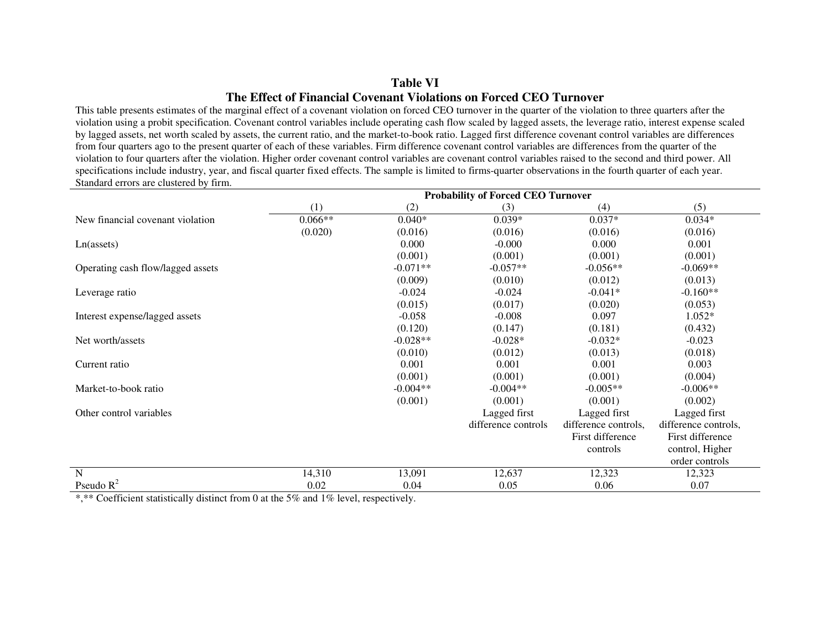### **Table VI The Effect of Financial Covenant Violations on Forced CEO Turnover**

 This table presents estimates of the marginal effect of a covenant violation on forced CEO turnover in the quarter of the violation to three quarters after the violation using a probit specification. Covenant control variables include operating cash flow scaled by lagged assets, the leverage ratio, interest expense scaled by lagged assets, net worth scaled by assets, the current ratio, and the market-to-book ratio. Lagged first difference covenant control variables are differences from four quarters ago to the present quarter of each of these variables. Firm difference covenant control variables are differences from the quarter of the violation to four quarters after the violation. Higher order covenant control variables are covenant control variables raised to the second and third power. All specifications include industry, year, and fiscal quarter fixed effects. The sample is limited to firms-quarter observations in the fourth quarter of each year. Standard errors are clustered by firm.

|                                   | <b>Probability of Forced CEO Turnover</b> |            |                     |                      |                      |  |  |
|-----------------------------------|-------------------------------------------|------------|---------------------|----------------------|----------------------|--|--|
|                                   | (1)                                       | (2)        | (3)                 | (4)                  | (5)                  |  |  |
| New financial covenant violation  | $0.066**$                                 | $0.040*$   | $0.039*$            | $0.037*$             | $0.034*$             |  |  |
|                                   | (0.020)                                   | (0.016)    | (0.016)             | (0.016)              | (0.016)              |  |  |
| Ln(assets)                        |                                           | 0.000      | $-0.000$            | 0.000                | 0.001                |  |  |
|                                   |                                           | (0.001)    | (0.001)             | (0.001)              | (0.001)              |  |  |
| Operating cash flow/lagged assets |                                           | $-0.071**$ | $-0.057**$          | $-0.056**$           | $-0.069**$           |  |  |
|                                   |                                           | (0.009)    | (0.010)             | (0.012)              | (0.013)              |  |  |
| Leverage ratio                    |                                           | $-0.024$   | $-0.024$            | $-0.041*$            | $-0.160**$           |  |  |
|                                   |                                           | (0.015)    | (0.017)             | (0.020)              | (0.053)              |  |  |
| Interest expense/lagged assets    |                                           | $-0.058$   | $-0.008$            | 0.097                | $1.052*$             |  |  |
|                                   |                                           | (0.120)    | (0.147)             | (0.181)              | (0.432)              |  |  |
| Net worth/assets                  |                                           | $-0.028**$ | $-0.028*$           | $-0.032*$            | $-0.023$             |  |  |
|                                   |                                           | (0.010)    | (0.012)             | (0.013)              | (0.018)              |  |  |
| Current ratio                     |                                           | 0.001      | 0.001               | 0.001                | 0.003                |  |  |
|                                   |                                           | (0.001)    | (0.001)             | (0.001)              | (0.004)              |  |  |
| Market-to-book ratio              |                                           | $-0.004**$ | $-0.004**$          | $-0.005**$           | $-0.006**$           |  |  |
|                                   |                                           | (0.001)    | (0.001)             | (0.001)              | (0.002)              |  |  |
| Other control variables           |                                           |            | Lagged first        | Lagged first         | Lagged first         |  |  |
|                                   |                                           |            | difference controls | difference controls, | difference controls, |  |  |
|                                   |                                           |            |                     | First difference     | First difference     |  |  |
|                                   |                                           |            |                     | controls             | control, Higher      |  |  |
|                                   |                                           |            |                     |                      | order controls       |  |  |
| $\overline{N}$                    | 14,310                                    | 13,091     | 12,637              | 12,323               | 12,323               |  |  |
| Pseudo $R^2$                      | 0.02                                      | 0.04       | 0.05                | 0.06                 | 0.07                 |  |  |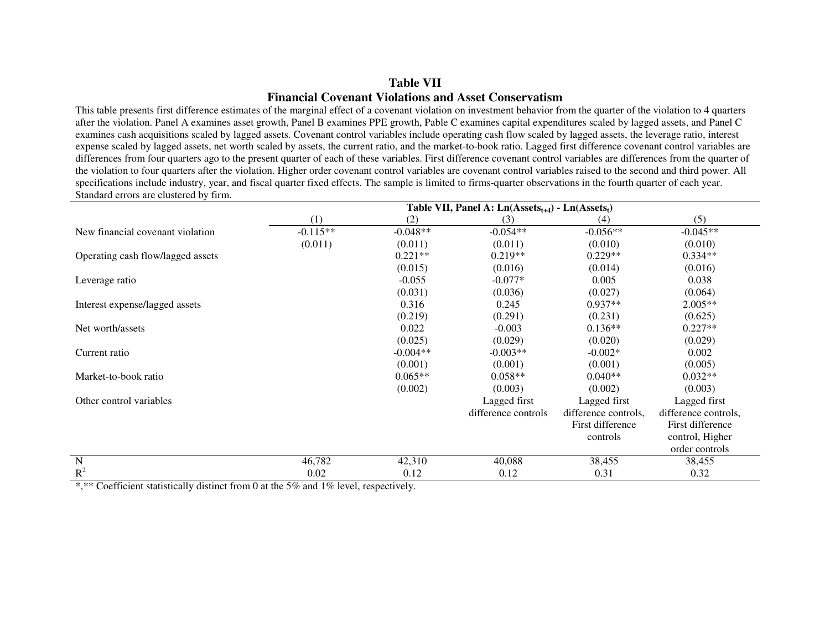### **Table VII Financial Covenant Violations and Asset Conservatism**

 This table presents first difference estimates of the marginal effect of a covenant violation on investment behavior from the quarter of the violation to 4 quarters after the violation. Panel A examines asset growth, Panel B examines PPE growth, Pable C examines capital expenditures scaled by lagged assets, and Panel C examines cash acquisitions scaled by lagged assets. Covenant control variables include operating cash flow scaled by lagged assets, the leverage ratio, interest expense scaled by lagged assets, net worth scaled by assets, the current ratio, and the market-to-book ratio. Lagged first difference covenant control variables are differences from four quarters ago to the present quarter of each of these variables. First difference covenant control variables are differences from the quarter of the violation to four quarters after the violation. Higher order covenant control variables are covenant control variables raised to the second and third power. All specifications include industry, year, and fiscal quarter fixed effects. The sample is limited to firms-quarter observations in the fourth quarter of each year. Standard errors are clustered by firm.

|                                   | Table VII, Panel A: $Ln(Assetst+4) - Ln(Assetst)$ |            |                     |                      |                      |  |  |
|-----------------------------------|---------------------------------------------------|------------|---------------------|----------------------|----------------------|--|--|
|                                   | (1)                                               | (2)        | (3)                 | (4)                  | (5)                  |  |  |
| New financial covenant violation  | $-0.115**$                                        | $-0.048**$ | $-0.054**$          | $-0.056**$           | $-0.045**$           |  |  |
|                                   | (0.011)                                           | (0.011)    | (0.011)             | (0.010)              | (0.010)              |  |  |
| Operating cash flow/lagged assets |                                                   | $0.221**$  | $0.219**$           | $0.229**$            | $0.334**$            |  |  |
|                                   |                                                   | (0.015)    | (0.016)             | (0.014)              | (0.016)              |  |  |
| Leverage ratio                    |                                                   | $-0.055$   | $-0.077*$           | 0.005                | 0.038                |  |  |
|                                   |                                                   | (0.031)    | (0.036)             | (0.027)              | (0.064)              |  |  |
| Interest expense/lagged assets    |                                                   | 0.316      | 0.245               | $0.937**$            | 2.005**              |  |  |
|                                   |                                                   | (0.219)    | (0.291)             | (0.231)              | (0.625)              |  |  |
| Net worth/assets                  |                                                   | 0.022      | $-0.003$            | $0.136**$            | $0.227**$            |  |  |
|                                   |                                                   | (0.025)    | (0.029)             | (0.020)              | (0.029)              |  |  |
| Current ratio                     |                                                   | $-0.004**$ | $-0.003**$          | $-0.002*$            | 0.002                |  |  |
|                                   |                                                   | (0.001)    | (0.001)             | (0.001)              | (0.005)              |  |  |
| Market-to-book ratio              |                                                   | $0.065**$  | $0.058**$           | $0.040**$            | $0.032**$            |  |  |
|                                   |                                                   | (0.002)    | (0.003)             | (0.002)              | (0.003)              |  |  |
| Other control variables           |                                                   |            | Lagged first        | Lagged first         | Lagged first         |  |  |
|                                   |                                                   |            | difference controls | difference controls. | difference controls, |  |  |
|                                   |                                                   |            |                     | First difference     | First difference     |  |  |
|                                   |                                                   |            |                     | controls             | control, Higher      |  |  |
|                                   |                                                   |            |                     |                      | order controls       |  |  |
| N                                 | 46,782                                            | 42,310     | 40,088              | 38,455               | 38,455               |  |  |
| $R^2$                             | 0.02                                              | 0.12       | 0.12                | 0.31                 | 0.32                 |  |  |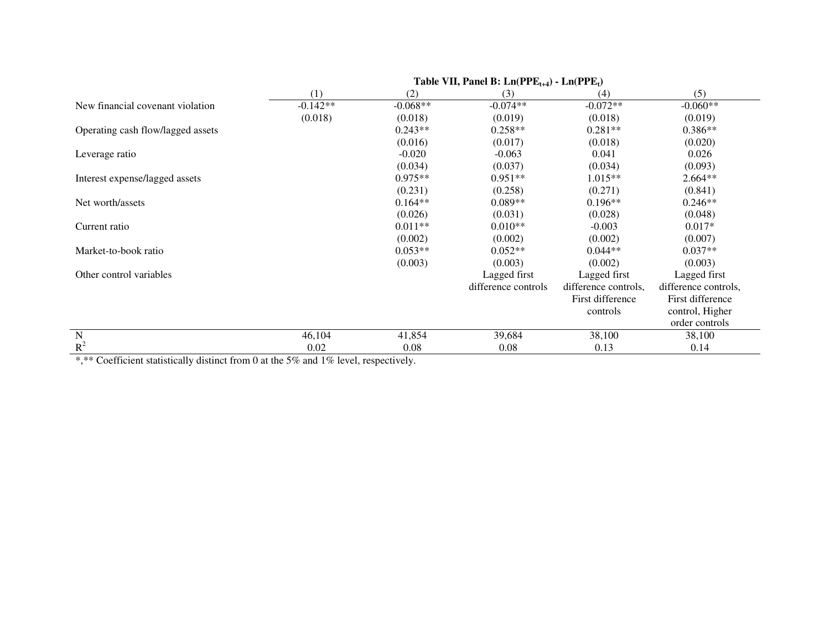| $1$ avit $\overline{11}, \overline{1}$ and $\overline{D}$ . $\overline{D1}$ $\overline{11}$ $\overline{11}$ $\overline{12}$ $\overline{14}$ $\overline{11}$ $\overline{11}$ $\overline{12}$ $\overline{17}$ |            |                     |                      |                      |  |  |
|-------------------------------------------------------------------------------------------------------------------------------------------------------------------------------------------------------------|------------|---------------------|----------------------|----------------------|--|--|
| (1)                                                                                                                                                                                                         | (2)        | (3)                 | (4)                  | (5)                  |  |  |
| $-0.142**$                                                                                                                                                                                                  | $-0.068**$ | $-0.074**$          | $-0.072**$           | $-0.060**$           |  |  |
| (0.018)                                                                                                                                                                                                     | (0.018)    | (0.019)             | (0.018)              | (0.019)              |  |  |
|                                                                                                                                                                                                             | $0.243**$  | $0.258**$           | $0.281**$            | $0.386**$            |  |  |
|                                                                                                                                                                                                             | (0.016)    | (0.017)             | (0.018)              | (0.020)              |  |  |
|                                                                                                                                                                                                             | $-0.020$   | $-0.063$            | 0.041                | 0.026                |  |  |
|                                                                                                                                                                                                             | (0.034)    | (0.037)             | (0.034)              | (0.093)              |  |  |
|                                                                                                                                                                                                             | $0.975**$  | $0.951**$           | $1.015**$            | $2.664**$            |  |  |
|                                                                                                                                                                                                             | (0.231)    | (0.258)             | (0.271)              | (0.841)              |  |  |
|                                                                                                                                                                                                             | $0.164**$  | $0.089**$           | $0.196**$            | $0.246**$            |  |  |
|                                                                                                                                                                                                             | (0.026)    | (0.031)             | (0.028)              | (0.048)              |  |  |
|                                                                                                                                                                                                             | $0.011**$  | $0.010**$           | $-0.003$             | $0.017*$             |  |  |
|                                                                                                                                                                                                             | (0.002)    | (0.002)             | (0.002)              | (0.007)              |  |  |
|                                                                                                                                                                                                             | $0.053**$  | $0.052**$           | $0.044**$            | $0.037**$            |  |  |
|                                                                                                                                                                                                             | (0.003)    | (0.003)             | (0.002)              | (0.003)              |  |  |
|                                                                                                                                                                                                             |            | Lagged first        | Lagged first         | Lagged first         |  |  |
|                                                                                                                                                                                                             |            | difference controls | difference controls, | difference controls, |  |  |
|                                                                                                                                                                                                             |            |                     | First difference     | First difference     |  |  |
|                                                                                                                                                                                                             |            |                     | controls             | control, Higher      |  |  |
|                                                                                                                                                                                                             |            |                     |                      | order controls       |  |  |
| 46,104                                                                                                                                                                                                      | 41,854     | 39,684              | 38,100               | 38,100               |  |  |
| 0.02                                                                                                                                                                                                        | 0.08       | 0.08                | 0.13                 | 0.14                 |  |  |
|                                                                                                                                                                                                             |            |                     |                      |                      |  |  |

 **Table VII, Panel B:**  $Ln(PPE_{t+4}) - Ln(PPE_{t})$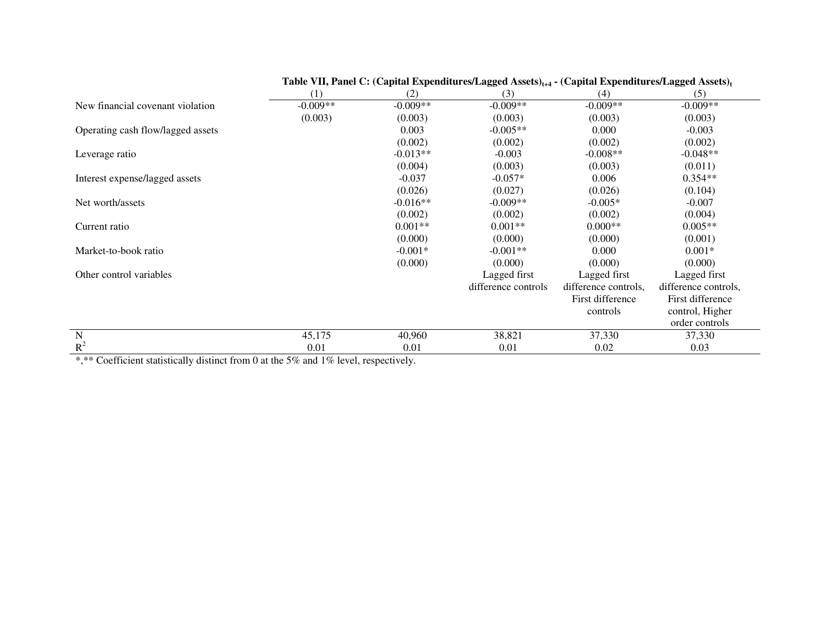|                                   | (1)        | (2)        | (3)                 | (4)                  | (5)                  |
|-----------------------------------|------------|------------|---------------------|----------------------|----------------------|
| New financial covenant violation  | $-0.009**$ | $-0.009**$ | $-0.009**$          | $-0.009**$           | $-0.009**$           |
|                                   | (0.003)    | (0.003)    | (0.003)             | (0.003)              | (0.003)              |
| Operating cash flow/lagged assets |            | 0.003      | $-0.005**$          | 0.000                | $-0.003$             |
|                                   |            | (0.002)    | (0.002)             | (0.002)              | (0.002)              |
| Leverage ratio                    |            | $-0.013**$ | $-0.003$            | $-0.008**$           | $-0.048**$           |
|                                   |            | (0.004)    | (0.003)             | (0.003)              | (0.011)              |
| Interest expense/lagged assets    |            | $-0.037$   | $-0.057*$           | 0.006                | $0.354**$            |
|                                   |            | (0.026)    | (0.027)             | (0.026)              | (0.104)              |
| Net worth/assets                  |            | $-0.016**$ | $-0.009**$          | $-0.005*$            | $-0.007$             |
|                                   |            | (0.002)    | (0.002)             | (0.002)              | (0.004)              |
| Current ratio                     |            | $0.001**$  | $0.001**$           | $0.000**$            | $0.005**$            |
|                                   |            | (0.000)    | (0.000)             | (0.000)              | (0.001)              |
| Market-to-book ratio              |            | $-0.001*$  | $-0.001**$          | 0.000                | $0.001*$             |
|                                   |            | (0.000)    | (0.000)             | (0.000)              | (0.000)              |
| Other control variables           |            |            | Lagged first        | Lagged first         | Lagged first         |
|                                   |            |            | difference controls | difference controls, | difference controls, |
|                                   |            |            |                     | First difference     | First difference     |
|                                   |            |            |                     | controls             | control, Higher      |
|                                   |            |            |                     |                      | order controls       |
| N                                 | 45,175     | 40,960     | 38,821              | 37,330               | 37,330               |
| $R^2$                             | 0.01       | 0.01       | 0.01                | 0.02                 | 0.03                 |

# Table VII, Panel C: (Capital Expenditures/Lagged Assets)<sub>1+4</sub> **• (Capital Expenditures/Lagged Assets)**<sup>t</sup>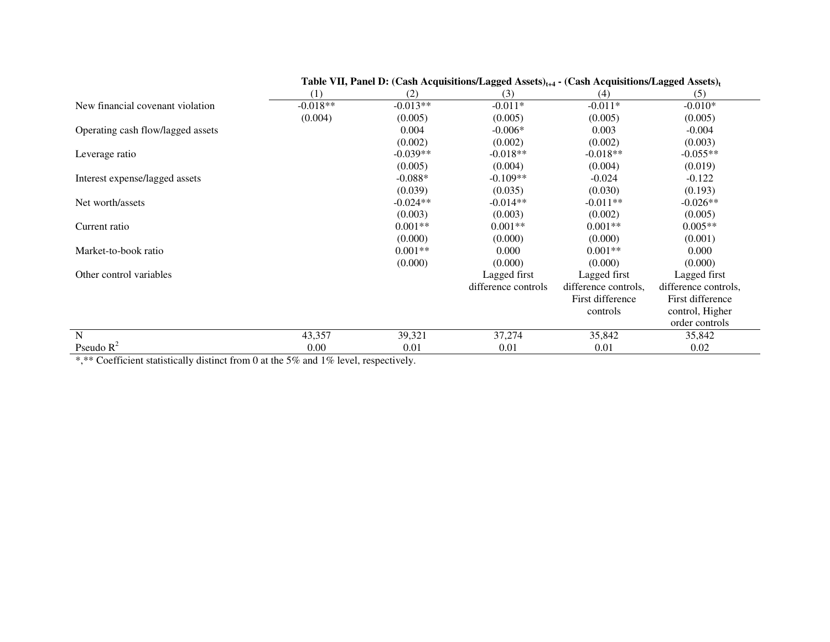|                                   | (1)        | (2)        | (3)                 | (4)                  | (5)                  |
|-----------------------------------|------------|------------|---------------------|----------------------|----------------------|
| New financial covenant violation  | $-0.018**$ | $-0.013**$ | $-0.011*$           | $-0.011*$            | $-0.010*$            |
|                                   | (0.004)    | (0.005)    | (0.005)             | (0.005)              | (0.005)              |
| Operating cash flow/lagged assets |            | 0.004      | $-0.006*$           | 0.003                | $-0.004$             |
|                                   |            | (0.002)    | (0.002)             | (0.002)              | (0.003)              |
| Leverage ratio                    |            | $-0.039**$ | $-0.018**$          | $-0.018**$           | $-0.055**$           |
|                                   |            | (0.005)    | (0.004)             | (0.004)              | (0.019)              |
| Interest expense/lagged assets    |            | $-0.088*$  | $-0.109**$          | $-0.024$             | $-0.122$             |
|                                   |            | (0.039)    | (0.035)             | (0.030)              | (0.193)              |
| Net worth/assets                  |            | $-0.024**$ | $-0.014**$          | $-0.011**$           | $-0.026**$           |
|                                   |            | (0.003)    | (0.003)             | (0.002)              | (0.005)              |
| Current ratio                     |            | $0.001**$  | $0.001**$           | $0.001**$            | $0.005**$            |
|                                   |            | (0.000)    | (0.000)             | (0.000)              | (0.001)              |
| Market-to-book ratio              |            | $0.001**$  | 0.000               | $0.001**$            | 0.000                |
|                                   |            | (0.000)    | (0.000)             | (0.000)              | (0.000)              |
| Other control variables           |            |            | Lagged first        | Lagged first         | Lagged first         |
|                                   |            |            | difference controls | difference controls, | difference controls, |
|                                   |            |            |                     | First difference     | First difference     |
|                                   |            |            |                     | controls             | control, Higher      |
|                                   |            |            |                     |                      | order controls       |
| N                                 | 43,357     | 39,321     | 37,274              | 35,842               | 35,842               |
| Pseudo $R^2$                      | 0.00       | 0.01       | 0.01                | 0.01                 | 0.02                 |

# Table VII, Panel D: (Cash Acquisitions/Lagged Assets)<sub> $t+4$ </sub> **-** (Cash Acquisitions/Lagged Assets)<sub>t</sub>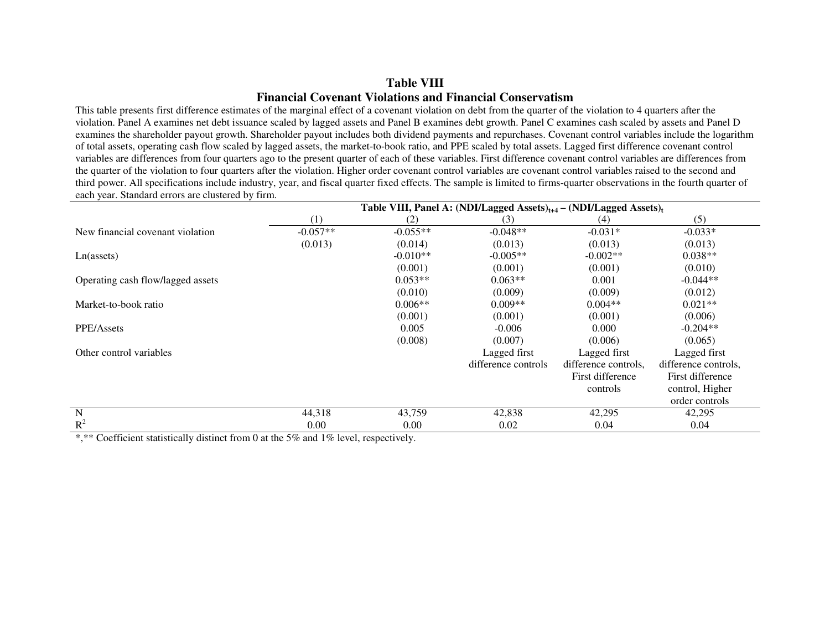### **Table VIII Financial Covenant Violations and Financial Conservatism**

 This table presents first difference estimates of the marginal effect of a covenant violation on debt from the quarter of the violation to 4 quarters after the violation. Panel A examines net debt issuance scaled by lagged assets and Panel B examines debt growth. Panel C examines cash scaled by assets and Panel D examines the shareholder payout growth. Shareholder payout includes both dividend payments and repurchases. Covenant control variables include the logarithm of total assets, operating cash flow scaled by lagged assets, the market-to-book ratio, and PPE scaled by total assets. Lagged first difference covenant control variables are differences from four quarters ago to the present quarter of each of these variables. First difference covenant control variables are differences from the quarter of the violation to four quarters after the violation. Higher order covenant control variables are covenant control variables raised to the second and third power. All specifications include industry, year, and fiscal quarter fixed effects. The sample is limited to firms-quarter observations in the fourth quarter of each year. Standard errors are clustered by firm.

|                                   | Table VIII, Panel A: (NDI/Lagged Assets) $_{t+4}$ – (NDI/Lagged Assets) $_t$ |            |                     |                      |                      |  |  |
|-----------------------------------|------------------------------------------------------------------------------|------------|---------------------|----------------------|----------------------|--|--|
|                                   | (1)                                                                          | (2)        | (3)                 | (4)                  | (5)                  |  |  |
| New financial covenant violation  | $-0.057**$                                                                   | $-0.055**$ | $-0.048**$          | $-0.031*$            | $-0.033*$            |  |  |
|                                   | (0.013)                                                                      | (0.014)    | (0.013)             | (0.013)              | (0.013)              |  |  |
| Ln(asserts)                       |                                                                              | $-0.010**$ | $-0.005**$          | $-0.002**$           | $0.038**$            |  |  |
|                                   |                                                                              | (0.001)    | (0.001)             | (0.001)              | (0.010)              |  |  |
| Operating cash flow/lagged assets |                                                                              | $0.053**$  | $0.063**$           | 0.001                | $-0.044**$           |  |  |
|                                   |                                                                              | (0.010)    | (0.009)             | (0.009)              | (0.012)              |  |  |
| Market-to-book ratio              |                                                                              | $0.006**$  | $0.009**$           | $0.004**$            | $0.021**$            |  |  |
|                                   |                                                                              | (0.001)    | (0.001)             | (0.001)              | (0.006)              |  |  |
| PPE/Assets                        |                                                                              | 0.005      | $-0.006$            | 0.000                | $-0.204**$           |  |  |
|                                   |                                                                              | (0.008)    | (0.007)             | (0.006)              | (0.065)              |  |  |
| Other control variables           |                                                                              |            | Lagged first        | Lagged first         | Lagged first         |  |  |
|                                   |                                                                              |            | difference controls | difference controls. | difference controls. |  |  |
|                                   |                                                                              |            |                     | First difference     | First difference     |  |  |
|                                   |                                                                              |            |                     | controls             | control, Higher      |  |  |
|                                   |                                                                              |            |                     |                      | order controls       |  |  |
| $\mathbf N$                       | 44,318                                                                       | 43,759     | 42,838              | 42,295               | 42,295               |  |  |
| $R^2$                             | 0.00                                                                         | 0.00       | 0.02                | 0.04                 | 0.04                 |  |  |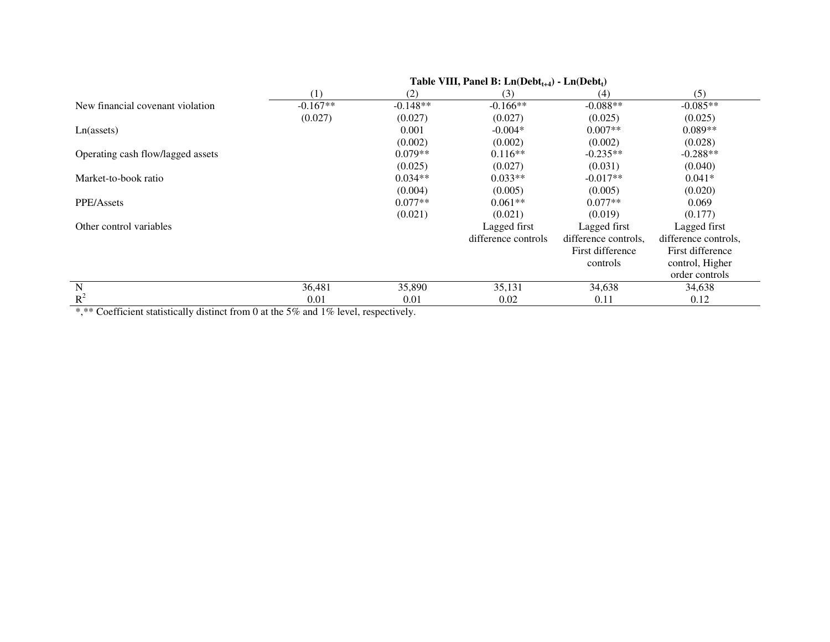|                                   | Table VIII, Panel B: $Ln(Debt_{t+4}) - Ln(Debt_t)$ |            |                     |                      |                      |  |
|-----------------------------------|----------------------------------------------------|------------|---------------------|----------------------|----------------------|--|
|                                   | (1)                                                | (2)        | (3)                 | (4)                  | (5)                  |  |
| New financial covenant violation  | $-0.167**$                                         | $-0.148**$ | $-0.166**$          | $-0.088**$           | $-0.085**$           |  |
|                                   | (0.027)                                            | (0.027)    | (0.027)             | (0.025)              | (0.025)              |  |
| Ln(asserts)                       |                                                    | 0.001      | $-0.004*$           | $0.007**$            | $0.089**$            |  |
|                                   |                                                    | (0.002)    | (0.002)             | (0.002)              | (0.028)              |  |
| Operating cash flow/lagged assets |                                                    | $0.079**$  | $0.116**$           | $-0.235**$           | $-0.288**$           |  |
|                                   |                                                    | (0.025)    | (0.027)             | (0.031)              | (0.040)              |  |
| Market-to-book ratio              |                                                    | $0.034**$  | $0.033**$           | $-0.017**$           | $0.041*$             |  |
|                                   |                                                    | (0.004)    | (0.005)             | (0.005)              | (0.020)              |  |
| PPE/Assets                        |                                                    | $0.077**$  | $0.061**$           | $0.077**$            | 0.069                |  |
|                                   |                                                    | (0.021)    | (0.021)             | (0.019)              | (0.177)              |  |
| Other control variables           |                                                    |            | Lagged first        | Lagged first         | Lagged first         |  |
|                                   |                                                    |            | difference controls | difference controls, | difference controls, |  |
|                                   |                                                    |            |                     | First difference     | First difference     |  |
|                                   |                                                    |            |                     | controls             | control, Higher      |  |
|                                   |                                                    |            |                     |                      | order controls       |  |
| $\mathbf N$                       | 36,481                                             | 35,890     | 35,131              | 34,638               | 34,638               |  |
| $\mathbb{R}^2$                    | 0.01                                               | 0.01       | 0.02                | 0.11                 | 0.12                 |  |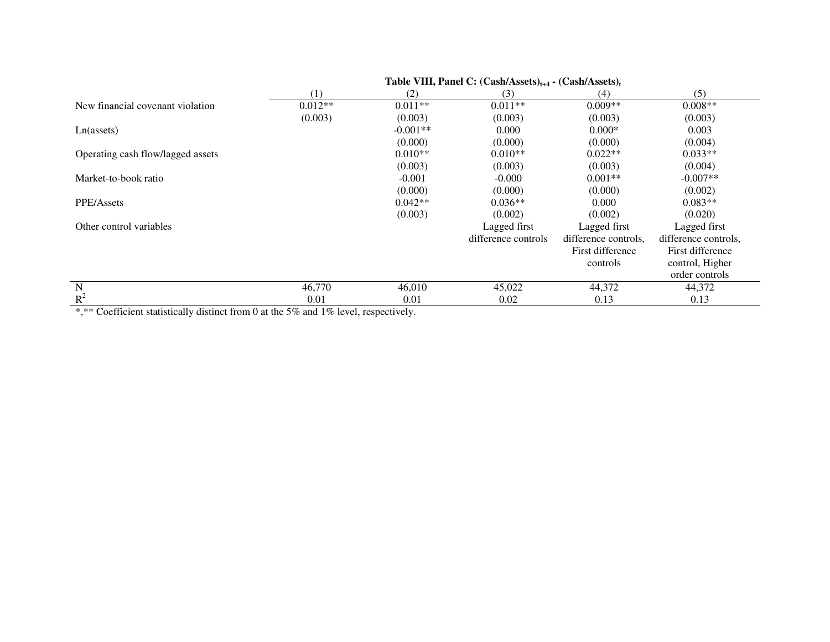| (1)       | (2)        | (3)                 | (4)                  | (5)                  |  |
|-----------|------------|---------------------|----------------------|----------------------|--|
| $0.012**$ | $0.011**$  | $0.011**$           | $0.009**$            | $0.008**$            |  |
| (0.003)   | (0.003)    | (0.003)             | (0.003)              | (0.003)              |  |
|           | $-0.001**$ | 0.000               | $0.000*$             | 0.003                |  |
|           | (0.000)    | (0.000)             | (0.000)              | (0.004)              |  |
|           | $0.010**$  | $0.010**$           | $0.022**$            | $0.033**$            |  |
|           | (0.003)    | (0.003)             | (0.003)              | (0.004)              |  |
|           | $-0.001$   | $-0.000$            | $0.001**$            | $-0.007**$           |  |
|           | (0.000)    | (0.000)             | (0.000)              | (0.002)              |  |
|           | $0.042**$  | $0.036**$           | 0.000                | $0.083**$            |  |
|           | (0.003)    | (0.002)             | (0.002)              | (0.020)              |  |
|           |            | Lagged first        | Lagged first         | Lagged first         |  |
|           |            | difference controls | difference controls, | difference controls, |  |
|           |            |                     | First difference     | First difference     |  |
|           |            |                     | controls             | control, Higher      |  |
|           |            |                     |                      | order controls       |  |
| 46,770    | 46,010     | 45,022              | 44,372               | 44,372               |  |
| 0.01      | 0.01       | 0.02                | 0.13                 | 0.13                 |  |
|           |            |                     |                      |                      |  |

 **Table VIII, Panel C: (Cash/Assets)t+4 - (Cash/Assets)<sup>t</sup>**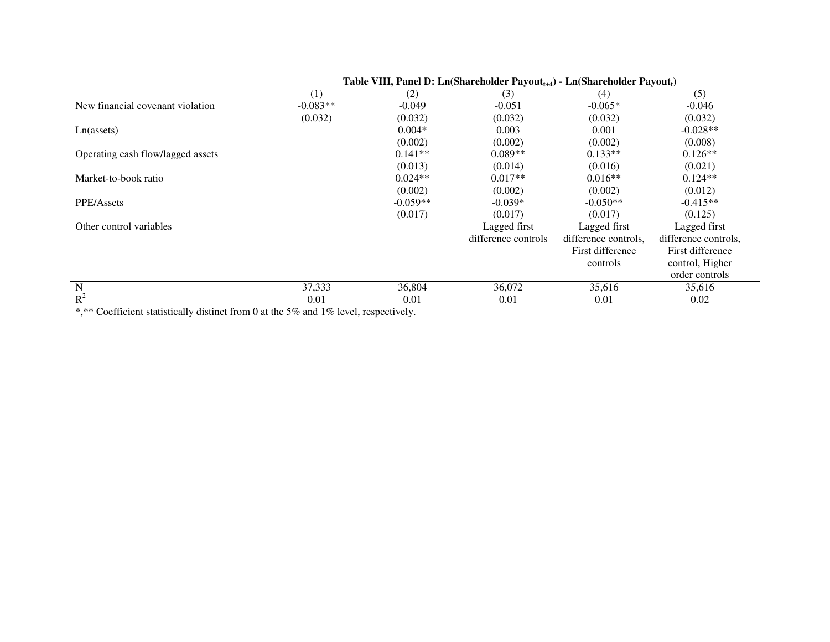|                                   | (1)        | (2)        | (3)                 | (4)                  | (5)                  |
|-----------------------------------|------------|------------|---------------------|----------------------|----------------------|
| New financial covenant violation  | $-0.083**$ | $-0.049$   | $-0.051$            | $-0.065*$            | $-0.046$             |
|                                   | (0.032)    | (0.032)    | (0.032)             | (0.032)              | (0.032)              |
| $Ln($ assets $)$                  |            | $0.004*$   | 0.003               | 0.001                | $-0.028**$           |
|                                   |            | (0.002)    | (0.002)             | (0.002)              | (0.008)              |
| Operating cash flow/lagged assets |            | $0.141**$  | $0.089**$           | $0.133**$            | $0.126**$            |
|                                   |            | (0.013)    | (0.014)             | (0.016)              | (0.021)              |
| Market-to-book ratio              |            | $0.024**$  | $0.017**$           | $0.016**$            | $0.124**$            |
|                                   |            | (0.002)    | (0.002)             | (0.002)              | (0.012)              |
| PPE/Assets                        |            | $-0.059**$ | $-0.039*$           | $-0.050**$           | $-0.415**$           |
|                                   |            | (0.017)    | (0.017)             | (0.017)              | (0.125)              |
| Other control variables           |            |            | Lagged first        | Lagged first         | Lagged first         |
|                                   |            |            | difference controls | difference controls, | difference controls. |
|                                   |            |            |                     | First difference     | First difference     |
|                                   |            |            |                     | controls             | control, Higher      |
|                                   |            |            |                     |                      | order controls       |
| N                                 | 37,333     | 36,804     | 36,072              | 35,616               | 35,616               |
| $R^2$                             | 0.01       | 0.01       | 0.01                | 0.01                 | 0.02                 |

# Table VIII, Panel D: Ln(Shareholder Payout<sub>t+4</sub>) - Ln(Shareholder Payout<sub>t</sub>)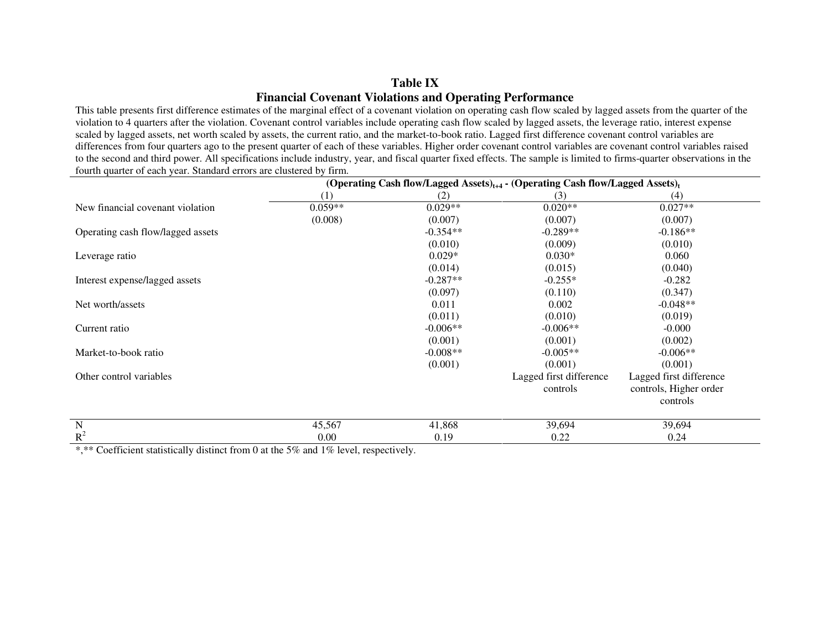## **Table IX Financial Covenant Violations and Operating Performance**

 This table presents first difference estimates of the marginal effect of a covenant violation on operating cash flow scaled by lagged assets from the quarter of the violation to 4 quarters after the violation. Covenant control variables include operating cash flow scaled by lagged assets, the leverage ratio, interest expense scaled by lagged assets, net worth scaled by assets, the current ratio, and the market-to-book ratio. Lagged first difference covenant control variables are differences from four quarters ago to the present quarter of each of these variables. Higher order covenant control variables are covenant control variables raised to the second and third power. All specifications include industry, year, and fiscal quarter fixed effects. The sample is limited to firms-quarter observations in the fourth quarter of each year. Standard errors are clustered by firm.

|                                   | (Operating Cash flow/Lagged Assets) <sub>t+4</sub> - (Operating Cash flow/Lagged Assets) <sub>t</sub> |            |                         |                         |  |  |
|-----------------------------------|-------------------------------------------------------------------------------------------------------|------------|-------------------------|-------------------------|--|--|
|                                   | (1)                                                                                                   | (2)        | (3)                     | (4)                     |  |  |
| New financial covenant violation  | $0.059**$                                                                                             | $0.029**$  | $0.020**$               | $0.027**$               |  |  |
|                                   | (0.008)                                                                                               | (0.007)    | (0.007)                 | (0.007)                 |  |  |
| Operating cash flow/lagged assets |                                                                                                       | $-0.354**$ | $-0.289**$              | $-0.186**$              |  |  |
|                                   |                                                                                                       | (0.010)    | (0.009)                 | (0.010)                 |  |  |
| Leverage ratio                    |                                                                                                       | $0.029*$   | $0.030*$                | 0.060                   |  |  |
|                                   |                                                                                                       | (0.014)    | (0.015)                 | (0.040)                 |  |  |
| Interest expense/lagged assets    |                                                                                                       | $-0.287**$ | $-0.255*$               | $-0.282$                |  |  |
|                                   |                                                                                                       | (0.097)    | (0.110)                 | (0.347)                 |  |  |
| Net worth/assets                  |                                                                                                       | 0.011      | 0.002                   | $-0.048**$              |  |  |
|                                   |                                                                                                       | (0.011)    | (0.010)                 | (0.019)                 |  |  |
| Current ratio                     |                                                                                                       | $-0.006**$ | $-0.006**$              | $-0.000$                |  |  |
|                                   |                                                                                                       | (0.001)    | (0.001)                 | (0.002)                 |  |  |
| Market-to-book ratio              |                                                                                                       | $-0.008**$ | $-0.005**$              | $-0.006**$              |  |  |
|                                   |                                                                                                       | (0.001)    | (0.001)                 | (0.001)                 |  |  |
| Other control variables           |                                                                                                       |            | Lagged first difference | Lagged first difference |  |  |
|                                   |                                                                                                       |            | controls                | controls, Higher order  |  |  |
|                                   |                                                                                                       |            |                         | controls                |  |  |
| N                                 | 45,567                                                                                                | 41,868     | 39,694                  | 39,694                  |  |  |
| $R^2$                             | 0.00                                                                                                  | 0.19       | 0.22                    | 0.24                    |  |  |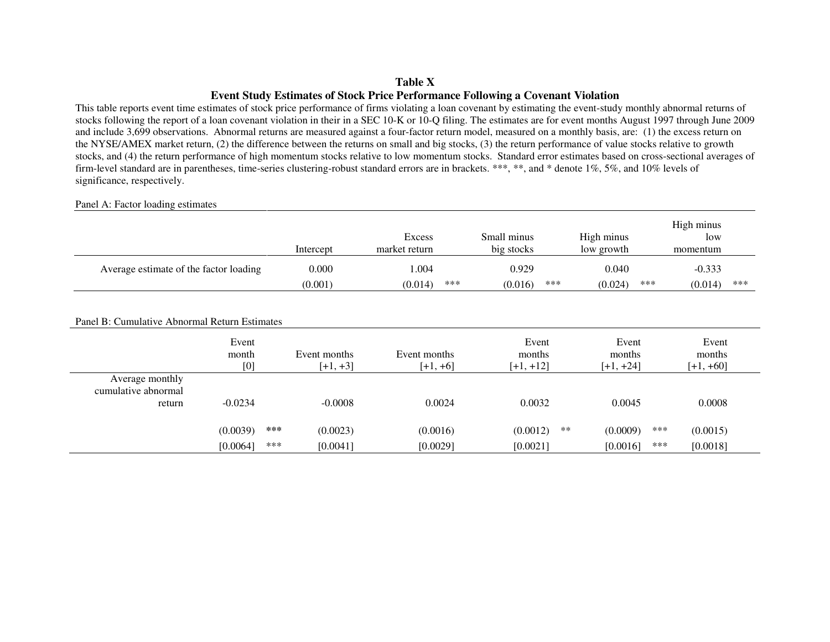### **Table X Event Study Estimates of Stock Price Performance Following a Covenant Violation**

 This table reports event time estimates of stock price performance of firms violating a loan covenant by estimating the event-study monthly abnormal returns of stocks following the report of a loan covenant violation in their in a SEC 10-K or 10-Q filing. The estimates are for event months August 1997 through June 2009 and include 3,699 observations. Abnormal returns are measured against a four-factor return model, measured on a monthly basis, are: (1) the excess return on the NYSE/AMEX market return, (2) the difference between the returns on small and big stocks, (3) the return performance of value stocks relative to growth stocks, and (4) the return performance of high momentum stocks relative to low momentum stocks. Standard error estimates based on cross-sectional averages of firm-level standard are in parentheses, time-series clustering-robust standard errors are in brackets. \*\*\*, \*\*, and \* denote 1%, 5%, and 10% levels of significance, respectively.

#### Panel A: Factor loading estimates

|                                        | Intercept | Excess<br>market return | Small minus<br>big stocks | High minus<br>low growth |     | High minus<br>low<br>momentum |     |
|----------------------------------------|-----------|-------------------------|---------------------------|--------------------------|-----|-------------------------------|-----|
| Average estimate of the factor loading | 0.000     | .004                    | 0.929                     | 0.040                    |     | $-0.333$                      |     |
|                                        | (0.001)   | (0.014)                 | ***<br>(0.016)            | ***<br>(0.024)           | *** | (0.014)                       | *** |

#### Panel B: Cumulative Abnormal Return Estimates

|                     | Event<br>month<br>[0] | Event months<br>$[+1, +3]$ | Event months<br>$[+1, +6]$ | Event<br>months<br>$[+1, +12]$ | Event<br>months<br>$[+1, +24]$ | Event<br>months<br>$[+1, +60]$ |
|---------------------|-----------------------|----------------------------|----------------------------|--------------------------------|--------------------------------|--------------------------------|
| Average monthly     |                       |                            |                            |                                |                                |                                |
| cumulative abnormal |                       |                            |                            |                                |                                |                                |
| return              | $-0.0234$             | $-0.0008$                  | 0.0024                     | 0.0032                         | 0.0045                         | 0.0008                         |
|                     |                       |                            |                            |                                |                                |                                |
|                     | (0.0039)              | ***<br>(0.0023)            | (0.0016)                   | (0.0012)                       | **<br>(0.0009)                 | ***<br>(0.0015)                |
|                     | [0.0064]              | ***<br>[0.0041]            | [0.0029]                   | [0.0021]                       | [0.0016]                       | ***<br>[0.0018]                |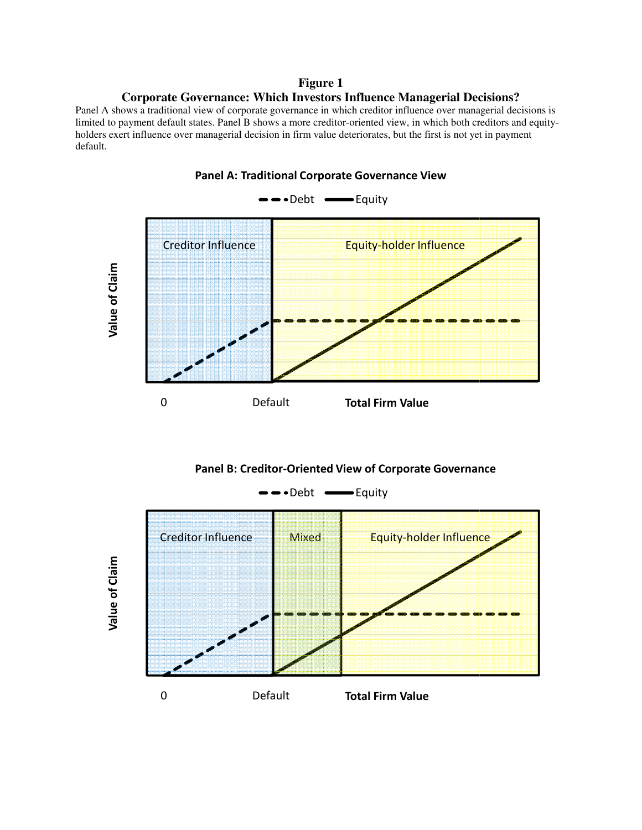# **Corporate Governance: Which Investors Influence Managerial Decisions? porate Figure 1**

Panel A shows a traditional view of corporate governance in which creditor influence over managerial decisions is limited to payment default states. Panel B shows a more creditor-oriented view, in which both creditors and equityholders exert influence over managerial decision in firm value deteriorates, but the first is not yet in payment default.





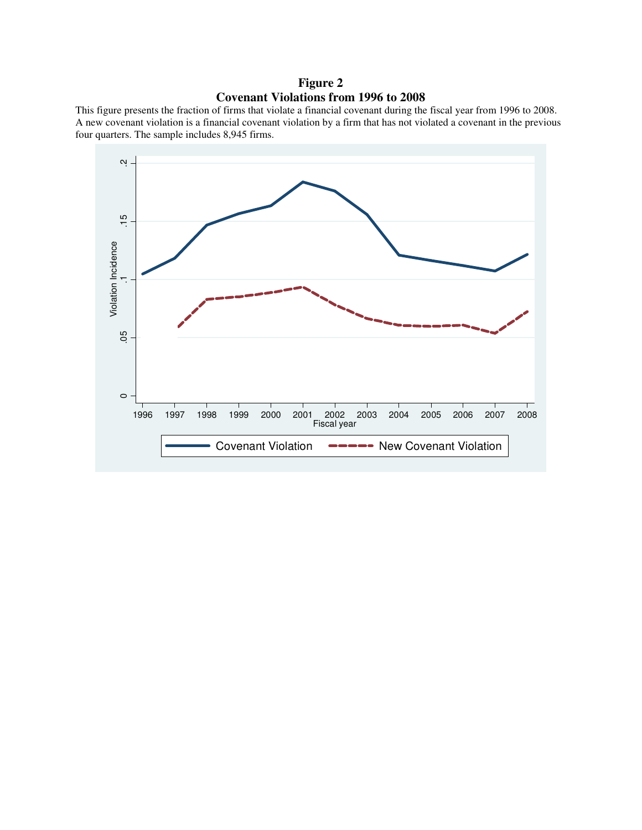# **Figure 2 Covenant Violations from 1996 to 2008**

This figure presents the fraction of firms that violate a financial covenant during the fiscal year from 1996 to 2008. A new covenant violation is a financial covenant violation by a firm that has not violated a covenant in the previous four quarters. The sample includes 8,945 firms.

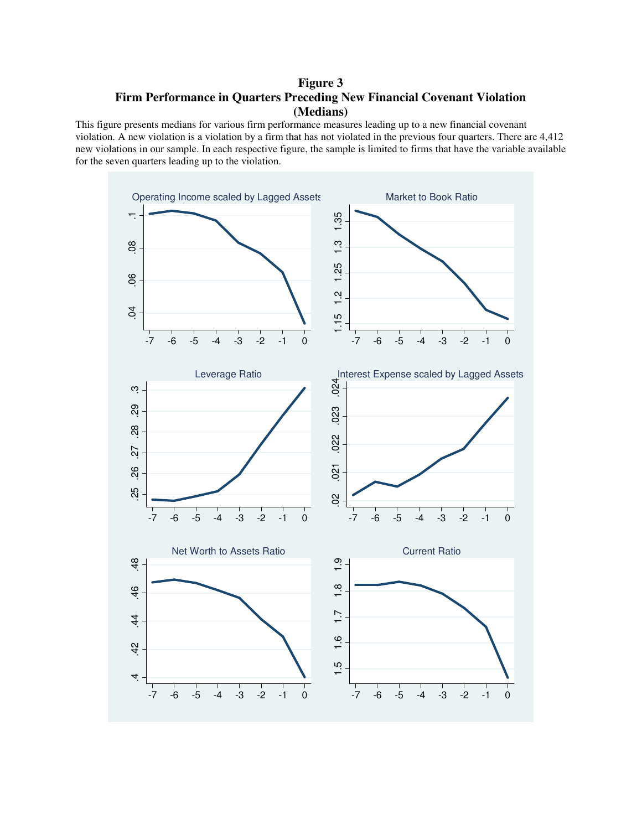# **Figure 3 Firm Performance in Quarters Preceding New Financial Covenant Violation (Medians)**

This figure presents medians for various firm performance measures leading up to a new financial covenant violation. A new violation is a violation by a firm that has not violated in the previous four quarters. There are 4,412 new violations in our sample. In each respective figure, the sample is limited to firms that have the variable available for the seven quarters leading up to the violation.

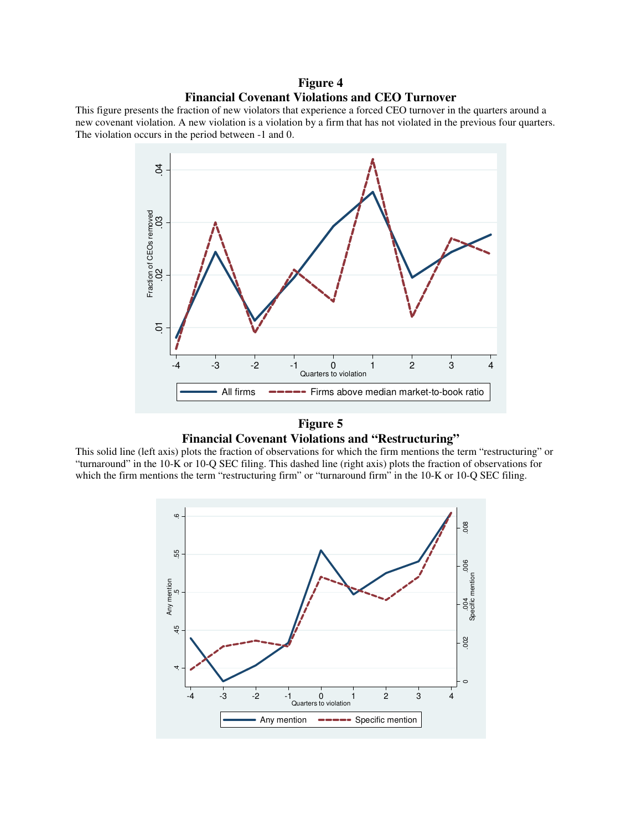### **Figure 4 Financial Covenant Violations and CEO Turnover**

This figure presents the fraction of new violators that experience a forced CEO turnover in the quarters around a new covenant violation. A new violation is a violation by a firm that has not violated in the previous four quarters. The violation occurs in the period between -1 and 0.



### **Figure 5 Financial Covenant Violations and "Restructuring"**

This solid line (left axis) plots the fraction of observations for which the firm mentions the term "restructuring" or "turnaround" in the 10-K or 10-Q SEC filing. This dashed line (right axis) plots the fraction of observations for

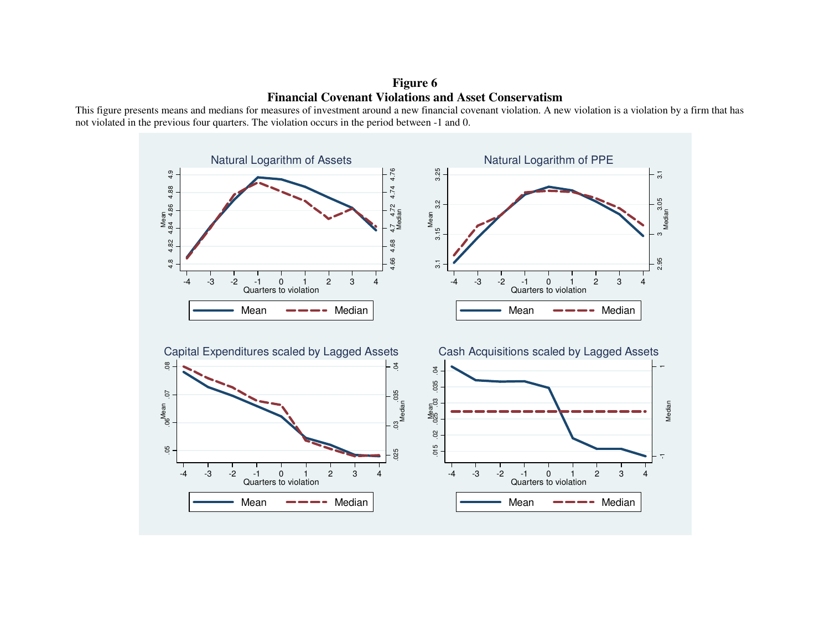**Figure 6 Financial Covenant Violations and Asset Conservatism** 

 This figure presents means and medians for measures of investment around a new financial covenant violation. A new violation is a violation by a firm that has not violated in the previous four quarters. The violation occurs in the period between -1 and 0.

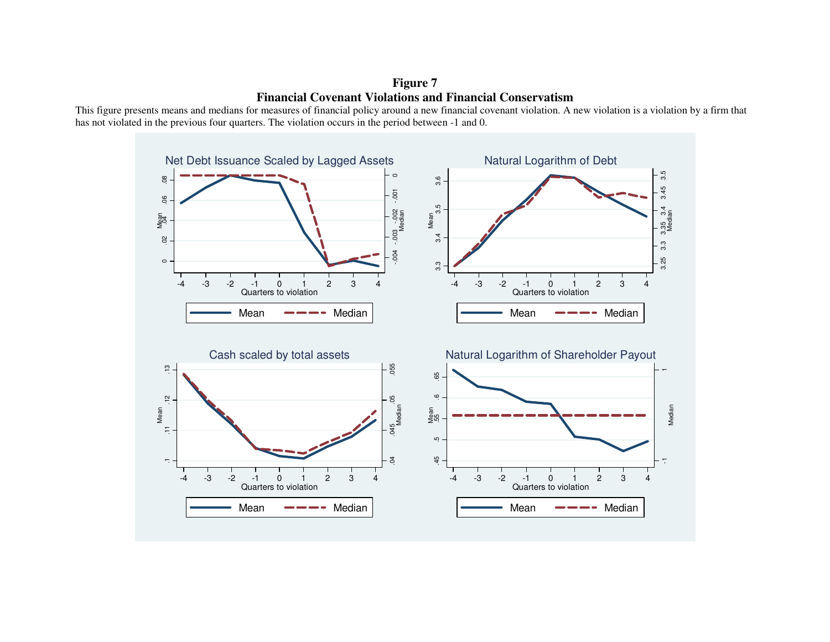**Figure 7 Financial Covenant Violations and Financial Conservatism** 

 This figure presents means and medians for measures of financial policy around a new financial covenant violation. A new violation is a violation by a firm that has not violated in the previous four quarters. The violation occurs in the period between -1 and 0.